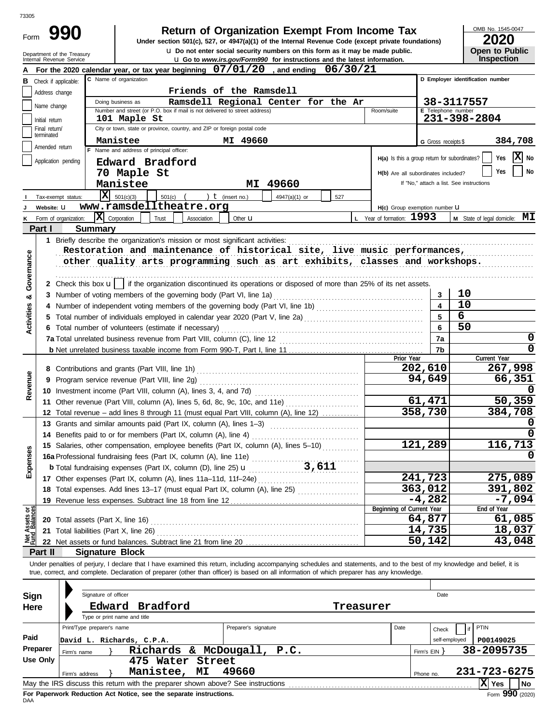| 73305                   |                                  |                                        |                                |                                                                  |                                                                               |                                                                                                                                                                                                                                                                                                                          |     |                                                            |                         |                                          |                                     |  |  |  |
|-------------------------|----------------------------------|----------------------------------------|--------------------------------|------------------------------------------------------------------|-------------------------------------------------------------------------------|--------------------------------------------------------------------------------------------------------------------------------------------------------------------------------------------------------------------------------------------------------------------------------------------------------------------------|-----|------------------------------------------------------------|-------------------------|------------------------------------------|-------------------------------------|--|--|--|
| Form                    |                                  | 990                                    |                                |                                                                  |                                                                               | <b>Return of Organization Exempt From Income Tax</b><br>Under section 501(c), 527, or 4947(a)(1) of the Internal Revenue Code (except private foundations)<br><b>u</b> Do not enter social security numbers on this form as it may be made public.                                                                       |     |                                                            |                         |                                          | OMB No. 1545-0047<br>2020           |  |  |  |
|                         | Internal Revenue Service         | Department of the Treasury             |                                |                                                                  |                                                                               | <b>u</b> Go to www.irs.gov/Form990 for instructions and the latest information.                                                                                                                                                                                                                                          |     |                                                            |                         |                                          | <b>Open to Public</b><br>Inspection |  |  |  |
|                         |                                  |                                        |                                |                                                                  |                                                                               | For the 2020 calendar year, or tax year beginning $07/01/20$ , and ending $06/30/21$                                                                                                                                                                                                                                     |     |                                                            |                         |                                          |                                     |  |  |  |
|                         | <b>B</b> Check if applicable:    |                                        | C Name of organization         |                                                                  |                                                                               |                                                                                                                                                                                                                                                                                                                          |     |                                                            |                         | D Employer identification number         |                                     |  |  |  |
|                         | Address change                   |                                        |                                |                                                                  | Friends of the Ramsdell                                                       |                                                                                                                                                                                                                                                                                                                          |     |                                                            |                         |                                          |                                     |  |  |  |
|                         | Name change                      |                                        | Doing business as              |                                                                  |                                                                               | Ramsdell Regional Center for the Ar                                                                                                                                                                                                                                                                                      |     |                                                            |                         | 38-3117557                               |                                     |  |  |  |
|                         |                                  |                                        | 101 Maple St                   |                                                                  | Number and street (or P.O. box if mail is not delivered to street address)    |                                                                                                                                                                                                                                                                                                                          |     | Room/suite                                                 | E Telephone number      | 231-398-2804                             |                                     |  |  |  |
|                         | Initial return<br>Final return/  |                                        |                                |                                                                  | City or town, state or province, country, and ZIP or foreign postal code      |                                                                                                                                                                                                                                                                                                                          |     |                                                            |                         |                                          |                                     |  |  |  |
|                         | terminated                       |                                        | Manistee                       |                                                                  | MI 49660                                                                      |                                                                                                                                                                                                                                                                                                                          |     |                                                            |                         |                                          | 384,708                             |  |  |  |
|                         | Amended return                   |                                        |                                | F Name and address of principal officer:                         |                                                                               |                                                                                                                                                                                                                                                                                                                          |     |                                                            | G Gross receipts \$     |                                          |                                     |  |  |  |
|                         | Application pending              |                                        |                                | Edward Bradford                                                  |                                                                               |                                                                                                                                                                                                                                                                                                                          |     | H(a) Is this a group return for subordinates?              |                         |                                          | ΙX<br>Yes<br>No.                    |  |  |  |
|                         |                                  |                                        | 70 Maple St                    |                                                                  |                                                                               |                                                                                                                                                                                                                                                                                                                          |     | H(b) Are all subordinates included?                        |                         |                                          | No<br>Yes                           |  |  |  |
|                         |                                  |                                        | Manistee                       |                                                                  |                                                                               | MI 49660                                                                                                                                                                                                                                                                                                                 |     |                                                            |                         | If "No," attach a list. See instructions |                                     |  |  |  |
|                         |                                  | x                                      | 501(c)(3)                      | 501(c)                                                           | ) $t$ (insert no.)                                                            | 4947(a)(1) or                                                                                                                                                                                                                                                                                                            | 527 |                                                            |                         |                                          |                                     |  |  |  |
|                         | Tax-exempt status:<br>Website: U |                                        |                                | www.ramsdelltheatre.org                                          |                                                                               |                                                                                                                                                                                                                                                                                                                          |     |                                                            |                         |                                          |                                     |  |  |  |
| Κ                       | Form of organization:            |                                        | $\bar{\mathbf{X}}$ Corporation | Trust<br>Association                                             | Other $\mathbf u$                                                             |                                                                                                                                                                                                                                                                                                                          |     | H(c) Group exemption number U<br>L Year of formation: 1993 |                         |                                          | M State of legal domicile: MI       |  |  |  |
|                         | Part I                           | <b>Summary</b>                         |                                |                                                                  |                                                                               |                                                                                                                                                                                                                                                                                                                          |     |                                                            |                         |                                          |                                     |  |  |  |
|                         |                                  |                                        |                                |                                                                  |                                                                               |                                                                                                                                                                                                                                                                                                                          |     |                                                            |                         |                                          |                                     |  |  |  |
|                         |                                  |                                        |                                |                                                                  | 1 Briefly describe the organization's mission or most significant activities: |                                                                                                                                                                                                                                                                                                                          |     |                                                            |                         |                                          |                                     |  |  |  |
|                         |                                  |                                        |                                |                                                                  |                                                                               | Restoration and maintenance of historical site, live music performances,                                                                                                                                                                                                                                                 |     |                                                            |                         |                                          |                                     |  |  |  |
| Governance              |                                  |                                        |                                |                                                                  |                                                                               | other quality arts programming such as art exhibits, classes and workshops.                                                                                                                                                                                                                                              |     |                                                            |                         |                                          |                                     |  |  |  |
|                         |                                  |                                        |                                |                                                                  |                                                                               |                                                                                                                                                                                                                                                                                                                          |     |                                                            |                         |                                          |                                     |  |  |  |
|                         |                                  |                                        |                                |                                                                  |                                                                               | 2 Check this box $\mathbf{u}$   if the organization discontinued its operations or disposed of more than 25% of its net assets.                                                                                                                                                                                          |     |                                                            |                         |                                          |                                     |  |  |  |
| ಳ                       |                                  |                                        |                                |                                                                  | 3 Number of voting members of the governing body (Part VI, line 1a)           |                                                                                                                                                                                                                                                                                                                          |     |                                                            | 3                       | 10<br>10                                 |                                     |  |  |  |
|                         |                                  |                                        |                                |                                                                  |                                                                               |                                                                                                                                                                                                                                                                                                                          |     |                                                            | $\overline{\mathbf{4}}$ | 6                                        |                                     |  |  |  |
| <b>Activities</b>       |                                  |                                        |                                |                                                                  |                                                                               |                                                                                                                                                                                                                                                                                                                          |     |                                                            | 5                       | 50                                       |                                     |  |  |  |
|                         |                                  |                                        |                                | 6 Total number of volunteers (estimate if necessary)             |                                                                               |                                                                                                                                                                                                                                                                                                                          |     |                                                            | 6                       |                                          |                                     |  |  |  |
|                         |                                  |                                        |                                |                                                                  |                                                                               |                                                                                                                                                                                                                                                                                                                          |     |                                                            | 7a                      |                                          | 0<br>$\Omega$                       |  |  |  |
|                         |                                  |                                        |                                |                                                                  |                                                                               |                                                                                                                                                                                                                                                                                                                          |     | Prior Year                                                 | 7b                      |                                          | Current Year                        |  |  |  |
|                         |                                  |                                        |                                |                                                                  |                                                                               |                                                                                                                                                                                                                                                                                                                          |     |                                                            | 202,610                 |                                          | 267,998                             |  |  |  |
|                         |                                  |                                        |                                |                                                                  |                                                                               |                                                                                                                                                                                                                                                                                                                          |     |                                                            | 94,649                  |                                          | 66,351                              |  |  |  |
| Revenue                 |                                  |                                        |                                |                                                                  |                                                                               |                                                                                                                                                                                                                                                                                                                          |     |                                                            |                         |                                          |                                     |  |  |  |
|                         |                                  |                                        |                                |                                                                  |                                                                               | 11 Other revenue (Part VIII, column (A), lines 5, 6d, 8c, 9c, 10c, and 11e)                                                                                                                                                                                                                                              |     |                                                            | 61,471                  |                                          | 50,359                              |  |  |  |
|                         |                                  |                                        |                                |                                                                  |                                                                               | 12 Total revenue - add lines 8 through 11 (must equal Part VIII, column (A), line 12)                                                                                                                                                                                                                                    |     |                                                            | 358,730                 |                                          | 384,708                             |  |  |  |
|                         |                                  |                                        |                                |                                                                  | 13 Grants and similar amounts paid (Part IX, column (A), lines 1-3)           |                                                                                                                                                                                                                                                                                                                          |     |                                                            |                         |                                          | O                                   |  |  |  |
|                         |                                  |                                        |                                | 14 Benefits paid to or for members (Part IX, column (A), line 4) |                                                                               |                                                                                                                                                                                                                                                                                                                          |     |                                                            |                         |                                          | <sup>0</sup>                        |  |  |  |
|                         |                                  |                                        |                                |                                                                  |                                                                               | 15 Salaries, other compensation, employee benefits (Part IX, column (A), lines 5-10)                                                                                                                                                                                                                                     |     |                                                            | 121,289                 |                                          | 116, 713                            |  |  |  |
|                         |                                  |                                        |                                |                                                                  |                                                                               |                                                                                                                                                                                                                                                                                                                          |     |                                                            |                         |                                          | O                                   |  |  |  |
| Expenses                |                                  |                                        |                                |                                                                  |                                                                               |                                                                                                                                                                                                                                                                                                                          |     |                                                            |                         |                                          |                                     |  |  |  |
|                         |                                  |                                        |                                |                                                                  |                                                                               |                                                                                                                                                                                                                                                                                                                          |     |                                                            | 241,723                 |                                          | 275,089                             |  |  |  |
|                         |                                  |                                        |                                |                                                                  |                                                                               | 18 Total expenses. Add lines 13-17 (must equal Part IX, column (A), line 25)                                                                                                                                                                                                                                             |     |                                                            | 363,012                 |                                          | 391,802                             |  |  |  |
|                         |                                  |                                        |                                |                                                                  |                                                                               |                                                                                                                                                                                                                                                                                                                          |     |                                                            | $-4,282$                |                                          | $-7,094$                            |  |  |  |
| Assets or<br>1 Balances |                                  |                                        |                                |                                                                  |                                                                               |                                                                                                                                                                                                                                                                                                                          |     | Beginning of Current Year                                  |                         |                                          | End of Year                         |  |  |  |
|                         |                                  | 20 Total assets (Part X, line 16)      |                                |                                                                  |                                                                               |                                                                                                                                                                                                                                                                                                                          |     |                                                            | 64,877                  |                                          | 61,085                              |  |  |  |
|                         |                                  | 21 Total liabilities (Part X, line 26) |                                |                                                                  |                                                                               |                                                                                                                                                                                                                                                                                                                          |     |                                                            | 14,735                  |                                          | 18,037                              |  |  |  |
|                         |                                  |                                        |                                |                                                                  |                                                                               |                                                                                                                                                                                                                                                                                                                          |     |                                                            | 50,142                  |                                          | 43,048                              |  |  |  |
|                         | Part II                          | <b>Signature Block</b>                 |                                |                                                                  |                                                                               |                                                                                                                                                                                                                                                                                                                          |     |                                                            |                         |                                          |                                     |  |  |  |
|                         |                                  |                                        |                                |                                                                  |                                                                               | Under penalties of perjury, I declare that I have examined this return, including accompanying schedules and statements, and to the best of my knowledge and belief, it is<br>true, correct, and complete. Declaration of preparer (other than officer) is based on all information of which preparer has any knowledge. |     |                                                            |                         |                                          |                                     |  |  |  |
|                         |                                  |                                        |                                |                                                                  |                                                                               |                                                                                                                                                                                                                                                                                                                          |     |                                                            |                         |                                          |                                     |  |  |  |
| Sign                    |                                  | Signature of officer                   |                                |                                                                  |                                                                               |                                                                                                                                                                                                                                                                                                                          |     |                                                            | Date                    |                                          |                                     |  |  |  |
| Here                    |                                  | Edward                                 |                                | Bradford                                                         |                                                                               |                                                                                                                                                                                                                                                                                                                          |     | Treasurer                                                  |                         |                                          |                                     |  |  |  |
|                         |                                  |                                        | Type or print name and title   |                                                                  |                                                                               |                                                                                                                                                                                                                                                                                                                          |     |                                                            |                         |                                          |                                     |  |  |  |
|                         |                                  | Print/Type preparer's name             |                                |                                                                  | Preparer's signature                                                          |                                                                                                                                                                                                                                                                                                                          |     | Date                                                       | Check                   | PTIN<br>if                               |                                     |  |  |  |
| Paid                    |                                  | David L. Richards, C.P.A.              |                                |                                                                  |                                                                               |                                                                                                                                                                                                                                                                                                                          |     |                                                            | self-employed           |                                          | P00149025                           |  |  |  |
|                         | Preparer                         | Firm's name                            |                                |                                                                  | Richards & McDougall,                                                         | P.C.                                                                                                                                                                                                                                                                                                                     |     |                                                            | Firm's EIN              |                                          | 38-2095735                          |  |  |  |
|                         | <b>Use Only</b>                  |                                        |                                | 475 Water Street                                                 |                                                                               |                                                                                                                                                                                                                                                                                                                          |     |                                                            |                         |                                          |                                     |  |  |  |
|                         |                                  | Firm's address                         |                                | Manistee, MI                                                     | 49660                                                                         |                                                                                                                                                                                                                                                                                                                          |     |                                                            | Phone no.               |                                          | 231-723-6275                        |  |  |  |
|                         |                                  |                                        |                                |                                                                  |                                                                               |                                                                                                                                                                                                                                                                                                                          |     |                                                            |                         |                                          | $ X $ Yes<br>No                     |  |  |  |

| Sign<br>Here         | Signature of officer          | Edward Bradford<br>Type or print name and title                                                                                                       |                      | Treasurer                  |  | Date                   |                                  |
|----------------------|-------------------------------|-------------------------------------------------------------------------------------------------------------------------------------------------------|----------------------|----------------------------|--|------------------------|----------------------------------|
| Paid                 | Print/Type preparer's name    | David L. Richards, C.P.A.<br>Richards & McDougall, P.C.                                                                                               | Preparer's signature | Date                       |  | Check<br>self-employed | PTIN<br>P00149025                |
| Preparer<br>Use Only | Firm's name<br>Firm's address | Firm's $EIN$<br>Phone no.                                                                                                                             |                      | 38-2095735<br>231-723-6275 |  |                        |                                  |
|                      |                               | May the IRS discuss this return with the preparer shown above? See instructions<br>For Dononuark Reduction, Act Notice, can the conorate instructions |                      |                            |  |                        | l No<br>Yes<br>$\sim$ 000 $\sim$ |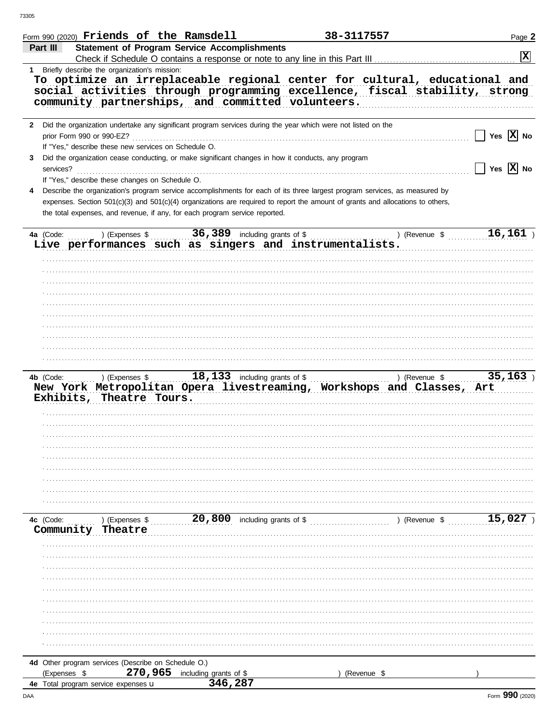|                | Form 990 (2020) Friends of the Ramsdell                                           |                                                                                                                                                                                                                                                                                                                                             | 38-3117557  |                                 | Page 2                |
|----------------|-----------------------------------------------------------------------------------|---------------------------------------------------------------------------------------------------------------------------------------------------------------------------------------------------------------------------------------------------------------------------------------------------------------------------------------------|-------------|---------------------------------|-----------------------|
| Part III       |                                                                                   | <b>Statement of Program Service Accomplishments</b><br>Check if Schedule O contains a response or note to any line in this Part III                                                                                                                                                                                                         |             |                                 | $ \mathbf{x} $        |
|                | 1 Briefly describe the organization's mission:                                    |                                                                                                                                                                                                                                                                                                                                             |             |                                 |                       |
|                |                                                                                   | To optimize an irreplaceable regional center for cultural, educational and<br>social activities through programming excellence, fiscal stability, strong<br>community partnerships, and committed volunteers.                                                                                                                               |             |                                 |                       |
|                | prior Form 990 or 990-EZ?<br>If "Yes," describe these new services on Schedule O. | 2 Did the organization undertake any significant program services during the year which were not listed on the                                                                                                                                                                                                                              |             |                                 | Yes $ \mathbf{X} $ No |
| 3<br>services? | If "Yes," describe these changes on Schedule O.                                   | Did the organization cease conducting, or make significant changes in how it conducts, any program                                                                                                                                                                                                                                          |             |                                 | Yes $\overline{X}$ No |
|                |                                                                                   | Describe the organization's program service accomplishments for each of its three largest program services, as measured by<br>expenses. Section 501(c)(3) and 501(c)(4) organizations are required to report the amount of grants and allocations to others,<br>the total expenses, and revenue, if any, for each program service reported. |             |                                 |                       |
|                |                                                                                   |                                                                                                                                                                                                                                                                                                                                             |             | ) (Revenue $\sqrt[6]{16,161}$ ) |                       |
|                |                                                                                   | Live performances such as singers and instrumentalists.                                                                                                                                                                                                                                                                                     |             |                                 |                       |
|                |                                                                                   |                                                                                                                                                                                                                                                                                                                                             |             |                                 |                       |
| 4b (Code:      | Exhibits, Theatre Tours.                                                          | New York Metropolitan Opera livestreaming, Workshops and Classes, Art                                                                                                                                                                                                                                                                       |             |                                 |                       |
|                |                                                                                   |                                                                                                                                                                                                                                                                                                                                             |             |                                 |                       |
|                |                                                                                   |                                                                                                                                                                                                                                                                                                                                             |             |                                 |                       |
|                |                                                                                   |                                                                                                                                                                                                                                                                                                                                             |             |                                 |                       |
| 4c (Code:      | Community Theatre                                                                 | ) (Expenses $$$ $20,800$ including grants of \$                                                                                                                                                                                                                                                                                             |             | ) (Revenue \$ 15,027            |                       |
|                |                                                                                   |                                                                                                                                                                                                                                                                                                                                             |             |                                 |                       |
|                |                                                                                   |                                                                                                                                                                                                                                                                                                                                             |             |                                 |                       |
|                |                                                                                   |                                                                                                                                                                                                                                                                                                                                             |             |                                 |                       |
|                |                                                                                   |                                                                                                                                                                                                                                                                                                                                             |             |                                 |                       |
|                |                                                                                   |                                                                                                                                                                                                                                                                                                                                             |             |                                 |                       |
|                |                                                                                   |                                                                                                                                                                                                                                                                                                                                             |             |                                 |                       |
|                |                                                                                   |                                                                                                                                                                                                                                                                                                                                             |             |                                 |                       |
|                |                                                                                   |                                                                                                                                                                                                                                                                                                                                             |             |                                 |                       |
|                | 4d Other program services (Describe on Schedule O.)                               |                                                                                                                                                                                                                                                                                                                                             |             |                                 |                       |
| (Expenses \$   | 270,965                                                                           | including grants of \$                                                                                                                                                                                                                                                                                                                      | (Revenue \$ |                                 |                       |
|                | 4e Total program service expenses u                                               | 346,287                                                                                                                                                                                                                                                                                                                                     |             |                                 |                       |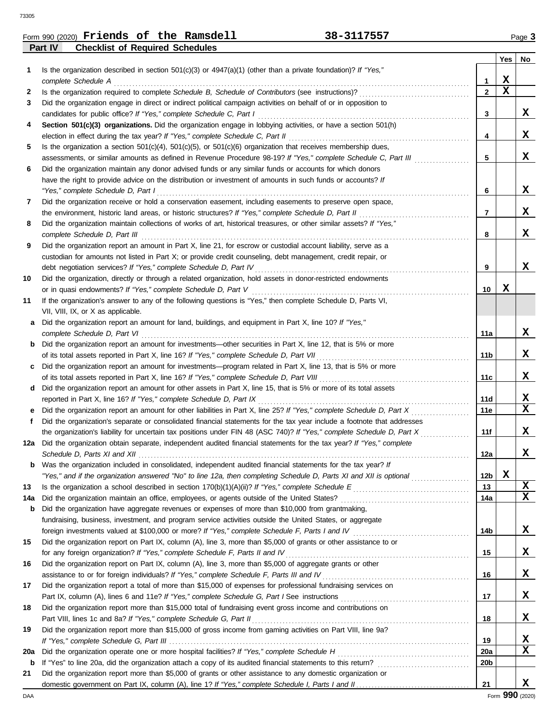|                | Form 990 (2020) $Friends$ of the Ramsdell | 38-3117557 | Page 3 |
|----------------|-------------------------------------------|------------|--------|
| <b>Part IV</b> | <b>Checklist of Required Schedules</b>    |            |        |

|     |                                                                                                                         |                 | Yes | No. |
|-----|-------------------------------------------------------------------------------------------------------------------------|-----------------|-----|-----|
| 1.  | Is the organization described in section $501(c)(3)$ or $4947(a)(1)$ (other than a private foundation)? If "Yes,"       |                 |     |     |
|     | complete Schedule A                                                                                                     | 1               | х   |     |
| 2   |                                                                                                                         | $\mathbf{2}$    | X   |     |
| 3   | Did the organization engage in direct or indirect political campaign activities on behalf of or in opposition to        |                 |     |     |
|     | candidates for public office? If "Yes," complete Schedule C, Part I                                                     | 3               |     | x   |
| 4   | Section 501(c)(3) organizations. Did the organization engage in lobbying activities, or have a section 501(h)           |                 |     |     |
|     |                                                                                                                         | 4               |     | x   |
| 5   | Is the organization a section $501(c)(4)$ , $501(c)(5)$ , or $501(c)(6)$ organization that receives membership dues,    |                 |     |     |
|     | assessments, or similar amounts as defined in Revenue Procedure 98-19? If "Yes," complete Schedule C, Part III          | 5               |     | x   |
| 6   | Did the organization maintain any donor advised funds or any similar funds or accounts for which donors                 |                 |     |     |
|     | have the right to provide advice on the distribution or investment of amounts in such funds or accounts? If             |                 |     |     |
|     | "Yes," complete Schedule D, Part I                                                                                      | 6               |     | x   |
| 7   | Did the organization receive or hold a conservation easement, including easements to preserve open space,               |                 |     |     |
|     | the environment, historic land areas, or historic structures? If "Yes," complete Schedule D, Part II                    | 7               |     | x   |
| 8   | Did the organization maintain collections of works of art, historical treasures, or other similar assets? If "Yes,"     |                 |     |     |
|     |                                                                                                                         | 8               |     | x   |
| 9   | Did the organization report an amount in Part X, line 21, for escrow or custodial account liability, serve as a         |                 |     |     |
|     | custodian for amounts not listed in Part X; or provide credit counseling, debt management, credit repair, or            |                 |     |     |
|     | debt negotiation services? If "Yes," complete Schedule D, Part IV                                                       | 9               |     | x   |
| 10  | Did the organization, directly or through a related organization, hold assets in donor-restricted endowments            | 10              | x   |     |
| 11  | If the organization's answer to any of the following questions is "Yes," then complete Schedule D, Parts VI,            |                 |     |     |
|     | VII, VIII, IX, or X as applicable.                                                                                      |                 |     |     |
| a   | Did the organization report an amount for land, buildings, and equipment in Part X, line 10? If "Yes,"                  |                 |     |     |
|     |                                                                                                                         | 11a             |     | x   |
| b   | Did the organization report an amount for investments—other securities in Part X, line 12, that is 5% or more           |                 |     |     |
|     | of its total assets reported in Part X, line 16? If "Yes," complete Schedule D, Part VII [[[[[[[[[[[[[[[[[[[[[          | 11b             |     | x   |
| c   | Did the organization report an amount for investments—program related in Part X, line 13, that is 5% or more            |                 |     |     |
|     |                                                                                                                         | 11c             |     | x   |
| d   | Did the organization report an amount for other assets in Part X, line 15, that is 5% or more of its total assets       |                 |     |     |
|     | reported in Part X, line 16? If "Yes," complete Schedule D, Part IX                                                     | 11d             |     | X   |
|     | Did the organization report an amount for other liabilities in Part X, line 25? If "Yes," complete Schedule D, Part X   | 11e             |     | x   |
| f   | Did the organization's separate or consolidated financial statements for the tax year include a footnote that addresses |                 |     |     |
|     | the organization's liability for uncertain tax positions under FIN 48 (ASC 740)? If "Yes," complete Schedule D, Part X  | 11f             |     | x   |
| 12a | Did the organization obtain separate, independent audited financial statements for the tax year? If "Yes," complete     |                 |     |     |
|     |                                                                                                                         | 12a             |     | x   |
| b   | Was the organization included in consolidated, independent audited financial statements for the tax year? If            |                 |     |     |
|     | "Yes," and if the organization answered "No" to line 12a, then completing Schedule D, Parts XI and XII is optional      | 12 <sub>b</sub> | х   |     |
| 13  |                                                                                                                         | 13              |     | x   |
| 14a |                                                                                                                         | 14a             |     | X   |
| b   | Did the organization have aggregate revenues or expenses of more than \$10,000 from grantmaking,                        |                 |     |     |
|     | fundraising, business, investment, and program service activities outside the United States, or aggregate               |                 |     |     |
|     | Did the organization report on Part IX, column (A), line 3, more than \$5,000 of grants or other assistance to or       | 14b             |     | x   |
| 15  | for any foreign organization? If "Yes," complete Schedule F, Parts II and IV                                            | 15              |     | x   |
| 16  | Did the organization report on Part IX, column (A), line 3, more than \$5,000 of aggregate grants or other              |                 |     |     |
|     | assistance to or for foreign individuals? If "Yes," complete Schedule F, Parts III and IV [[[[[[[[[[[[[[[[[[[[          | 16              |     | x   |
| 17  | Did the organization report a total of more than \$15,000 of expenses for professional fundraising services on          |                 |     |     |
|     |                                                                                                                         | 17              |     | x   |
| 18  | Did the organization report more than \$15,000 total of fundraising event gross income and contributions on             |                 |     |     |
|     | Part VIII, lines 1c and 8a? If "Yes," complete Schedule G, Part II                                                      | 18              |     | x   |
| 19  | Did the organization report more than \$15,000 of gross income from gaming activities on Part VIII, line 9a?            |                 |     |     |
|     |                                                                                                                         | 19              |     | x   |
| 20a |                                                                                                                         | 20a             |     | x   |
| b   |                                                                                                                         | 20b             |     |     |
| 21  | Did the organization report more than \$5,000 of grants or other assistance to any domestic organization or             |                 |     |     |
|     |                                                                                                                         | 21              |     | x   |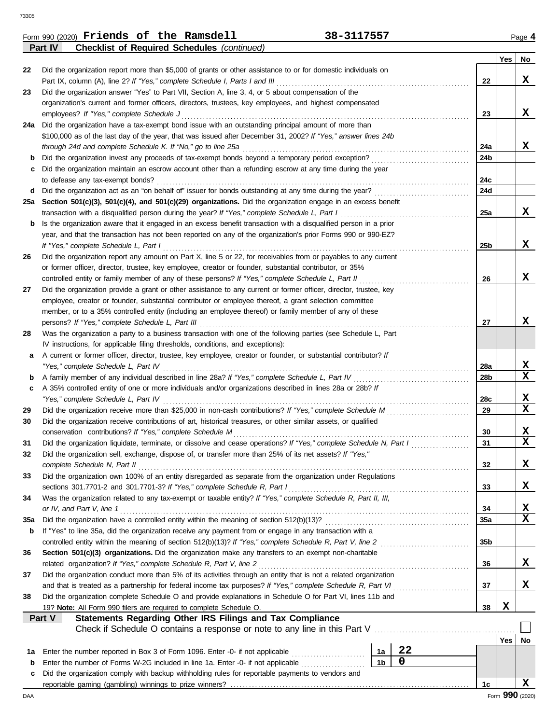| <b>Checklist of Required Schedules (continued)</b><br>Part IV<br>Did the organization report more than \$5,000 of grants or other assistance to or for domestic individuals on<br>22<br>Part IX, column (A), line 2? If "Yes," complete Schedule I, Parts I and III<br>Did the organization answer "Yes" to Part VII, Section A, line 3, 4, or 5 about compensation of the<br>23<br>organization's current and former officers, directors, trustees, key employees, and highest compensated<br>employees? If "Yes," complete Schedule J<br>24a Did the organization have a tax-exempt bond issue with an outstanding principal amount of more than<br>\$100,000 as of the last day of the year, that was issued after December 31, 2002? If "Yes," answer lines 24b<br>through 24d and complete Schedule K. If "No," go to line 25a<br>Did the organization invest any proceeds of tax-exempt bonds beyond a temporary period exception?<br>b<br>Did the organization maintain an escrow account other than a refunding escrow at any time during the year<br>c<br>to defease any tax-exempt bonds?<br>Did the organization act as an "on behalf of" issuer for bonds outstanding at any time during the year?<br>d<br>25a Section 501(c)(3), 501(c)(4), and 501(c)(29) organizations. Did the organization engage in an excess benefit<br>transaction with a disqualified person during the year? If "Yes," complete Schedule L, Part I<br>Is the organization aware that it engaged in an excess benefit transaction with a disqualified person in a prior<br>b<br>year, and that the transaction has not been reported on any of the organization's prior Forms 990 or 990-EZ?<br>If "Yes," complete Schedule L, Part I<br>Did the organization report any amount on Part X, line 5 or 22, for receivables from or payables to any current<br>26<br>or former officer, director, trustee, key employee, creator or founder, substantial contributor, or 35%<br>controlled entity or family member of any of these persons? If "Yes," complete Schedule L, Part II<br>Did the organization provide a grant or other assistance to any current or former officer, director, trustee, key<br>27<br>employee, creator or founder, substantial contributor or employee thereof, a grant selection committee | 22<br>23<br>24a<br>24b<br>24c<br>24d<br>25a<br>25 <sub>b</sub> | Yes | No<br>X<br>x<br>x<br>x  |
|-----------------------------------------------------------------------------------------------------------------------------------------------------------------------------------------------------------------------------------------------------------------------------------------------------------------------------------------------------------------------------------------------------------------------------------------------------------------------------------------------------------------------------------------------------------------------------------------------------------------------------------------------------------------------------------------------------------------------------------------------------------------------------------------------------------------------------------------------------------------------------------------------------------------------------------------------------------------------------------------------------------------------------------------------------------------------------------------------------------------------------------------------------------------------------------------------------------------------------------------------------------------------------------------------------------------------------------------------------------------------------------------------------------------------------------------------------------------------------------------------------------------------------------------------------------------------------------------------------------------------------------------------------------------------------------------------------------------------------------------------------------------------------------------------------------------------------------------------------------------------------------------------------------------------------------------------------------------------------------------------------------------------------------------------------------------------------------------------------------------------------------------------------------------------------------------------------------------------------------------------------------------------------------------------------------|----------------------------------------------------------------|-----|-------------------------|
|                                                                                                                                                                                                                                                                                                                                                                                                                                                                                                                                                                                                                                                                                                                                                                                                                                                                                                                                                                                                                                                                                                                                                                                                                                                                                                                                                                                                                                                                                                                                                                                                                                                                                                                                                                                                                                                                                                                                                                                                                                                                                                                                                                                                                                                                                                           |                                                                |     |                         |
|                                                                                                                                                                                                                                                                                                                                                                                                                                                                                                                                                                                                                                                                                                                                                                                                                                                                                                                                                                                                                                                                                                                                                                                                                                                                                                                                                                                                                                                                                                                                                                                                                                                                                                                                                                                                                                                                                                                                                                                                                                                                                                                                                                                                                                                                                                           |                                                                |     |                         |
|                                                                                                                                                                                                                                                                                                                                                                                                                                                                                                                                                                                                                                                                                                                                                                                                                                                                                                                                                                                                                                                                                                                                                                                                                                                                                                                                                                                                                                                                                                                                                                                                                                                                                                                                                                                                                                                                                                                                                                                                                                                                                                                                                                                                                                                                                                           |                                                                |     |                         |
|                                                                                                                                                                                                                                                                                                                                                                                                                                                                                                                                                                                                                                                                                                                                                                                                                                                                                                                                                                                                                                                                                                                                                                                                                                                                                                                                                                                                                                                                                                                                                                                                                                                                                                                                                                                                                                                                                                                                                                                                                                                                                                                                                                                                                                                                                                           |                                                                |     |                         |
|                                                                                                                                                                                                                                                                                                                                                                                                                                                                                                                                                                                                                                                                                                                                                                                                                                                                                                                                                                                                                                                                                                                                                                                                                                                                                                                                                                                                                                                                                                                                                                                                                                                                                                                                                                                                                                                                                                                                                                                                                                                                                                                                                                                                                                                                                                           |                                                                |     |                         |
|                                                                                                                                                                                                                                                                                                                                                                                                                                                                                                                                                                                                                                                                                                                                                                                                                                                                                                                                                                                                                                                                                                                                                                                                                                                                                                                                                                                                                                                                                                                                                                                                                                                                                                                                                                                                                                                                                                                                                                                                                                                                                                                                                                                                                                                                                                           |                                                                |     |                         |
|                                                                                                                                                                                                                                                                                                                                                                                                                                                                                                                                                                                                                                                                                                                                                                                                                                                                                                                                                                                                                                                                                                                                                                                                                                                                                                                                                                                                                                                                                                                                                                                                                                                                                                                                                                                                                                                                                                                                                                                                                                                                                                                                                                                                                                                                                                           |                                                                |     |                         |
|                                                                                                                                                                                                                                                                                                                                                                                                                                                                                                                                                                                                                                                                                                                                                                                                                                                                                                                                                                                                                                                                                                                                                                                                                                                                                                                                                                                                                                                                                                                                                                                                                                                                                                                                                                                                                                                                                                                                                                                                                                                                                                                                                                                                                                                                                                           |                                                                |     |                         |
|                                                                                                                                                                                                                                                                                                                                                                                                                                                                                                                                                                                                                                                                                                                                                                                                                                                                                                                                                                                                                                                                                                                                                                                                                                                                                                                                                                                                                                                                                                                                                                                                                                                                                                                                                                                                                                                                                                                                                                                                                                                                                                                                                                                                                                                                                                           |                                                                |     |                         |
|                                                                                                                                                                                                                                                                                                                                                                                                                                                                                                                                                                                                                                                                                                                                                                                                                                                                                                                                                                                                                                                                                                                                                                                                                                                                                                                                                                                                                                                                                                                                                                                                                                                                                                                                                                                                                                                                                                                                                                                                                                                                                                                                                                                                                                                                                                           |                                                                |     |                         |
|                                                                                                                                                                                                                                                                                                                                                                                                                                                                                                                                                                                                                                                                                                                                                                                                                                                                                                                                                                                                                                                                                                                                                                                                                                                                                                                                                                                                                                                                                                                                                                                                                                                                                                                                                                                                                                                                                                                                                                                                                                                                                                                                                                                                                                                                                                           |                                                                |     |                         |
|                                                                                                                                                                                                                                                                                                                                                                                                                                                                                                                                                                                                                                                                                                                                                                                                                                                                                                                                                                                                                                                                                                                                                                                                                                                                                                                                                                                                                                                                                                                                                                                                                                                                                                                                                                                                                                                                                                                                                                                                                                                                                                                                                                                                                                                                                                           |                                                                |     |                         |
|                                                                                                                                                                                                                                                                                                                                                                                                                                                                                                                                                                                                                                                                                                                                                                                                                                                                                                                                                                                                                                                                                                                                                                                                                                                                                                                                                                                                                                                                                                                                                                                                                                                                                                                                                                                                                                                                                                                                                                                                                                                                                                                                                                                                                                                                                                           |                                                                |     |                         |
|                                                                                                                                                                                                                                                                                                                                                                                                                                                                                                                                                                                                                                                                                                                                                                                                                                                                                                                                                                                                                                                                                                                                                                                                                                                                                                                                                                                                                                                                                                                                                                                                                                                                                                                                                                                                                                                                                                                                                                                                                                                                                                                                                                                                                                                                                                           |                                                                |     |                         |
|                                                                                                                                                                                                                                                                                                                                                                                                                                                                                                                                                                                                                                                                                                                                                                                                                                                                                                                                                                                                                                                                                                                                                                                                                                                                                                                                                                                                                                                                                                                                                                                                                                                                                                                                                                                                                                                                                                                                                                                                                                                                                                                                                                                                                                                                                                           |                                                                |     |                         |
|                                                                                                                                                                                                                                                                                                                                                                                                                                                                                                                                                                                                                                                                                                                                                                                                                                                                                                                                                                                                                                                                                                                                                                                                                                                                                                                                                                                                                                                                                                                                                                                                                                                                                                                                                                                                                                                                                                                                                                                                                                                                                                                                                                                                                                                                                                           |                                                                |     |                         |
|                                                                                                                                                                                                                                                                                                                                                                                                                                                                                                                                                                                                                                                                                                                                                                                                                                                                                                                                                                                                                                                                                                                                                                                                                                                                                                                                                                                                                                                                                                                                                                                                                                                                                                                                                                                                                                                                                                                                                                                                                                                                                                                                                                                                                                                                                                           |                                                                |     |                         |
|                                                                                                                                                                                                                                                                                                                                                                                                                                                                                                                                                                                                                                                                                                                                                                                                                                                                                                                                                                                                                                                                                                                                                                                                                                                                                                                                                                                                                                                                                                                                                                                                                                                                                                                                                                                                                                                                                                                                                                                                                                                                                                                                                                                                                                                                                                           |                                                                |     |                         |
|                                                                                                                                                                                                                                                                                                                                                                                                                                                                                                                                                                                                                                                                                                                                                                                                                                                                                                                                                                                                                                                                                                                                                                                                                                                                                                                                                                                                                                                                                                                                                                                                                                                                                                                                                                                                                                                                                                                                                                                                                                                                                                                                                                                                                                                                                                           |                                                                |     | x                       |
|                                                                                                                                                                                                                                                                                                                                                                                                                                                                                                                                                                                                                                                                                                                                                                                                                                                                                                                                                                                                                                                                                                                                                                                                                                                                                                                                                                                                                                                                                                                                                                                                                                                                                                                                                                                                                                                                                                                                                                                                                                                                                                                                                                                                                                                                                                           |                                                                |     |                         |
|                                                                                                                                                                                                                                                                                                                                                                                                                                                                                                                                                                                                                                                                                                                                                                                                                                                                                                                                                                                                                                                                                                                                                                                                                                                                                                                                                                                                                                                                                                                                                                                                                                                                                                                                                                                                                                                                                                                                                                                                                                                                                                                                                                                                                                                                                                           |                                                                |     |                         |
|                                                                                                                                                                                                                                                                                                                                                                                                                                                                                                                                                                                                                                                                                                                                                                                                                                                                                                                                                                                                                                                                                                                                                                                                                                                                                                                                                                                                                                                                                                                                                                                                                                                                                                                                                                                                                                                                                                                                                                                                                                                                                                                                                                                                                                                                                                           | 26                                                             |     | x                       |
|                                                                                                                                                                                                                                                                                                                                                                                                                                                                                                                                                                                                                                                                                                                                                                                                                                                                                                                                                                                                                                                                                                                                                                                                                                                                                                                                                                                                                                                                                                                                                                                                                                                                                                                                                                                                                                                                                                                                                                                                                                                                                                                                                                                                                                                                                                           |                                                                |     |                         |
|                                                                                                                                                                                                                                                                                                                                                                                                                                                                                                                                                                                                                                                                                                                                                                                                                                                                                                                                                                                                                                                                                                                                                                                                                                                                                                                                                                                                                                                                                                                                                                                                                                                                                                                                                                                                                                                                                                                                                                                                                                                                                                                                                                                                                                                                                                           |                                                                |     |                         |
| member, or to a 35% controlled entity (including an employee thereof) or family member of any of these                                                                                                                                                                                                                                                                                                                                                                                                                                                                                                                                                                                                                                                                                                                                                                                                                                                                                                                                                                                                                                                                                                                                                                                                                                                                                                                                                                                                                                                                                                                                                                                                                                                                                                                                                                                                                                                                                                                                                                                                                                                                                                                                                                                                    |                                                                |     |                         |
| persons? If "Yes," complete Schedule L, Part III                                                                                                                                                                                                                                                                                                                                                                                                                                                                                                                                                                                                                                                                                                                                                                                                                                                                                                                                                                                                                                                                                                                                                                                                                                                                                                                                                                                                                                                                                                                                                                                                                                                                                                                                                                                                                                                                                                                                                                                                                                                                                                                                                                                                                                                          | 27                                                             |     | x                       |
| Was the organization a party to a business transaction with one of the following parties (see Schedule L, Part<br>28                                                                                                                                                                                                                                                                                                                                                                                                                                                                                                                                                                                                                                                                                                                                                                                                                                                                                                                                                                                                                                                                                                                                                                                                                                                                                                                                                                                                                                                                                                                                                                                                                                                                                                                                                                                                                                                                                                                                                                                                                                                                                                                                                                                      |                                                                |     |                         |
| IV instructions, for applicable filing thresholds, conditions, and exceptions):                                                                                                                                                                                                                                                                                                                                                                                                                                                                                                                                                                                                                                                                                                                                                                                                                                                                                                                                                                                                                                                                                                                                                                                                                                                                                                                                                                                                                                                                                                                                                                                                                                                                                                                                                                                                                                                                                                                                                                                                                                                                                                                                                                                                                           |                                                                |     |                         |
| A current or former officer, director, trustee, key employee, creator or founder, or substantial contributor? If<br>а                                                                                                                                                                                                                                                                                                                                                                                                                                                                                                                                                                                                                                                                                                                                                                                                                                                                                                                                                                                                                                                                                                                                                                                                                                                                                                                                                                                                                                                                                                                                                                                                                                                                                                                                                                                                                                                                                                                                                                                                                                                                                                                                                                                     |                                                                |     |                         |
| "Yes," complete Schedule L, Part IV                                                                                                                                                                                                                                                                                                                                                                                                                                                                                                                                                                                                                                                                                                                                                                                                                                                                                                                                                                                                                                                                                                                                                                                                                                                                                                                                                                                                                                                                                                                                                                                                                                                                                                                                                                                                                                                                                                                                                                                                                                                                                                                                                                                                                                                                       | 28a                                                            |     | X                       |
| A family member of any individual described in line 28a? If "Yes," complete Schedule L, Part IV<br>b                                                                                                                                                                                                                                                                                                                                                                                                                                                                                                                                                                                                                                                                                                                                                                                                                                                                                                                                                                                                                                                                                                                                                                                                                                                                                                                                                                                                                                                                                                                                                                                                                                                                                                                                                                                                                                                                                                                                                                                                                                                                                                                                                                                                      | 28 <sub>b</sub>                                                |     | X                       |
| A 35% controlled entity of one or more individuals and/or organizations described in lines 28a or 28b? If<br>c                                                                                                                                                                                                                                                                                                                                                                                                                                                                                                                                                                                                                                                                                                                                                                                                                                                                                                                                                                                                                                                                                                                                                                                                                                                                                                                                                                                                                                                                                                                                                                                                                                                                                                                                                                                                                                                                                                                                                                                                                                                                                                                                                                                            |                                                                |     |                         |
| "Yes," complete Schedule L, Part IV                                                                                                                                                                                                                                                                                                                                                                                                                                                                                                                                                                                                                                                                                                                                                                                                                                                                                                                                                                                                                                                                                                                                                                                                                                                                                                                                                                                                                                                                                                                                                                                                                                                                                                                                                                                                                                                                                                                                                                                                                                                                                                                                                                                                                                                                       | 28c                                                            |     | X                       |
| Did the organization receive more than \$25,000 in non-cash contributions? If "Yes," complete Schedule M<br>29                                                                                                                                                                                                                                                                                                                                                                                                                                                                                                                                                                                                                                                                                                                                                                                                                                                                                                                                                                                                                                                                                                                                                                                                                                                                                                                                                                                                                                                                                                                                                                                                                                                                                                                                                                                                                                                                                                                                                                                                                                                                                                                                                                                            | 29                                                             |     | X                       |
| Did the organization receive contributions of art, historical treasures, or other similar assets, or qualified<br>30                                                                                                                                                                                                                                                                                                                                                                                                                                                                                                                                                                                                                                                                                                                                                                                                                                                                                                                                                                                                                                                                                                                                                                                                                                                                                                                                                                                                                                                                                                                                                                                                                                                                                                                                                                                                                                                                                                                                                                                                                                                                                                                                                                                      |                                                                |     |                         |
| conservation contributions? If "Yes," complete Schedule M                                                                                                                                                                                                                                                                                                                                                                                                                                                                                                                                                                                                                                                                                                                                                                                                                                                                                                                                                                                                                                                                                                                                                                                                                                                                                                                                                                                                                                                                                                                                                                                                                                                                                                                                                                                                                                                                                                                                                                                                                                                                                                                                                                                                                                                 | 30                                                             |     | X                       |
| Did the organization liquidate, terminate, or dissolve and cease operations? If "Yes," complete Schedule N, Part I<br>31                                                                                                                                                                                                                                                                                                                                                                                                                                                                                                                                                                                                                                                                                                                                                                                                                                                                                                                                                                                                                                                                                                                                                                                                                                                                                                                                                                                                                                                                                                                                                                                                                                                                                                                                                                                                                                                                                                                                                                                                                                                                                                                                                                                  | 31                                                             |     | $\overline{\mathbf{x}}$ |
| Did the organization sell, exchange, dispose of, or transfer more than 25% of its net assets? If "Yes,"<br>32                                                                                                                                                                                                                                                                                                                                                                                                                                                                                                                                                                                                                                                                                                                                                                                                                                                                                                                                                                                                                                                                                                                                                                                                                                                                                                                                                                                                                                                                                                                                                                                                                                                                                                                                                                                                                                                                                                                                                                                                                                                                                                                                                                                             |                                                                |     |                         |
| complete Schedule N, Part II                                                                                                                                                                                                                                                                                                                                                                                                                                                                                                                                                                                                                                                                                                                                                                                                                                                                                                                                                                                                                                                                                                                                                                                                                                                                                                                                                                                                                                                                                                                                                                                                                                                                                                                                                                                                                                                                                                                                                                                                                                                                                                                                                                                                                                                                              | 32                                                             |     | X                       |
| Did the organization own 100% of an entity disregarded as separate from the organization under Regulations<br>33                                                                                                                                                                                                                                                                                                                                                                                                                                                                                                                                                                                                                                                                                                                                                                                                                                                                                                                                                                                                                                                                                                                                                                                                                                                                                                                                                                                                                                                                                                                                                                                                                                                                                                                                                                                                                                                                                                                                                                                                                                                                                                                                                                                          |                                                                |     |                         |
| sections 301.7701-2 and 301.7701-3? If "Yes," complete Schedule R, Part I                                                                                                                                                                                                                                                                                                                                                                                                                                                                                                                                                                                                                                                                                                                                                                                                                                                                                                                                                                                                                                                                                                                                                                                                                                                                                                                                                                                                                                                                                                                                                                                                                                                                                                                                                                                                                                                                                                                                                                                                                                                                                                                                                                                                                                 | 33                                                             |     | х                       |
| Was the organization related to any tax-exempt or taxable entity? If "Yes," complete Schedule R, Part II, III,<br>34                                                                                                                                                                                                                                                                                                                                                                                                                                                                                                                                                                                                                                                                                                                                                                                                                                                                                                                                                                                                                                                                                                                                                                                                                                                                                                                                                                                                                                                                                                                                                                                                                                                                                                                                                                                                                                                                                                                                                                                                                                                                                                                                                                                      |                                                                |     |                         |
| or IV, and Part V, line 1                                                                                                                                                                                                                                                                                                                                                                                                                                                                                                                                                                                                                                                                                                                                                                                                                                                                                                                                                                                                                                                                                                                                                                                                                                                                                                                                                                                                                                                                                                                                                                                                                                                                                                                                                                                                                                                                                                                                                                                                                                                                                                                                                                                                                                                                                 | 34                                                             |     | X                       |
| Did the organization have a controlled entity within the meaning of section 512(b)(13)?<br>35a                                                                                                                                                                                                                                                                                                                                                                                                                                                                                                                                                                                                                                                                                                                                                                                                                                                                                                                                                                                                                                                                                                                                                                                                                                                                                                                                                                                                                                                                                                                                                                                                                                                                                                                                                                                                                                                                                                                                                                                                                                                                                                                                                                                                            | 35a                                                            |     | $\mathbf x$             |
| If "Yes" to line 35a, did the organization receive any payment from or engage in any transaction with a<br>b                                                                                                                                                                                                                                                                                                                                                                                                                                                                                                                                                                                                                                                                                                                                                                                                                                                                                                                                                                                                                                                                                                                                                                                                                                                                                                                                                                                                                                                                                                                                                                                                                                                                                                                                                                                                                                                                                                                                                                                                                                                                                                                                                                                              |                                                                |     |                         |
| controlled entity within the meaning of section 512(b)(13)? If "Yes," complete Schedule R, Part V, line 2                                                                                                                                                                                                                                                                                                                                                                                                                                                                                                                                                                                                                                                                                                                                                                                                                                                                                                                                                                                                                                                                                                                                                                                                                                                                                                                                                                                                                                                                                                                                                                                                                                                                                                                                                                                                                                                                                                                                                                                                                                                                                                                                                                                                 | 35 <sub>b</sub>                                                |     |                         |
| Section 501(c)(3) organizations. Did the organization make any transfers to an exempt non-charitable<br>36                                                                                                                                                                                                                                                                                                                                                                                                                                                                                                                                                                                                                                                                                                                                                                                                                                                                                                                                                                                                                                                                                                                                                                                                                                                                                                                                                                                                                                                                                                                                                                                                                                                                                                                                                                                                                                                                                                                                                                                                                                                                                                                                                                                                |                                                                |     |                         |
| related organization? If "Yes," complete Schedule R, Part V, line 2                                                                                                                                                                                                                                                                                                                                                                                                                                                                                                                                                                                                                                                                                                                                                                                                                                                                                                                                                                                                                                                                                                                                                                                                                                                                                                                                                                                                                                                                                                                                                                                                                                                                                                                                                                                                                                                                                                                                                                                                                                                                                                                                                                                                                                       | 36                                                             |     | X                       |
| Did the organization conduct more than 5% of its activities through an entity that is not a related organization<br>37                                                                                                                                                                                                                                                                                                                                                                                                                                                                                                                                                                                                                                                                                                                                                                                                                                                                                                                                                                                                                                                                                                                                                                                                                                                                                                                                                                                                                                                                                                                                                                                                                                                                                                                                                                                                                                                                                                                                                                                                                                                                                                                                                                                    |                                                                |     |                         |
| and that is treated as a partnership for federal income tax purposes? If "Yes," complete Schedule R, Part VI                                                                                                                                                                                                                                                                                                                                                                                                                                                                                                                                                                                                                                                                                                                                                                                                                                                                                                                                                                                                                                                                                                                                                                                                                                                                                                                                                                                                                                                                                                                                                                                                                                                                                                                                                                                                                                                                                                                                                                                                                                                                                                                                                                                              | 37                                                             |     | x                       |
| Did the organization complete Schedule O and provide explanations in Schedule O for Part VI, lines 11b and<br>38                                                                                                                                                                                                                                                                                                                                                                                                                                                                                                                                                                                                                                                                                                                                                                                                                                                                                                                                                                                                                                                                                                                                                                                                                                                                                                                                                                                                                                                                                                                                                                                                                                                                                                                                                                                                                                                                                                                                                                                                                                                                                                                                                                                          |                                                                |     |                         |
| 19? Note: All Form 990 filers are required to complete Schedule O.                                                                                                                                                                                                                                                                                                                                                                                                                                                                                                                                                                                                                                                                                                                                                                                                                                                                                                                                                                                                                                                                                                                                                                                                                                                                                                                                                                                                                                                                                                                                                                                                                                                                                                                                                                                                                                                                                                                                                                                                                                                                                                                                                                                                                                        | 38                                                             | X   |                         |
| Part V<br>Statements Regarding Other IRS Filings and Tax Compliance                                                                                                                                                                                                                                                                                                                                                                                                                                                                                                                                                                                                                                                                                                                                                                                                                                                                                                                                                                                                                                                                                                                                                                                                                                                                                                                                                                                                                                                                                                                                                                                                                                                                                                                                                                                                                                                                                                                                                                                                                                                                                                                                                                                                                                       |                                                                |     |                         |
| Check if Schedule O contains a response or note to any line in this Part V                                                                                                                                                                                                                                                                                                                                                                                                                                                                                                                                                                                                                                                                                                                                                                                                                                                                                                                                                                                                                                                                                                                                                                                                                                                                                                                                                                                                                                                                                                                                                                                                                                                                                                                                                                                                                                                                                                                                                                                                                                                                                                                                                                                                                                |                                                                |     |                         |
|                                                                                                                                                                                                                                                                                                                                                                                                                                                                                                                                                                                                                                                                                                                                                                                                                                                                                                                                                                                                                                                                                                                                                                                                                                                                                                                                                                                                                                                                                                                                                                                                                                                                                                                                                                                                                                                                                                                                                                                                                                                                                                                                                                                                                                                                                                           |                                                                | Yes | No                      |
| 22<br>Enter the number reported in Box 3 of Form 1096. Enter -0- if not applicable<br>1a<br>1a                                                                                                                                                                                                                                                                                                                                                                                                                                                                                                                                                                                                                                                                                                                                                                                                                                                                                                                                                                                                                                                                                                                                                                                                                                                                                                                                                                                                                                                                                                                                                                                                                                                                                                                                                                                                                                                                                                                                                                                                                                                                                                                                                                                                            |                                                                |     |                         |
| 0<br>1 <sub>b</sub><br>Enter the number of Forms W-2G included in line 1a. Enter -0- if not applicable<br>b                                                                                                                                                                                                                                                                                                                                                                                                                                                                                                                                                                                                                                                                                                                                                                                                                                                                                                                                                                                                                                                                                                                                                                                                                                                                                                                                                                                                                                                                                                                                                                                                                                                                                                                                                                                                                                                                                                                                                                                                                                                                                                                                                                                               |                                                                |     |                         |
| Did the organization comply with backup withholding rules for reportable payments to vendors and<br>c                                                                                                                                                                                                                                                                                                                                                                                                                                                                                                                                                                                                                                                                                                                                                                                                                                                                                                                                                                                                                                                                                                                                                                                                                                                                                                                                                                                                                                                                                                                                                                                                                                                                                                                                                                                                                                                                                                                                                                                                                                                                                                                                                                                                     |                                                                |     |                         |
|                                                                                                                                                                                                                                                                                                                                                                                                                                                                                                                                                                                                                                                                                                                                                                                                                                                                                                                                                                                                                                                                                                                                                                                                                                                                                                                                                                                                                                                                                                                                                                                                                                                                                                                                                                                                                                                                                                                                                                                                                                                                                                                                                                                                                                                                                                           | 1c                                                             |     | x                       |
| DAA                                                                                                                                                                                                                                                                                                                                                                                                                                                                                                                                                                                                                                                                                                                                                                                                                                                                                                                                                                                                                                                                                                                                                                                                                                                                                                                                                                                                                                                                                                                                                                                                                                                                                                                                                                                                                                                                                                                                                                                                                                                                                                                                                                                                                                                                                                       | Form 990 (2020)                                                |     |                         |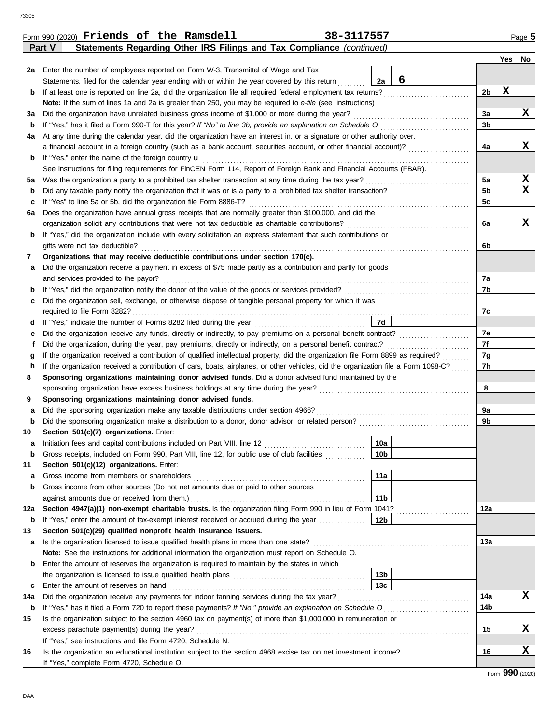|         | Statements Regarding Other IRS Filings and Tax Compliance (continued)<br>Part V                                                    |                 |   |                |     |                                                    |  |  |  |  |  |  |  |
|---------|------------------------------------------------------------------------------------------------------------------------------------|-----------------|---|----------------|-----|----------------------------------------------------|--|--|--|--|--|--|--|
|         |                                                                                                                                    |                 |   |                | Yes | No                                                 |  |  |  |  |  |  |  |
| 2a      | Enter the number of employees reported on Form W-3, Transmittal of Wage and Tax                                                    |                 |   |                |     |                                                    |  |  |  |  |  |  |  |
|         | Statements, filed for the calendar year ending with or within the year covered by this return                                      | 2a              | 6 |                |     |                                                    |  |  |  |  |  |  |  |
| b       | If at least one is reported on line 2a, did the organization file all required federal employment tax returns?                     |                 |   | 2b             | X   |                                                    |  |  |  |  |  |  |  |
|         | Note: If the sum of lines 1a and 2a is greater than 250, you may be required to e-file (see instructions)                          |                 |   |                |     |                                                    |  |  |  |  |  |  |  |
| За      | Did the organization have unrelated business gross income of \$1,000 or more during the year?                                      |                 |   | 3a             |     | x                                                  |  |  |  |  |  |  |  |
| b       | If "Yes," has it filed a Form 990-T for this year? If "No" to line 3b, provide an explanation on Schedule O                        |                 |   | 3b             |     |                                                    |  |  |  |  |  |  |  |
| 4a      | At any time during the calendar year, did the organization have an interest in, or a signature or other authority over,            |                 |   |                |     |                                                    |  |  |  |  |  |  |  |
|         | a financial account in a foreign country (such as a bank account, securities account, or other financial account)?                 |                 |   | 4a             |     | x                                                  |  |  |  |  |  |  |  |
| b       | If "Yes," enter the name of the foreign country <b>u</b>                                                                           |                 |   |                |     |                                                    |  |  |  |  |  |  |  |
|         | See instructions for filing requirements for FinCEN Form 114, Report of Foreign Bank and Financial Accounts (FBAR).                |                 |   |                |     |                                                    |  |  |  |  |  |  |  |
| 5а      | Was the organization a party to a prohibited tax shelter transaction at any time during the tax year?                              |                 |   | 5a             |     | $\overline{\mathbf{x}}$<br>$\overline{\mathbf{x}}$ |  |  |  |  |  |  |  |
| b       |                                                                                                                                    |                 |   | 5 <sub>b</sub> |     |                                                    |  |  |  |  |  |  |  |
| c       | If "Yes" to line 5a or 5b, did the organization file Form 8886-T?                                                                  |                 |   | 5c             |     |                                                    |  |  |  |  |  |  |  |
| 6а      | Does the organization have annual gross receipts that are normally greater than \$100,000, and did the                             |                 |   |                |     |                                                    |  |  |  |  |  |  |  |
|         | organization solicit any contributions that were not tax deductible as charitable contributions?                                   |                 |   | 6a             |     | x                                                  |  |  |  |  |  |  |  |
| b       | If "Yes," did the organization include with every solicitation an express statement that such contributions or                     |                 |   |                |     |                                                    |  |  |  |  |  |  |  |
|         | gifts were not tax deductible?                                                                                                     |                 |   | 6b             |     |                                                    |  |  |  |  |  |  |  |
| 7       | Organizations that may receive deductible contributions under section 170(c).                                                      |                 |   |                |     |                                                    |  |  |  |  |  |  |  |
| а       | Did the organization receive a payment in excess of \$75 made partly as a contribution and partly for goods                        |                 |   |                |     |                                                    |  |  |  |  |  |  |  |
|         | and services provided to the payor?                                                                                                |                 |   | 7а             |     |                                                    |  |  |  |  |  |  |  |
| b       |                                                                                                                                    |                 |   | 7b             |     |                                                    |  |  |  |  |  |  |  |
| с       | Did the organization sell, exchange, or otherwise dispose of tangible personal property for which it was                           |                 |   | 7c             |     |                                                    |  |  |  |  |  |  |  |
|         |                                                                                                                                    |                 |   |                |     |                                                    |  |  |  |  |  |  |  |
| d       | 7d                                                                                                                                 |                 |   |                |     |                                                    |  |  |  |  |  |  |  |
| е       | Did the organization receive any funds, directly or indirectly, to pay premiums on a personal benefit contract?                    |                 |   |                |     |                                                    |  |  |  |  |  |  |  |
|         | Did the organization, during the year, pay premiums, directly or indirectly, on a personal benefit contract?                       |                 |   |                |     |                                                    |  |  |  |  |  |  |  |
| g       | If the organization received a contribution of qualified intellectual property, did the organization file Form 8899 as required?   |                 |   |                |     |                                                    |  |  |  |  |  |  |  |
| h       | If the organization received a contribution of cars, boats, airplanes, or other vehicles, did the organization file a Form 1098-C? |                 |   | 7h             |     |                                                    |  |  |  |  |  |  |  |
| 8       | Sponsoring organizations maintaining donor advised funds. Did a donor advised fund maintained by the                               |                 |   |                |     |                                                    |  |  |  |  |  |  |  |
|         | sponsoring organization have excess business holdings at any time during the year?                                                 |                 |   | 8              |     |                                                    |  |  |  |  |  |  |  |
| 9       | Sponsoring organizations maintaining donor advised funds.                                                                          |                 |   |                |     |                                                    |  |  |  |  |  |  |  |
| а       | Did the sponsoring organization make any taxable distributions under section 4966?                                                 |                 |   | 9а             |     |                                                    |  |  |  |  |  |  |  |
| b       |                                                                                                                                    |                 |   | 9b             |     |                                                    |  |  |  |  |  |  |  |
| 10      | Section 501(c)(7) organizations. Enter:                                                                                            |                 |   |                |     |                                                    |  |  |  |  |  |  |  |
| a       |                                                                                                                                    | 10a             |   |                |     |                                                    |  |  |  |  |  |  |  |
|         | Gross receipts, included on Form 990, Part VIII, line 12, for public use of club facilities                                        | 10 <sub>b</sub> |   |                |     |                                                    |  |  |  |  |  |  |  |
| 11      | Section 501(c)(12) organizations. Enter:                                                                                           |                 |   |                |     |                                                    |  |  |  |  |  |  |  |
| а       | Gross income from members or shareholders                                                                                          | 11a             |   |                |     |                                                    |  |  |  |  |  |  |  |
| b       | Gross income from other sources (Do not net amounts due or paid to other sources<br>against amounts due or received from them.)    | 11 <sub>b</sub> |   |                |     |                                                    |  |  |  |  |  |  |  |
| 12a     | Section 4947(a)(1) non-exempt charitable trusts. Is the organization filing Form 990 in lieu of Form 1041?                         |                 |   | 12a            |     |                                                    |  |  |  |  |  |  |  |
| b       | If "Yes," enter the amount of tax-exempt interest received or accrued during the year                                              | 12 <sub>b</sub> |   |                |     |                                                    |  |  |  |  |  |  |  |
| 13      | Section 501(c)(29) qualified nonprofit health insurance issuers.                                                                   |                 |   |                |     |                                                    |  |  |  |  |  |  |  |
|         | Is the organization licensed to issue qualified health plans in more than one state?                                               |                 |   | 13а            |     |                                                    |  |  |  |  |  |  |  |
| а       | Note: See the instructions for additional information the organization must report on Schedule O.                                  |                 |   |                |     |                                                    |  |  |  |  |  |  |  |
|         | Enter the amount of reserves the organization is required to maintain by the states in which                                       |                 |   |                |     |                                                    |  |  |  |  |  |  |  |
| b       |                                                                                                                                    | 13 <sub>b</sub> |   |                |     |                                                    |  |  |  |  |  |  |  |
| c       | Enter the amount of reserves on hand                                                                                               | 13 <sub>c</sub> |   |                |     |                                                    |  |  |  |  |  |  |  |
|         | Did the organization receive any payments for indoor tanning services during the tax year?                                         |                 |   | 14a            |     | x                                                  |  |  |  |  |  |  |  |
| 14a     | If "Yes," has it filed a Form 720 to report these payments? If "No," provide an explanation on Schedule O                          |                 |   | 14b            |     |                                                    |  |  |  |  |  |  |  |
| b<br>15 | Is the organization subject to the section 4960 tax on payment(s) of more than \$1,000,000 in remuneration or                      |                 |   |                |     |                                                    |  |  |  |  |  |  |  |
|         | excess parachute payment(s) during the year?                                                                                       |                 |   | 15             |     | x                                                  |  |  |  |  |  |  |  |
|         | If "Yes," see instructions and file Form 4720, Schedule N.                                                                         |                 |   |                |     |                                                    |  |  |  |  |  |  |  |
| 16      | Is the organization an educational institution subject to the section 4968 excise tax on net investment income?                    |                 |   | 16             |     | x                                                  |  |  |  |  |  |  |  |
|         | If "Yes," complete Form 4720, Schedule O.                                                                                          |                 |   |                |     |                                                    |  |  |  |  |  |  |  |
|         |                                                                                                                                    |                 |   |                |     |                                                    |  |  |  |  |  |  |  |

|  | Form 990 (2020) $\verb Friends of the$ |  | Ramsdell | 3117557-<br>38– | Page 5 |
|--|----------------------------------------|--|----------|-----------------|--------|
|  |                                        |  |          |                 |        |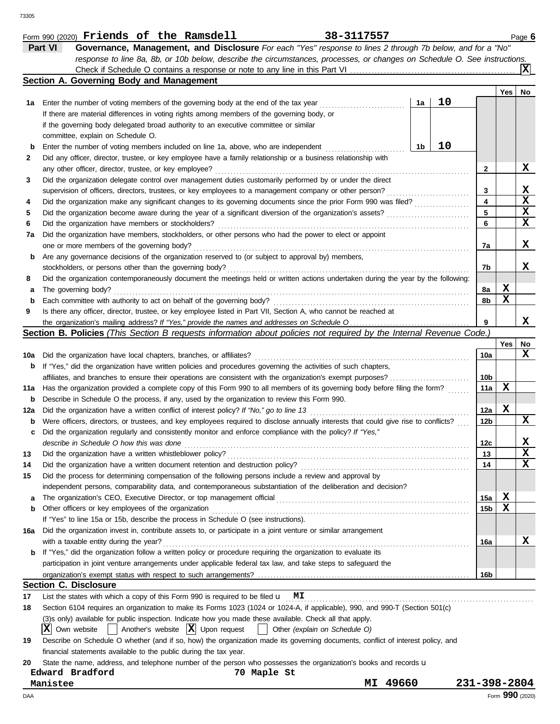|     | 38-3117557<br>Form 990 (2020) Friends of the Ramsdell                                                                               |              |                 | Page 6      |
|-----|-------------------------------------------------------------------------------------------------------------------------------------|--------------|-----------------|-------------|
|     | Part VI<br>Governance, Management, and Disclosure For each "Yes" response to lines 2 through 7b below, and for a "No"               |              |                 |             |
|     | response to line 8a, 8b, or 10b below, describe the circumstances, processes, or changes on Schedule O. See instructions.           |              |                 |             |
|     |                                                                                                                                     |              |                 | ΙXΙ         |
|     | Section A. Governing Body and Management                                                                                            |              |                 |             |
|     |                                                                                                                                     |              | Yes             | No          |
| 1а  | 10<br>1a<br>Enter the number of voting members of the governing body at the end of the tax year                                     |              |                 |             |
|     | If there are material differences in voting rights among members of the governing body, or                                          |              |                 |             |
|     | if the governing body delegated broad authority to an executive committee or similar                                                |              |                 |             |
|     | committee, explain on Schedule O.                                                                                                   |              |                 |             |
|     | 10                                                                                                                                  |              |                 |             |
| b   | 1b<br>Enter the number of voting members included on line 1a, above, who are independent                                            |              |                 |             |
| 2   | Did any officer, director, trustee, or key employee have a family relationship or a business relationship with                      |              |                 |             |
|     | any other officer, director, trustee, or key employee?                                                                              | 2            |                 | X           |
| 3   | Did the organization delegate control over management duties customarily performed by or under the direct                           |              |                 |             |
|     | supervision of officers, directors, trustees, or key employees to a management company or other person?                             | 3            |                 | X           |
| 4   | Did the organization make any significant changes to its governing documents since the prior Form 990 was filed?                    | 4            |                 | $\mathbf x$ |
| 5   | Did the organization become aware during the year of a significant diversion of the organization's assets?                          | 5            |                 | X           |
| 6   | Did the organization have members or stockholders?                                                                                  | 6            |                 | $\mathbf x$ |
| 7a  | Did the organization have members, stockholders, or other persons who had the power to elect or appoint                             |              |                 |             |
|     | one or more members of the governing body?                                                                                          | 7a           |                 | X           |
| b   | Are any governance decisions of the organization reserved to (or subject to approval by) members,                                   |              |                 |             |
|     | stockholders, or persons other than the governing body?                                                                             | 7b           |                 | x           |
| 8   | Did the organization contemporaneously document the meetings held or written actions undertaken during the year by the following:   |              |                 |             |
| а   | The governing body?                                                                                                                 | 8а           | X               |             |
| b   | Each committee with authority to act on behalf of the governing body?                                                               | 8b           | X               |             |
| 9   | Is there any officer, director, trustee, or key employee listed in Part VII, Section A, who cannot be reached at                    |              |                 |             |
|     |                                                                                                                                     | 9            |                 | X           |
|     | Section B. Policies (This Section B requests information about policies not required by the Internal Revenue Code.)                 |              |                 |             |
|     |                                                                                                                                     |              | Yes             | No          |
|     |                                                                                                                                     |              |                 | x           |
| 10a | Did the organization have local chapters, branches, or affiliates?                                                                  | 10a          |                 |             |
| b   | If "Yes," did the organization have written policies and procedures governing the activities of such chapters,                      |              |                 |             |
|     |                                                                                                                                     | 10b          |                 |             |
| 11a | Has the organization provided a complete copy of this Form 990 to all members of its governing body before filing the form?         | 11a          | X               |             |
| b   | Describe in Schedule O the process, if any, used by the organization to review this Form 990.                                       |              |                 |             |
| 12a | Did the organization have a written conflict of interest policy? If "No," go to line 13                                             | 12a          | X               |             |
| b   | Were officers, directors, or trustees, and key employees required to disclose annually interests that could give rise to conflicts? | 12b          |                 | X           |
| с   | Did the organization regularly and consistently monitor and enforce compliance with the policy? If "Yes,"                           |              |                 |             |
|     | describe in Schedule O how this was done                                                                                            | 12c          |                 | X           |
| 13  | Did the organization have a written whistleblower policy?                                                                           | 13           |                 | $\mathbf x$ |
| 14  | Did the organization have a written document retention and destruction policy?                                                      | 14           |                 | x           |
| 15  | Did the process for determining compensation of the following persons include a review and approval by                              |              |                 |             |
|     | independent persons, comparability data, and contemporaneous substantiation of the deliberation and decision?                       |              |                 |             |
| а   | The organization's CEO, Executive Director, or top management official                                                              | 15a          | X               |             |
| b   | Other officers or key employees of the organization                                                                                 | 15b          | х               |             |
|     | If "Yes" to line 15a or 15b, describe the process in Schedule O (see instructions).                                                 |              |                 |             |
| 16a | Did the organization invest in, contribute assets to, or participate in a joint venture or similar arrangement                      |              |                 |             |
|     | with a taxable entity during the year?                                                                                              | 16a          |                 | x           |
|     | If "Yes," did the organization follow a written policy or procedure requiring the organization to evaluate its                      |              |                 |             |
|     | participation in joint venture arrangements under applicable federal tax law, and take steps to safeguard the                       |              |                 |             |
|     |                                                                                                                                     |              |                 |             |
|     |                                                                                                                                     | 16b          |                 |             |
|     | <b>Section C. Disclosure</b>                                                                                                        |              |                 |             |
| 17  | List the states with which a copy of this Form 990 is required to be filed $\mathbf{u}$ MI                                          |              |                 |             |
| 18  | Section 6104 requires an organization to make its Forms 1023 (1024 or 1024-A, if applicable), 990, and 990-T (Section 501(c)        |              |                 |             |
|     | (3)s only) available for public inspection. Indicate how you made these available. Check all that apply.                            |              |                 |             |
|     | Another's website $ \mathbf{X} $ Upon request<br>IXI<br>Own website<br>Other (explain on Schedule O)<br>$\perp$                     |              |                 |             |
| 19  | Describe on Schedule O whether (and if so, how) the organization made its governing documents, conflict of interest policy, and     |              |                 |             |
|     | financial statements available to the public during the tax year.                                                                   |              |                 |             |
| 20  | State the name, address, and telephone number of the person who possesses the organization's books and records u                    |              |                 |             |
|     | Edward Bradford<br>70 Maple St                                                                                                      |              |                 |             |
|     | 49660<br>Manistee<br>MI                                                                                                             | 231-398-2804 |                 |             |
| DAA |                                                                                                                                     |              | Form 990 (2020) |             |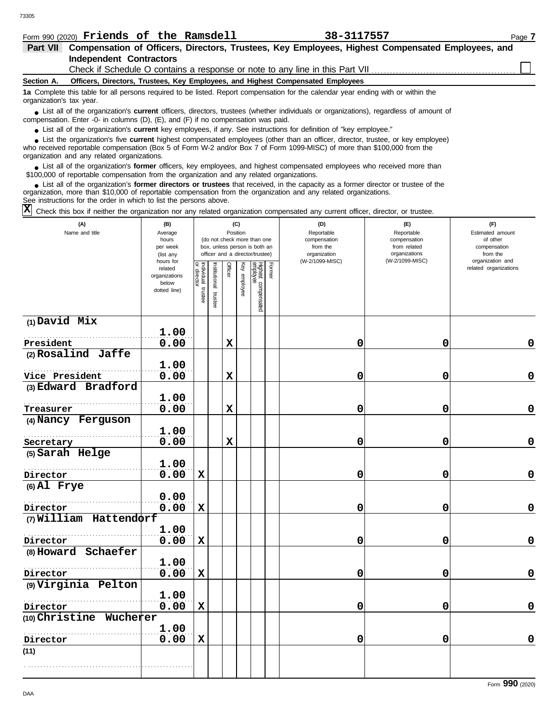|  | Form 990 (2020) Friends of the Ramsdell |  |  |                                                                                                           | 38-3117557 |  | Page 7 |
|--|-----------------------------------------|--|--|-----------------------------------------------------------------------------------------------------------|------------|--|--------|
|  |                                         |  |  | Part VII Compensation of Officers, Directors, Trustees, Key Employees, Highest Compensated Employees, and |            |  |        |
|  | Independent Contractors                 |  |  |                                                                                                           |            |  |        |

Check if Schedule O contains a response or note to any line in this Part VII

#### **Section A. Officers, Directors, Trustees, Key Employees, and Highest Compensated Employees**

**1a** Complete this table for all persons required to be listed. Report compensation for the calendar year ending with or within the organization's tax year.

■ List all of the organization's **current** officers, directors, trustees (whether individuals or organizations), regardless of amount of the companies of amount of compensation. Enter -0- in columns (D), (E), and (F) if no compensation was paid.

● List all of the organization's **current** key employees, if any. See instructions for definition of "key employee."

■ List the organization's five **current** highest compensated employees (other than an officer, director, trustee, or key employee)<br> **•** Preceived reportable compensation (Box 5 of Form *M, 2 and/or Box 7 of Form 1000 MISC* 

who received reportable compensation (Box 5 of Form W-2 and/or Box 7 of Form 1099-MISC) of more than \$100,000 from the organization and any related organizations.

■ List all of the organization's **former** officers, key employees, and highest compensated employees who received more than<br> **•** 00.000 of reportable compensation from the ergonization and any related ergonizations \$100,000 of reportable compensation from the organization and any related organizations.

■ List all of the organization's **former directors or trustees** that received, in the capacity as a former director or trustee of the<br>paization, more than \$10,000 of reportable compensation from the organization and any r organization, more than \$10,000 of reportable compensation from the organization and any related organizations. See instructions for the order in which to list the persons above.

 $\overline{X}$  Check this box if neither the organization nor any related organization compensated any current officer, director, or trustee.

| (A)<br>Name and title   | (B)<br>Average<br>hours<br>per week<br>(list any               |                                   |                       | Position    | (C)          | (do not check more than one<br>box, unless person is both an<br>officer and a director/trustee) |        | (D)<br>Reportable<br>compensation<br>from the<br>organization | (E)<br>Reportable<br>compensation<br>from related<br>organizations<br>(W-2/1099-MISC) | (F)<br>Estimated amount<br>of other<br>compensation<br>from the |
|-------------------------|----------------------------------------------------------------|-----------------------------------|-----------------------|-------------|--------------|-------------------------------------------------------------------------------------------------|--------|---------------------------------------------------------------|---------------------------------------------------------------------------------------|-----------------------------------------------------------------|
|                         | hours for<br>related<br>organizations<br>below<br>dotted line) | Individual trustee<br>or director | Institutional trustee | Officer     | Key employee | Highest compensated<br>employee                                                                 | Former | (W-2/1099-MISC)                                               |                                                                                       | organization and<br>related organizations                       |
| $(1)$ David Mix         | 1.00                                                           |                                   |                       |             |              |                                                                                                 |        |                                                               |                                                                                       |                                                                 |
| President               | 0.00                                                           |                                   |                       | $\mathbf x$ |              |                                                                                                 |        | 0                                                             | 0                                                                                     | 0                                                               |
| (2) Rosalind Jaffe      |                                                                |                                   |                       |             |              |                                                                                                 |        |                                                               |                                                                                       |                                                                 |
|                         | 1.00                                                           |                                   |                       |             |              |                                                                                                 |        |                                                               |                                                                                       |                                                                 |
| Vice President          | 0.00                                                           |                                   |                       | $\mathbf x$ |              |                                                                                                 |        | 0                                                             | 0                                                                                     | 0                                                               |
| (3) Edward Bradford     |                                                                |                                   |                       |             |              |                                                                                                 |        |                                                               |                                                                                       |                                                                 |
|                         | 1.00                                                           |                                   |                       |             |              |                                                                                                 |        |                                                               |                                                                                       |                                                                 |
| Treasurer               | 0.00                                                           |                                   |                       | $\mathbf x$ |              |                                                                                                 |        | 0                                                             | 0                                                                                     | $\mathbf 0$                                                     |
| (4) Nancy Ferguson      |                                                                |                                   |                       |             |              |                                                                                                 |        |                                                               |                                                                                       |                                                                 |
|                         | 1.00                                                           |                                   |                       |             |              |                                                                                                 |        |                                                               |                                                                                       |                                                                 |
| Secretary               | 0.00                                                           |                                   |                       | $\mathbf x$ |              |                                                                                                 |        | 0                                                             | 0                                                                                     | 0                                                               |
| (5) Sarah Helge         |                                                                |                                   |                       |             |              |                                                                                                 |        |                                                               |                                                                                       |                                                                 |
|                         | 1.00                                                           |                                   |                       |             |              |                                                                                                 |        |                                                               |                                                                                       |                                                                 |
| Director                | 0.00                                                           | $\mathbf x$                       |                       |             |              |                                                                                                 |        | 0                                                             | 0                                                                                     | 0                                                               |
| $(6)$ Al Frye           |                                                                |                                   |                       |             |              |                                                                                                 |        |                                                               |                                                                                       |                                                                 |
|                         | 0.00                                                           |                                   |                       |             |              |                                                                                                 |        |                                                               |                                                                                       |                                                                 |
| Director                | 0.00                                                           | $\mathbf x$                       |                       |             |              |                                                                                                 |        | 0                                                             | 0                                                                                     | $\mathbf 0$                                                     |
| (7) William Hattendorf  |                                                                |                                   |                       |             |              |                                                                                                 |        |                                                               |                                                                                       |                                                                 |
|                         | 1.00                                                           |                                   |                       |             |              |                                                                                                 |        |                                                               |                                                                                       |                                                                 |
| Director                | 0.00                                                           | $\mathbf x$                       |                       |             |              |                                                                                                 |        | 0                                                             | 0                                                                                     | 0                                                               |
| (8) Howard Schaefer     |                                                                |                                   |                       |             |              |                                                                                                 |        |                                                               |                                                                                       |                                                                 |
|                         | 1.00                                                           |                                   |                       |             |              |                                                                                                 |        |                                                               |                                                                                       |                                                                 |
| Director                | 0.00                                                           | $\mathbf x$                       |                       |             |              |                                                                                                 |        | 0                                                             | 0                                                                                     | $\mathbf 0$                                                     |
| (9) Virginia Pelton     |                                                                |                                   |                       |             |              |                                                                                                 |        |                                                               |                                                                                       |                                                                 |
|                         | 1.00                                                           |                                   |                       |             |              |                                                                                                 |        |                                                               |                                                                                       |                                                                 |
| Director                | 0.00                                                           | X                                 |                       |             |              |                                                                                                 |        | 0                                                             | 0                                                                                     | $\mathbf 0$                                                     |
| (10) Christine Wucherer |                                                                |                                   |                       |             |              |                                                                                                 |        |                                                               |                                                                                       |                                                                 |
|                         | 1.00                                                           |                                   |                       |             |              |                                                                                                 |        |                                                               |                                                                                       |                                                                 |
| Director                | 0.00                                                           | $\mathbf x$                       |                       |             |              |                                                                                                 |        | 0                                                             | 0                                                                                     | 0                                                               |
| (11)                    |                                                                |                                   |                       |             |              |                                                                                                 |        |                                                               |                                                                                       |                                                                 |
|                         |                                                                |                                   |                       |             |              |                                                                                                 |        |                                                               |                                                                                       |                                                                 |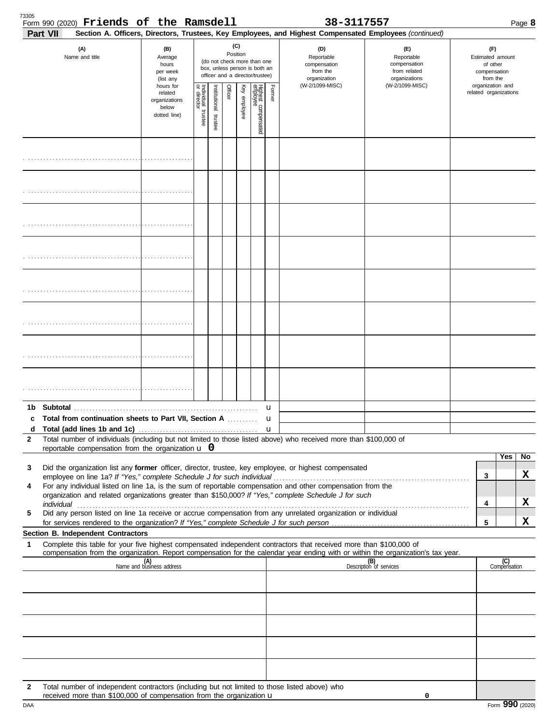| 73305<br>Form 990 (2020) Friends of the Ramsdell<br>Part VII                                                                                                                                                              |                                                                |                                      |                          |         |                 |                                                                                                 |             | 38-3117557<br>Section A. Officers, Directors, Trustees, Key Employees, and Highest Compensated Employees (continued) |                                                                    |                                                                 |                       | Page 8 |  |
|---------------------------------------------------------------------------------------------------------------------------------------------------------------------------------------------------------------------------|----------------------------------------------------------------|--------------------------------------|--------------------------|---------|-----------------|-------------------------------------------------------------------------------------------------|-------------|----------------------------------------------------------------------------------------------------------------------|--------------------------------------------------------------------|-----------------------------------------------------------------|-----------------------|--------|--|
| (A)<br>Name and title                                                                                                                                                                                                     | (B)<br>Average<br>hours<br>per week<br>(list any               |                                      |                          |         | (C)<br>Position | (do not check more than one<br>box, unless person is both an<br>officer and a director/trustee) |             | (D)<br>Reportable<br>compensation<br>from the<br>organization                                                        | (E)<br>Reportable<br>compensation<br>from related<br>organizations | (F)<br>Estimated amount<br>of other<br>compensation<br>from the |                       |        |  |
|                                                                                                                                                                                                                           | hours for<br>related<br>organizations<br>below<br>dotted line) | Individual<br>or director<br>trustee | Institutional<br>trustee | Officer | Key employee    | Highest compensated<br>employee                                                                 | Former      | (W-2/1099-MISC)                                                                                                      | (W-2/1099-MISC)                                                    | organization and                                                | related organizations |        |  |
|                                                                                                                                                                                                                           |                                                                |                                      |                          |         |                 |                                                                                                 |             |                                                                                                                      |                                                                    |                                                                 |                       |        |  |
|                                                                                                                                                                                                                           |                                                                |                                      |                          |         |                 |                                                                                                 |             |                                                                                                                      |                                                                    |                                                                 |                       |        |  |
|                                                                                                                                                                                                                           |                                                                |                                      |                          |         |                 |                                                                                                 |             |                                                                                                                      |                                                                    |                                                                 |                       |        |  |
|                                                                                                                                                                                                                           |                                                                |                                      |                          |         |                 |                                                                                                 |             |                                                                                                                      |                                                                    |                                                                 |                       |        |  |
|                                                                                                                                                                                                                           |                                                                |                                      |                          |         |                 |                                                                                                 |             |                                                                                                                      |                                                                    |                                                                 |                       |        |  |
|                                                                                                                                                                                                                           |                                                                |                                      |                          |         |                 |                                                                                                 |             |                                                                                                                      |                                                                    |                                                                 |                       |        |  |
|                                                                                                                                                                                                                           |                                                                |                                      |                          |         |                 |                                                                                                 |             |                                                                                                                      |                                                                    |                                                                 |                       |        |  |
|                                                                                                                                                                                                                           |                                                                |                                      |                          |         |                 |                                                                                                 |             |                                                                                                                      |                                                                    |                                                                 |                       |        |  |
| 1b                                                                                                                                                                                                                        |                                                                |                                      |                          |         |                 |                                                                                                 | u           |                                                                                                                      |                                                                    |                                                                 |                       |        |  |
| Total from continuation sheets to Part VII, Section A<br>c                                                                                                                                                                |                                                                |                                      |                          |         |                 |                                                                                                 | u           |                                                                                                                      |                                                                    |                                                                 |                       |        |  |
| d<br>Total number of individuals (including but not limited to those listed above) who received more than \$100,000 of<br>2                                                                                               |                                                                |                                      |                          |         |                 |                                                                                                 | $\mathbf u$ |                                                                                                                      |                                                                    |                                                                 |                       |        |  |
| reportable compensation from the organization $\bf{u}$ 0                                                                                                                                                                  |                                                                |                                      |                          |         |                 |                                                                                                 |             |                                                                                                                      |                                                                    |                                                                 | Yes                   | No     |  |
| Did the organization list any former officer, director, trustee, key employee, or highest compensated<br>3                                                                                                                |                                                                |                                      |                          |         |                 |                                                                                                 |             |                                                                                                                      |                                                                    |                                                                 |                       |        |  |
| For any individual listed on line 1a, is the sum of reportable compensation and other compensation from the<br>4<br>organization and related organizations greater than \$150,000? If "Yes," complete Schedule J for such |                                                                |                                      |                          |         |                 |                                                                                                 |             |                                                                                                                      |                                                                    | 3                                                               |                       | x      |  |
| Did any person listed on line 1a receive or accrue compensation from any unrelated organization or individual<br>5                                                                                                        |                                                                |                                      |                          |         |                 |                                                                                                 |             |                                                                                                                      |                                                                    | 4                                                               |                       | X      |  |
|                                                                                                                                                                                                                           |                                                                |                                      |                          |         |                 |                                                                                                 |             |                                                                                                                      |                                                                    | 5                                                               |                       | x      |  |
| Section B. Independent Contractors<br>Complete this table for your five highest compensated independent contractors that received more than \$100,000 of<br>1                                                             |                                                                |                                      |                          |         |                 |                                                                                                 |             |                                                                                                                      |                                                                    |                                                                 |                       |        |  |
| compensation from the organization. Report compensation for the calendar year ending with or within the organization's tax year.                                                                                          | (A)<br>Name and business address                               |                                      |                          |         |                 |                                                                                                 |             |                                                                                                                      | (B)<br>Description of services                                     |                                                                 | (C)<br>Compensation   |        |  |
|                                                                                                                                                                                                                           |                                                                |                                      |                          |         |                 |                                                                                                 |             |                                                                                                                      |                                                                    |                                                                 |                       |        |  |
|                                                                                                                                                                                                                           |                                                                |                                      |                          |         |                 |                                                                                                 |             |                                                                                                                      |                                                                    |                                                                 |                       |        |  |
|                                                                                                                                                                                                                           |                                                                |                                      |                          |         |                 |                                                                                                 |             |                                                                                                                      |                                                                    |                                                                 |                       |        |  |
|                                                                                                                                                                                                                           |                                                                |                                      |                          |         |                 |                                                                                                 |             |                                                                                                                      |                                                                    |                                                                 |                       |        |  |
|                                                                                                                                                                                                                           |                                                                |                                      |                          |         |                 |                                                                                                 |             |                                                                                                                      |                                                                    |                                                                 |                       |        |  |
| Total number of independent contractors (including but not limited to those listed above) who<br>$\mathbf{2}$<br>received more than \$100,000 of compensation from the organization u                                     |                                                                |                                      |                          |         |                 |                                                                                                 |             |                                                                                                                      | 0                                                                  |                                                                 |                       |        |  |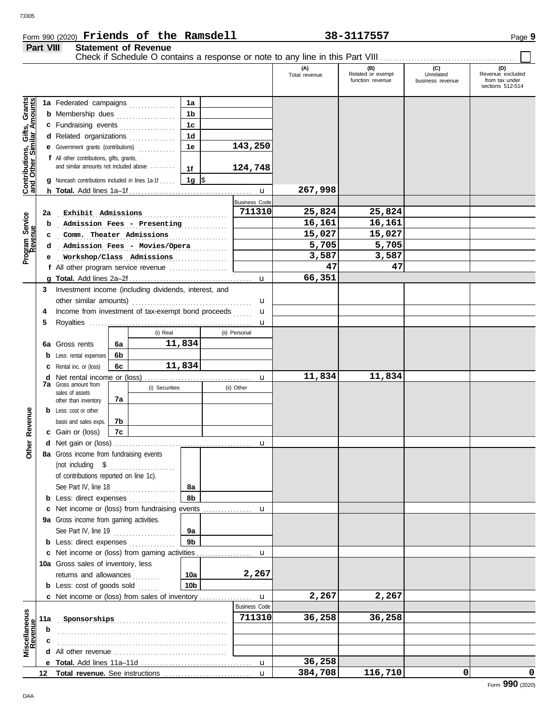### Form 990 (2020) Page **9 Friends of the Ramsdell 38-3117557**

**Part VIII Statement of Revenue**

#### **(A) (B) (C) (D)** Total revenue Related or exempt Unrelated Revenue excluded Related or exempt Unrelated Revenue excluded<br>
function revenue business revenue from tax under sections 512-514 Gifts, Grants<br>illar Amounts **Contributions, Gifts, Grants and Other Similar Amounts 1a** Federated campaigns **. . . . . . . . . . . . 1a 1b b** Membership dues . . . . . . . . . . . . . . . . **1c c** Fundraising events . . . . . . . . . . . . . . . . **1d d** Related organizations ................ **143,250 1e** Contributions,<br>and Other Sim **e** Government grants (contributions) . . . . . . . . . . . . **f** All other contributions, gifts, grants, and similar amounts not included above ........ **124,748 1f 1g g** Noncash contributions included in lines 1a-1f . . . . .  $\frac{\$}{\$}$ **267,998** u **h Total.** Add lines 1a–1f . . . . . . . . . . . . . . . . . . . . . . . . . . . . . . . . . . . . . . . . Business Code . . . . . . . . . . . . . . . . . . . . . . . . . . . . . . . . . . . . . . . . . . . . . . . . . . . . . . . **2a Exhibit Admissions 711310 25,824 25,824** Program Service<br>Revenue **Program Service Admission Fees - Presenting 16,161 16,161 16,161 b Comm.** Theater Admissions **15,027 15,027 c Admission Fees - Movies/Opera 5,705 5,705 d e** . . . . . . . . . . . . . . . . . . . . . . . . . . . . . . . . . . . . . . . . . . . . . . . . . . . . . . . **Workshop/Class Admissions 3,587 3,587 47 47 f** All other program service revenue . . . . . . . . . . . . . . . . . . . **66,351 g Total.** Add lines 2a–2f . . . . . . . . . . . . . . . . . . . . . . . . . . . . . . . . . . . . . . . . u **3** Investment income (including dividends, interest, and other similar amounts) . . . . . . . . . . . . . . . . . . . . . . . . . . . . . . . . . . . . . . . u u **4** Income from investment of tax-exempt bond proceeds ...... **5** Royalties . . . . . . . . . . . . . . . . . . . . . . . . . . . . . . . . . . . . . . . . . . . . . . . . . . . . . u (i) Real (ii) Personal **11,834 6a 6a** Gross rents **6b b** Less: rental expenses **11,834 6c c** Rental inc. or (loss) **11,834 11,834 d** Net rental income or (loss) . . . . . . . . . . . . . . . . . . . . . . . . . . . . . . . . . . . u **7a** Gross amount from (i) Securities (ii) Other sales of assets **7a** other than inventory Revenue **b** Less: cost or other **Other Revenue** basis and sales exps. **7b 7c c** Gain or (loss) Other I **d** u Net gain or (loss) . . . . . . . . . . . . . . . . . . . . . . . . . . . . . . . . . . . . . . . . . . . . . **8a** Gross income from fundraising events (not including \$ . . . . . . . . . . . . . . . . . . . . . . of contributions reported on line 1c). See Part IV, line 18 . . . . . . . . . . . . . . . . . . . . **8a 8b b** Less: direct expenses ................ u **c** Net income or (loss) from fundraising events ................ **9a** Gross income from gaming activities. See Part IV, line 19 . . . . . . . . . . . . . . . . . . . . **9a 9b b** Less: direct expenses ............... u Net income or (loss) from gaming activities . . . . . . . . . . . . . . . . . . **c** 10a Gross sales of inventory, less returns and allowances . . . . . . . . **10a 2,267 10b b** Less: cost of goods sold ...... u **2,267 2,267 c** Net income or (loss) from sales of inventory ................ Business Code **Scellaneous**<br>Revenue **Miscellaneous** . . . . . . . . . . . . . . . . . . . . . . . . . . . . . . . . . . . . . . . . . . . . . . . . . . . . . . . **Sponsorships 711310 36,258 36,258 11a b** . . . . . . . . . . . . . . . . . . . . . . . . . . . . . . . . . . . . . . . . . . . . . . . . . . . . . . . **c** . . . . . . . . . . . . . . . . . . . . . . . . . . . . . . . . . . . . . . . . . . . . . . . . . . . . . . . **d** All other revenue . . . . . . . . . . . . . . . . . . . . . . . . . . . . . . . . . . . . . **36,258** u **e Total.** Add lines 11a–11d . . . . . . . . . . . . . . . . . . . . . . . . . . . . . . . . . . . . **384,708 116,710 0 0** u **Total revenue.** See instructions . . . . . . . . . . . . . . . . . . . . . . . . . . . . . **12**

Check if Schedule O contains a response or note to any line in this Part VIII .......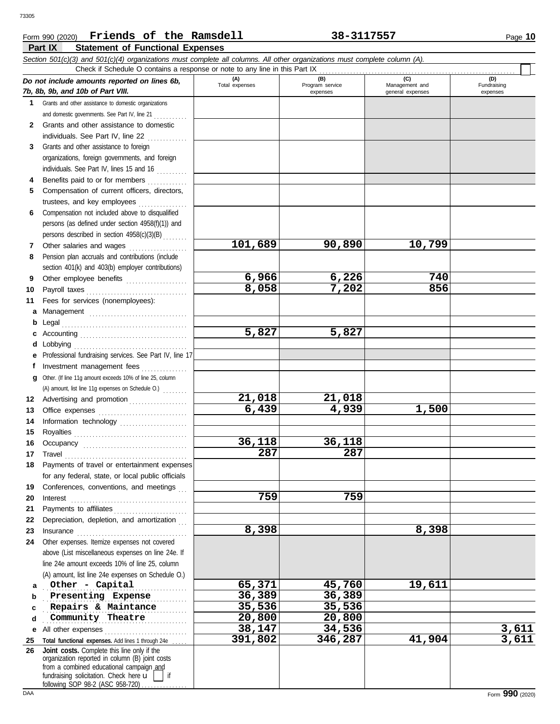#### **Part IX Statement of Functional Expenses** Form 990 (2020) Page **10 Friends of the Ramsdell 38-3117557**

|          | Section 501(c)(3) and 501(c)(4) organizations must complete all columns. All other organizations must complete column (A).<br>Check if Schedule O contains a response or note to any line in this Part IX                                                                                                                                                                                                                                                                                                                                                |                |                             |                                    |                         |
|----------|----------------------------------------------------------------------------------------------------------------------------------------------------------------------------------------------------------------------------------------------------------------------------------------------------------------------------------------------------------------------------------------------------------------------------------------------------------------------------------------------------------------------------------------------------------|----------------|-----------------------------|------------------------------------|-------------------------|
|          | Do not include amounts reported on lines 6b,                                                                                                                                                                                                                                                                                                                                                                                                                                                                                                             | (A)            | (B)                         | (C)                                | (D)                     |
|          | 7b, 8b, 9b, and 10b of Part VIII.                                                                                                                                                                                                                                                                                                                                                                                                                                                                                                                        | Total expenses | Program service<br>expenses | Management and<br>general expenses | Fundraising<br>expenses |
|          | 1 Grants and other assistance to domestic organizations                                                                                                                                                                                                                                                                                                                                                                                                                                                                                                  |                |                             |                                    |                         |
|          | and domestic governments. See Part IV, line 21                                                                                                                                                                                                                                                                                                                                                                                                                                                                                                           |                |                             |                                    |                         |
| 2        | Grants and other assistance to domestic                                                                                                                                                                                                                                                                                                                                                                                                                                                                                                                  |                |                             |                                    |                         |
|          | individuals. See Part IV, line 22                                                                                                                                                                                                                                                                                                                                                                                                                                                                                                                        |                |                             |                                    |                         |
| 3        | Grants and other assistance to foreign                                                                                                                                                                                                                                                                                                                                                                                                                                                                                                                   |                |                             |                                    |                         |
|          | organizations, foreign governments, and foreign                                                                                                                                                                                                                                                                                                                                                                                                                                                                                                          |                |                             |                                    |                         |
|          | individuals. See Part IV, lines 15 and 16                                                                                                                                                                                                                                                                                                                                                                                                                                                                                                                |                |                             |                                    |                         |
| 4        | Benefits paid to or for members<br>.                                                                                                                                                                                                                                                                                                                                                                                                                                                                                                                     |                |                             |                                    |                         |
| 5        | Compensation of current officers, directors,                                                                                                                                                                                                                                                                                                                                                                                                                                                                                                             |                |                             |                                    |                         |
|          | trustees, and key employees                                                                                                                                                                                                                                                                                                                                                                                                                                                                                                                              |                |                             |                                    |                         |
| 6        | Compensation not included above to disqualified                                                                                                                                                                                                                                                                                                                                                                                                                                                                                                          |                |                             |                                    |                         |
|          | persons (as defined under section 4958(f)(1)) and                                                                                                                                                                                                                                                                                                                                                                                                                                                                                                        |                |                             |                                    |                         |
|          | persons described in section 4958(c)(3)(B)                                                                                                                                                                                                                                                                                                                                                                                                                                                                                                               |                |                             |                                    |                         |
| 7        | Other salaries and wages                                                                                                                                                                                                                                                                                                                                                                                                                                                                                                                                 | 101,689        | 90,890                      | 10,799                             |                         |
| 8        | Pension plan accruals and contributions (include                                                                                                                                                                                                                                                                                                                                                                                                                                                                                                         |                |                             |                                    |                         |
|          | section 401(k) and 403(b) employer contributions)                                                                                                                                                                                                                                                                                                                                                                                                                                                                                                        |                |                             |                                    |                         |
| 9        | Other employee benefits                                                                                                                                                                                                                                                                                                                                                                                                                                                                                                                                  | 6,966          | 6,226                       | 740                                |                         |
| 10       | Payroll taxes                                                                                                                                                                                                                                                                                                                                                                                                                                                                                                                                            | 8,058          | 7,202                       | 856                                |                         |
| 11       | Fees for services (nonemployees):                                                                                                                                                                                                                                                                                                                                                                                                                                                                                                                        |                |                             |                                    |                         |
| а        | Management                                                                                                                                                                                                                                                                                                                                                                                                                                                                                                                                               |                |                             |                                    |                         |
| b        | Legal                                                                                                                                                                                                                                                                                                                                                                                                                                                                                                                                                    |                |                             |                                    |                         |
|          |                                                                                                                                                                                                                                                                                                                                                                                                                                                                                                                                                          | 5,827          | 5,827                       |                                    |                         |
| d        | Lobbying                                                                                                                                                                                                                                                                                                                                                                                                                                                                                                                                                 |                |                             |                                    |                         |
|          | Professional fundraising services. See Part IV, line 17                                                                                                                                                                                                                                                                                                                                                                                                                                                                                                  |                |                             |                                    |                         |
|          | Investment management fees<br>.                                                                                                                                                                                                                                                                                                                                                                                                                                                                                                                          |                |                             |                                    |                         |
| g        | Other. (If line 11g amount exceeds 10% of line 25, column                                                                                                                                                                                                                                                                                                                                                                                                                                                                                                |                |                             |                                    |                         |
|          | (A) amount, list line 11g expenses on Schedule O.)                                                                                                                                                                                                                                                                                                                                                                                                                                                                                                       |                |                             |                                    |                         |
| 12       | Advertising and promotion                                                                                                                                                                                                                                                                                                                                                                                                                                                                                                                                | 21,018         | 21,018                      |                                    |                         |
| 13       |                                                                                                                                                                                                                                                                                                                                                                                                                                                                                                                                                          | 6,439          | 4,939                       | 1,500                              |                         |
| 14       |                                                                                                                                                                                                                                                                                                                                                                                                                                                                                                                                                          |                |                             |                                    |                         |
| 15       |                                                                                                                                                                                                                                                                                                                                                                                                                                                                                                                                                          |                |                             |                                    |                         |
| 16       |                                                                                                                                                                                                                                                                                                                                                                                                                                                                                                                                                          | 36,118         | 36,118                      |                                    |                         |
| 17       | $\begin{minipage}{0.5\textwidth} \centering \begin{tabular}{@{}c@{}} \textbf{True} & \textbf{True} \\ \textbf{True} & \textbf{True} \\ \textbf{True} & \textbf{True} \\ \textbf{True} & \textbf{True} \\ \end{tabular} \end{minipage}$                                                                                                                                                                                                                                                                                                                   | 287            | 287                         |                                    |                         |
|          | Payments of travel or entertainment expenses                                                                                                                                                                                                                                                                                                                                                                                                                                                                                                             |                |                             |                                    |                         |
|          | for any federal, state, or local public officials                                                                                                                                                                                                                                                                                                                                                                                                                                                                                                        |                |                             |                                    |                         |
| 19       | Conferences, conventions, and meetings                                                                                                                                                                                                                                                                                                                                                                                                                                                                                                                   | 759            | 759                         |                                    |                         |
| 20       | Interest                                                                                                                                                                                                                                                                                                                                                                                                                                                                                                                                                 |                |                             |                                    |                         |
| 21       | Payments to affiliates                                                                                                                                                                                                                                                                                                                                                                                                                                                                                                                                   |                |                             |                                    |                         |
| 22       | Depreciation, depletion, and amortization                                                                                                                                                                                                                                                                                                                                                                                                                                                                                                                | 8,398          |                             | 8,398                              |                         |
| 23<br>24 | $In \textbf{surance} \begin{tabular}{@{}l@{}} \hline \textbf{unsum} & \textbf{unsum} \\ \hline \textbf{unsum} & \textbf{unsum} \\ \hline \textbf{unsum} & \textbf{unsum} \\ \hline \textbf{unsum} & \textbf{unsum} \\ \hline \textbf{unsum} & \textbf{unsum} \\ \hline \textbf{unsum} & \textbf{unsum} \\ \hline \textbf{unsum} & \textbf{unsum} \\ \hline \textbf{unsum} & \textbf{unsum} \\ \hline \textbf{unsum} & \textbf{unsum} \\ \hline \textbf{unsum} & \textbf{unsum} \\ \hline \textbf{unsum}$<br>Other expenses. Itemize expenses not covered |                |                             |                                    |                         |
|          | above (List miscellaneous expenses on line 24e. If                                                                                                                                                                                                                                                                                                                                                                                                                                                                                                       |                |                             |                                    |                         |
|          | line 24e amount exceeds 10% of line 25, column                                                                                                                                                                                                                                                                                                                                                                                                                                                                                                           |                |                             |                                    |                         |
|          | (A) amount, list line 24e expenses on Schedule O.)                                                                                                                                                                                                                                                                                                                                                                                                                                                                                                       |                |                             |                                    |                         |
| a        | Other - Capital                                                                                                                                                                                                                                                                                                                                                                                                                                                                                                                                          | 65,371         | 45,760                      | 19,611                             |                         |
| b        | Presenting Expense                                                                                                                                                                                                                                                                                                                                                                                                                                                                                                                                       | 36,389         | 36,389                      |                                    |                         |
| C        | Repairs & Maintance                                                                                                                                                                                                                                                                                                                                                                                                                                                                                                                                      | 35,536         | 35,536                      |                                    |                         |
| d        | Community Theatre                                                                                                                                                                                                                                                                                                                                                                                                                                                                                                                                        | 20,800         | 20,800                      |                                    |                         |
| е        | All other expenses                                                                                                                                                                                                                                                                                                                                                                                                                                                                                                                                       | 38,147         | 34,536                      |                                    | 3,611                   |
| 25       | Total functional expenses. Add lines 1 through 24e                                                                                                                                                                                                                                                                                                                                                                                                                                                                                                       | 391,802        | 346,287                     | 41,904                             | 3,611                   |
| 26       | Joint costs. Complete this line only if the                                                                                                                                                                                                                                                                                                                                                                                                                                                                                                              |                |                             |                                    |                         |
|          | organization reported in column (B) joint costs                                                                                                                                                                                                                                                                                                                                                                                                                                                                                                          |                |                             |                                    |                         |
|          | from a combined educational campaign and<br>fundraising solicitation. Check here $\mathbf{u}$<br>if                                                                                                                                                                                                                                                                                                                                                                                                                                                      |                |                             |                                    |                         |
|          | following SOP 98-2 (ASC 958-720)                                                                                                                                                                                                                                                                                                                                                                                                                                                                                                                         |                |                             |                                    |                         |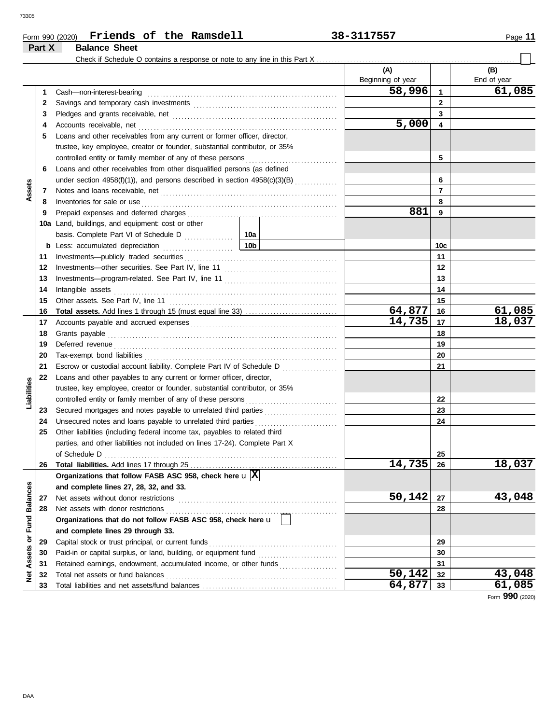**Part X Balance Sheet** 

 $\Box$ 

|                             |    |                                                                                                                                                                                                                                     |                 | (A)<br>Beginning of year |     | (B)<br>End of year |
|-----------------------------|----|-------------------------------------------------------------------------------------------------------------------------------------------------------------------------------------------------------------------------------------|-----------------|--------------------------|-----|--------------------|
|                             | 1  | Cash-non-interest-bearing                                                                                                                                                                                                           |                 | 58,996                   | 1   | 61,085             |
|                             | 2  |                                                                                                                                                                                                                                     |                 |                          | 2   |                    |
|                             | 3  |                                                                                                                                                                                                                                     |                 | 3                        |     |                    |
|                             | 4  | Accounts receivable, net                                                                                                                                                                                                            | 5,000           | 4                        |     |                    |
|                             | 5  | Loans and other receivables from any current or former officer, director,                                                                                                                                                           |                 |                          |     |                    |
|                             |    | trustee, key employee, creator or founder, substantial contributor, or 35%                                                                                                                                                          |                 |                          |     |                    |
|                             |    | controlled entity or family member of any of these persons                                                                                                                                                                          |                 |                          | 5   |                    |
|                             | 6  | Loans and other receivables from other disqualified persons (as defined                                                                                                                                                             |                 |                          |     |                    |
|                             |    | under section 4958(f)(1)), and persons described in section 4958(c)(3)(B)                                                                                                                                                           |                 |                          | 6   |                    |
| Assets                      | 7  |                                                                                                                                                                                                                                     |                 |                          | 7   |                    |
|                             | 8  | Inventories for sale or use <i>communication</i> and the state of the contract of the state of the state of the state of the state of the state of the state of the state of the state of the state of the state of the state of th |                 |                          | 8   |                    |
|                             | 9  | Prepaid expenses and deferred charges                                                                                                                                                                                               |                 | 881                      | 9   |                    |
|                             |    | 10a Land, buildings, and equipment: cost or other                                                                                                                                                                                   |                 |                          |     |                    |
|                             |    |                                                                                                                                                                                                                                     | 10a             |                          |     |                    |
|                             |    |                                                                                                                                                                                                                                     | 10 <sub>b</sub> |                          | 10c |                    |
|                             | 11 | Investments-publicly traded securities                                                                                                                                                                                              |                 |                          | 11  |                    |
|                             | 12 |                                                                                                                                                                                                                                     |                 |                          | 12  |                    |
|                             | 13 |                                                                                                                                                                                                                                     |                 |                          | 13  |                    |
|                             | 14 | Intangible assets                                                                                                                                                                                                                   |                 |                          | 14  |                    |
|                             | 15 |                                                                                                                                                                                                                                     |                 |                          | 15  |                    |
|                             | 16 |                                                                                                                                                                                                                                     |                 | 64,877                   | 16  | 61,085             |
|                             | 17 |                                                                                                                                                                                                                                     |                 | 14,735                   | 17  | 18,037             |
|                             | 18 | Grants payable <i>communication</i> and all the contract of the contract of the contract of the contract of the contract of the contract of the contract of the contract of the contract of the contract of the contract of the con |                 | 18                       |     |                    |
|                             | 19 |                                                                                                                                                                                                                                     |                 | 19                       |     |                    |
|                             | 20 |                                                                                                                                                                                                                                     |                 | 20                       |     |                    |
|                             | 21 | Escrow or custodial account liability. Complete Part IV of Schedule D                                                                                                                                                               |                 |                          | 21  |                    |
|                             | 22 | Loans and other payables to any current or former officer, director,                                                                                                                                                                |                 |                          |     |                    |
| Liabilities                 |    | trustee, key employee, creator or founder, substantial contributor, or 35%                                                                                                                                                          |                 |                          |     |                    |
|                             |    | controlled entity or family member of any of these persons                                                                                                                                                                          |                 |                          | 22  |                    |
|                             | 23 |                                                                                                                                                                                                                                     |                 |                          | 23  |                    |
|                             | 24 | Unsecured notes and loans payable to unrelated third parties                                                                                                                                                                        |                 |                          | 24  |                    |
|                             | 25 | Other liabilities (including federal income tax, payables to related third                                                                                                                                                          |                 |                          |     |                    |
|                             |    | parties, and other liabilities not included on lines 17-24). Complete Part X                                                                                                                                                        |                 |                          |     |                    |
|                             |    |                                                                                                                                                                                                                                     |                 |                          | 25  |                    |
|                             | 26 | <b>Total liabilities.</b> Add lines 17 through 25                                                                                                                                                                                   |                 | 14,735                   | 26  | 18,037             |
|                             |    | Organizations that follow FASB ASC 958, check here $\mathbf{u} \mathbf{X} $                                                                                                                                                         |                 |                          |     |                    |
|                             |    | and complete lines 27, 28, 32, and 33.                                                                                                                                                                                              |                 |                          |     |                    |
|                             | 27 | Net assets without donor restrictions                                                                                                                                                                                               |                 | 50,142                   | 27  | 43,048             |
|                             | 28 | Net assets with donor restrictions                                                                                                                                                                                                  |                 |                          | 28  |                    |
|                             |    | Organizations that do not follow FASB ASC 958, check here u                                                                                                                                                                         |                 |                          |     |                    |
|                             |    | and complete lines 29 through 33.                                                                                                                                                                                                   |                 |                          |     |                    |
| Net Assets or Fund Balances | 29 | Capital stock or trust principal, or current funds                                                                                                                                                                                  |                 |                          | 29  |                    |
|                             | 30 |                                                                                                                                                                                                                                     |                 |                          | 30  |                    |
|                             | 31 | Retained earnings, endowment, accumulated income, or other funds                                                                                                                                                                    |                 |                          | 31  |                    |
|                             | 32 | Total net assets or fund balances                                                                                                                                                                                                   |                 | 50,142                   | 32  | 43,048             |
|                             | 33 |                                                                                                                                                                                                                                     |                 | 64,877                   | 33  | 61,085             |

Form **990** (2020)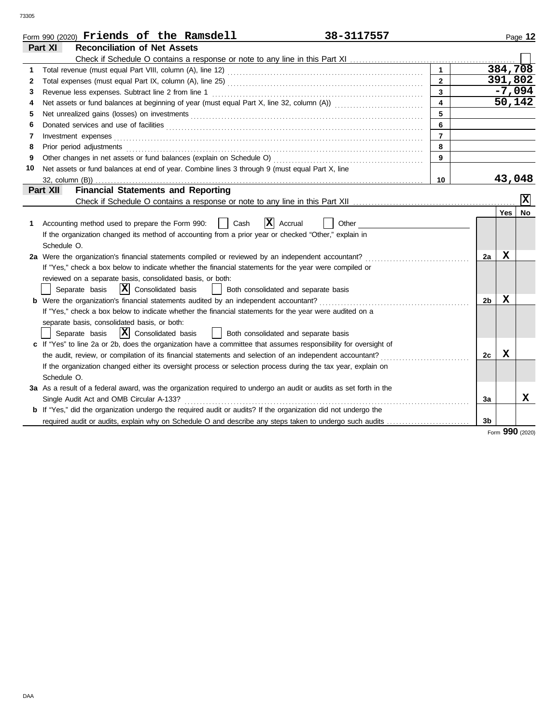|    | Form 990 (2020) Friends of the Ramsdell<br>38-3117557                                                                 |                         |    |         | Page 12                 |
|----|-----------------------------------------------------------------------------------------------------------------------|-------------------------|----|---------|-------------------------|
|    | Part XI<br><b>Reconciliation of Net Assets</b>                                                                        |                         |    |         |                         |
|    |                                                                                                                       |                         |    |         |                         |
| 1  |                                                                                                                       |                         |    |         | 384,708                 |
| 2  |                                                                                                                       | $\mathbf{2}$            |    | 391,802 |                         |
| 3  | Revenue less expenses. Subtract line 2 from line 1                                                                    | 3                       |    |         | $-7,094$                |
| 4  |                                                                                                                       | $\overline{\mathbf{4}}$ |    |         | 50,142                  |
| 5  |                                                                                                                       | 5                       |    |         |                         |
| 6  |                                                                                                                       | 6                       |    |         |                         |
| 7  | Investment expenses                                                                                                   | $\overline{7}$          |    |         |                         |
| 8  | Prior period adjustments                                                                                              | 8                       |    |         |                         |
| 9  | Other changes in net assets or fund balances (explain on Schedule O)                                                  | 9                       |    |         |                         |
| 10 | Net assets or fund balances at end of year. Combine lines 3 through 9 (must equal Part X, line                        |                         |    |         |                         |
|    |                                                                                                                       | 10                      |    | 43,048  |                         |
|    | <b>Financial Statements and Reporting</b><br>Part XII                                                                 |                         |    |         |                         |
|    |                                                                                                                       |                         |    |         | $\mathbf{\overline{x}}$ |
|    |                                                                                                                       |                         |    | Yes l   | <b>No</b>               |
| 1  | $ \mathbf{X} $ Accrual<br>Accounting method used to prepare the Form 990:<br>Cash<br>Other                            |                         |    |         |                         |
|    | If the organization changed its method of accounting from a prior year or checked "Other," explain in                 |                         |    |         |                         |
|    | Schedule O.                                                                                                           |                         |    |         |                         |
|    | 2a Were the organization's financial statements compiled or reviewed by an independent accountant?                    |                         | 2a | х       |                         |
|    | If "Yes," check a box below to indicate whether the financial statements for the year were compiled or                |                         |    |         |                         |
|    | reviewed on a separate basis, consolidated basis, or both:                                                            |                         |    |         |                         |
|    | $\overline{\mathbf{X}}$ Consolidated basis<br>Separate basis<br>Both consolidated and separate basis                  |                         |    |         |                         |
|    | <b>b</b> Were the organization's financial statements audited by an independent accountant?                           |                         | 2b | X       |                         |
|    | If "Yes," check a box below to indicate whether the financial statements for the year were audited on a               |                         |    |         |                         |
|    | separate basis, consolidated basis, or both:                                                                          |                         |    |         |                         |
|    | $ \mathbf{X} $ Consolidated basis<br>Separate basis<br>Both consolidated and separate basis                           |                         |    |         |                         |
|    | c If "Yes" to line 2a or 2b, does the organization have a committee that assumes responsibility for oversight of      |                         |    |         |                         |
|    | the audit, review, or compilation of its financial statements and selection of an independent accountant?             |                         | 2c | X       |                         |
|    | If the organization changed either its oversight process or selection process during the tax year, explain on         |                         |    |         |                         |
|    | Schedule O.                                                                                                           |                         |    |         |                         |
|    | 3a As a result of a federal award, was the organization required to undergo an audit or audits as set forth in the    |                         |    |         |                         |
|    | Single Audit Act and OMB Circular A-133?                                                                              |                         | За |         | X                       |
|    | <b>b</b> If "Yes," did the organization undergo the required audit or audits? If the organization did not undergo the |                         |    |         |                         |
|    | required audit or audits, explain why on Schedule O and describe any steps taken to undergo such audits               |                         | 3b |         |                         |
|    |                                                                                                                       |                         |    |         | Form 990 (2020)         |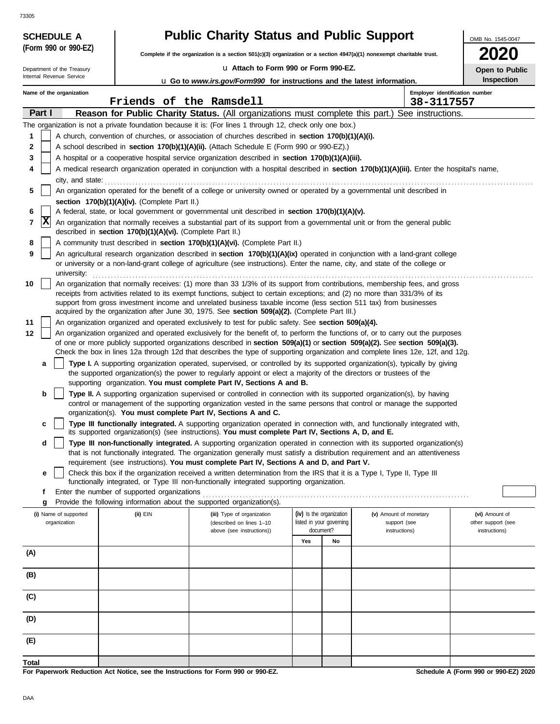| <b>SCHEDULE A</b>          |                                                                                                                      | <b>Public Charity Status and Public Support</b>                                                                                                                                                                                                                 |                          |    |                        | OMB No. 1545-0047              |  |
|----------------------------|----------------------------------------------------------------------------------------------------------------------|-----------------------------------------------------------------------------------------------------------------------------------------------------------------------------------------------------------------------------------------------------------------|--------------------------|----|------------------------|--------------------------------|--|
| (Form 990 or 990-EZ)       | Complete if the organization is a section 501(c)(3) organization or a section 4947(a)(1) nonexempt charitable trust. |                                                                                                                                                                                                                                                                 |                          |    |                        |                                |  |
| Department of the Treasury |                                                                                                                      | u Attach to Form 990 or Form 990-EZ.                                                                                                                                                                                                                            |                          |    |                        |                                |  |
| Internal Revenue Service   |                                                                                                                      | <b>u</b> Go to www.irs.gov/Form990 for instructions and the latest information.                                                                                                                                                                                 |                          |    |                        | Inspection                     |  |
| Name of the organization   |                                                                                                                      |                                                                                                                                                                                                                                                                 |                          |    |                        | Employer identification number |  |
| Part I                     | Friends of the Ramsdell                                                                                              | Reason for Public Charity Status. (All organizations must complete this part.) See instructions.                                                                                                                                                                |                          |    | 38-3117557             |                                |  |
|                            |                                                                                                                      | The organization is not a private foundation because it is: (For lines 1 through 12, check only one box.)                                                                                                                                                       |                          |    |                        |                                |  |
| 1                          |                                                                                                                      | A church, convention of churches, or association of churches described in section 170(b)(1)(A)(i).                                                                                                                                                              |                          |    |                        |                                |  |
| 2                          |                                                                                                                      | A school described in section 170(b)(1)(A)(ii). (Attach Schedule E (Form 990 or 990-EZ).)                                                                                                                                                                       |                          |    |                        |                                |  |
| 3                          |                                                                                                                      | A hospital or a cooperative hospital service organization described in section 170(b)(1)(A)(iii).                                                                                                                                                               |                          |    |                        |                                |  |
| 4                          |                                                                                                                      | A medical research organization operated in conjunction with a hospital described in section 170(b)(1)(A)(iii). Enter the hospital's name,                                                                                                                      |                          |    |                        |                                |  |
| city, and state:           |                                                                                                                      |                                                                                                                                                                                                                                                                 |                          |    |                        |                                |  |
| 5                          |                                                                                                                      | An organization operated for the benefit of a college or university owned or operated by a governmental unit described in                                                                                                                                       |                          |    |                        |                                |  |
| 6                          | section 170(b)(1)(A)(iv). (Complete Part II.)                                                                        | A federal, state, or local government or governmental unit described in section 170(b)(1)(A)(v).                                                                                                                                                                |                          |    |                        |                                |  |
| X<br>7                     |                                                                                                                      | An organization that normally receives a substantial part of its support from a governmental unit or from the general public                                                                                                                                    |                          |    |                        |                                |  |
|                            | described in section 170(b)(1)(A)(vi). (Complete Part II.)                                                           |                                                                                                                                                                                                                                                                 |                          |    |                        |                                |  |
| 8                          |                                                                                                                      | A community trust described in section 170(b)(1)(A)(vi). (Complete Part II.)                                                                                                                                                                                    |                          |    |                        |                                |  |
| 9<br>university:           |                                                                                                                      | An agricultural research organization described in section 170(b)(1)(A)(ix) operated in conjunction with a land-grant college<br>or university or a non-land-grant college of agriculture (see instructions). Enter the name, city, and state of the college or |                          |    |                        |                                |  |
| 10                         |                                                                                                                      | An organization that normally receives: (1) more than 33 1/3% of its support from contributions, membership fees, and gross                                                                                                                                     |                          |    |                        |                                |  |
|                            |                                                                                                                      | receipts from activities related to its exempt functions, subject to certain exceptions; and (2) no more than 331/3% of its                                                                                                                                     |                          |    |                        |                                |  |
|                            |                                                                                                                      | support from gross investment income and unrelated business taxable income (less section 511 tax) from businesses<br>acquired by the organization after June 30, 1975. See section 509(a)(2). (Complete Part III.)                                              |                          |    |                        |                                |  |
| 11                         |                                                                                                                      | An organization organized and operated exclusively to test for public safety. See section 509(a)(4).                                                                                                                                                            |                          |    |                        |                                |  |
| 12                         |                                                                                                                      | An organization organized and operated exclusively for the benefit of, to perform the functions of, or to carry out the purposes                                                                                                                                |                          |    |                        |                                |  |
|                            |                                                                                                                      | of one or more publicly supported organizations described in section 509(a)(1) or section 509(a)(2). See section 509(a)(3).                                                                                                                                     |                          |    |                        |                                |  |
|                            |                                                                                                                      | Check the box in lines 12a through 12d that describes the type of supporting organization and complete lines 12e, 12f, and 12g.                                                                                                                                 |                          |    |                        |                                |  |
| a                          |                                                                                                                      | Type I. A supporting organization operated, supervised, or controlled by its supported organization(s), typically by giving<br>the supported organization(s) the power to regularly appoint or elect a majority of the directors or trustees of the             |                          |    |                        |                                |  |
|                            |                                                                                                                      | supporting organization. You must complete Part IV, Sections A and B.                                                                                                                                                                                           |                          |    |                        |                                |  |
| b                          |                                                                                                                      | Type II. A supporting organization supervised or controlled in connection with its supported organization(s), by having                                                                                                                                         |                          |    |                        |                                |  |
|                            |                                                                                                                      | control or management of the supporting organization vested in the same persons that control or manage the supported<br>organization(s). You must complete Part IV, Sections A and C.                                                                           |                          |    |                        |                                |  |
| c                          |                                                                                                                      | Type III functionally integrated. A supporting organization operated in connection with, and functionally integrated with,                                                                                                                                      |                          |    |                        |                                |  |
|                            |                                                                                                                      | its supported organization(s) (see instructions). You must complete Part IV, Sections A, D, and E.                                                                                                                                                              |                          |    |                        |                                |  |
| d                          |                                                                                                                      | Type III non-functionally integrated. A supporting organization operated in connection with its supported organization(s)                                                                                                                                       |                          |    |                        |                                |  |
|                            |                                                                                                                      | that is not functionally integrated. The organization generally must satisfy a distribution requirement and an attentiveness<br>requirement (see instructions). You must complete Part IV, Sections A and D, and Part V.                                        |                          |    |                        |                                |  |
| е                          |                                                                                                                      | Check this box if the organization received a written determination from the IRS that it is a Type I, Type II, Type III                                                                                                                                         |                          |    |                        |                                |  |
|                            |                                                                                                                      | functionally integrated, or Type III non-functionally integrated supporting organization.                                                                                                                                                                       |                          |    |                        |                                |  |
| f<br>g                     | Enter the number of supported organizations                                                                          | Provide the following information about the supported organization(s).                                                                                                                                                                                          |                          |    |                        |                                |  |
| (i) Name of supported      | (ii) EIN                                                                                                             | (iii) Type of organization                                                                                                                                                                                                                                      | (iv) Is the organization |    | (v) Amount of monetary | (vi) Amount of                 |  |
| organization               |                                                                                                                      | (described on lines 1-10                                                                                                                                                                                                                                        | listed in your governing |    | support (see           | other support (see             |  |
|                            |                                                                                                                      | above (see instructions))                                                                                                                                                                                                                                       | document?                |    | instructions)          | instructions)                  |  |
| (A)                        |                                                                                                                      |                                                                                                                                                                                                                                                                 | Yes                      | No |                        |                                |  |
|                            |                                                                                                                      |                                                                                                                                                                                                                                                                 |                          |    |                        |                                |  |
| (B)                        |                                                                                                                      |                                                                                                                                                                                                                                                                 |                          |    |                        |                                |  |
| (C)                        |                                                                                                                      |                                                                                                                                                                                                                                                                 |                          |    |                        |                                |  |
| (D)                        |                                                                                                                      |                                                                                                                                                                                                                                                                 |                          |    |                        |                                |  |
| (E)                        |                                                                                                                      |                                                                                                                                                                                                                                                                 |                          |    |                        |                                |  |
| <b>Total</b>               |                                                                                                                      |                                                                                                                                                                                                                                                                 |                          |    |                        |                                |  |

**For Paperwork Reduction Act Notice, see the Instructions for Form 990 or 990-EZ.**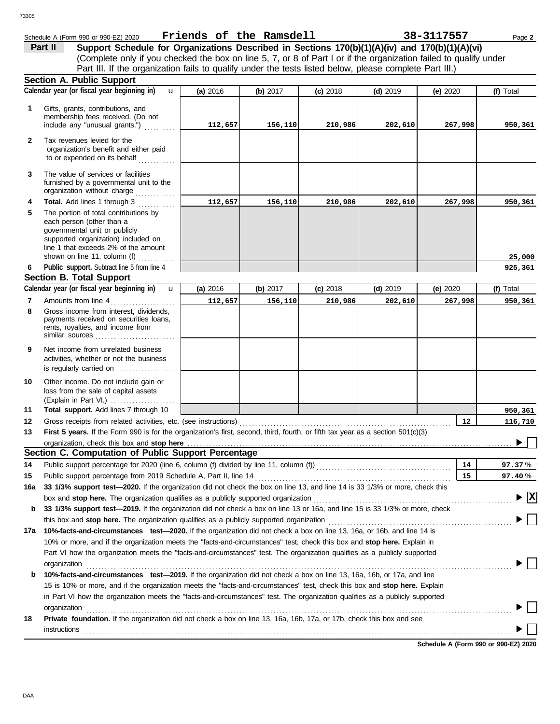|              | Schedule A (Form 990 or 990-EZ) 2020                                                                                                                                                                                                                 | Friends of the Ramsdell |          |            |            | 38-3117557 | Page 2                          |
|--------------|------------------------------------------------------------------------------------------------------------------------------------------------------------------------------------------------------------------------------------------------------|-------------------------|----------|------------|------------|------------|---------------------------------|
|              | Support Schedule for Organizations Described in Sections 170(b)(1)(A)(iv) and 170(b)(1)(A)(vi)<br>Part II                                                                                                                                            |                         |          |            |            |            |                                 |
|              | (Complete only if you checked the box on line 5, 7, or 8 of Part I or if the organization failed to qualify under                                                                                                                                    |                         |          |            |            |            |                                 |
|              | Part III. If the organization fails to qualify under the tests listed below, please complete Part III.)                                                                                                                                              |                         |          |            |            |            |                                 |
|              | Section A. Public Support                                                                                                                                                                                                                            |                         |          |            |            |            |                                 |
|              | Calendar year (or fiscal year beginning in)<br>$\mathbf{u}$                                                                                                                                                                                          | (a) 2016                | (b) 2017 | $(c)$ 2018 | $(d)$ 2019 | (e) 2020   | (f) Total                       |
| 1            | Gifts, grants, contributions, and                                                                                                                                                                                                                    |                         |          |            |            |            |                                 |
|              | membership fees received. (Do not                                                                                                                                                                                                                    |                         |          |            |            |            |                                 |
|              | include any "unusual grants.")                                                                                                                                                                                                                       | 112,657                 | 156,110  | 210,986    | 202,610    | 267,998    | 950,361                         |
| $\mathbf{2}$ | Tax revenues levied for the<br>organization's benefit and either paid<br>to or expended on its behalf                                                                                                                                                |                         |          |            |            |            |                                 |
| 3            | The value of services or facilities<br>furnished by a governmental unit to the<br>organization without charge                                                                                                                                        |                         |          |            |            |            |                                 |
| 4            | Total. Add lines 1 through 3                                                                                                                                                                                                                         | 112,657                 | 156,110  | 210,986    | 202,610    | 267,998    | 950,361                         |
| 5            | The portion of total contributions by<br>each person (other than a<br>governmental unit or publicly<br>supported organization) included on<br>line 1 that exceeds 2% of the amount<br>shown on line 11, column (f)                                   |                         |          |            |            |            | 25,000                          |
| 6            | Public support. Subtract line 5 from line 4                                                                                                                                                                                                          |                         |          |            |            |            | 925,361                         |
|              | <b>Section B. Total Support</b>                                                                                                                                                                                                                      |                         |          |            |            |            |                                 |
|              | Calendar year (or fiscal year beginning in)<br>$\mathbf{u}$                                                                                                                                                                                          | (a) 2016                | (b) 2017 | $(c)$ 2018 | $(d)$ 2019 | (e) 2020   | (f) Total                       |
| 7            | Amounts from line 4                                                                                                                                                                                                                                  | 112,657                 | 156,110  | 210,986    | 202,610    | 267,998    | 950,361                         |
| 8            | Gross income from interest, dividends,<br>payments received on securities loans,<br>rents, royalties, and income from<br>similar sources                                                                                                             |                         |          |            |            |            |                                 |
| 9            | Net income from unrelated business<br>activities, whether or not the business<br>is regularly carried on $\ldots$ , $\ldots$                                                                                                                         |                         |          |            |            |            |                                 |
| 10           | Other income. Do not include gain or<br>loss from the sale of capital assets<br>(Explain in Part VI.)                                                                                                                                                |                         |          |            |            |            |                                 |
| 11           | Total support. Add lines 7 through 10                                                                                                                                                                                                                |                         |          |            |            |            | 950,361                         |
| 12           | Gross receipts from related activities, etc. (see instructions)                                                                                                                                                                                      |                         |          |            |            | 12         | 116,710                         |
| 13           | First 5 years. If the Form 990 is for the organization's first, second, third, fourth, or fifth tax year as a section 501(c)(3)                                                                                                                      |                         |          |            |            |            |                                 |
|              |                                                                                                                                                                                                                                                      |                         |          |            |            |            |                                 |
|              | Section C. Computation of Public Support Percentage                                                                                                                                                                                                  |                         |          |            |            |            |                                 |
| 14           | Public support percentage for 2020 (line 6, column (f) divided by line 11, column (f)) [[[[[[[[[[[[[[[[[[[[[[                                                                                                                                        |                         |          |            |            | 14         | 97.37%                          |
| 15           | Public support percentage from 2019 Schedule A, Part II, line 14                                                                                                                                                                                     |                         |          |            |            | 15         | 97.40%                          |
| 16a          | 33 1/3% support test-2020. If the organization did not check the box on line 13, and line 14 is 33 1/3% or more, check this                                                                                                                          |                         |          |            |            |            |                                 |
|              | box and stop here. The organization qualifies as a publicly supported organization                                                                                                                                                                   |                         |          |            |            |            | $\blacktriangleright$ $\vert$ X |
| b            | 33 1/3% support test-2019. If the organization did not check a box on line 13 or 16a, and line 15 is 33 1/3% or more, check                                                                                                                          |                         |          |            |            |            |                                 |
|              | this box and stop here. The organization qualifies as a publicly supported organization                                                                                                                                                              |                         |          |            |            |            |                                 |
|              | 17a 10%-facts-and-circumstances test-2020. If the organization did not check a box on line 13, 16a, or 16b, and line 14 is                                                                                                                           |                         |          |            |            |            |                                 |
|              | 10% or more, and if the organization meets the "facts-and-circumstances" test, check this box and stop here. Explain in<br>Part VI how the organization meets the "facts-and-circumstances" test. The organization qualifies as a publicly supported |                         |          |            |            |            |                                 |
|              | organization                                                                                                                                                                                                                                         |                         |          |            |            |            |                                 |
| b            | 10%-facts-and-circumstances test-2019. If the organization did not check a box on line 13, 16a, 16b, or 17a, and line                                                                                                                                |                         |          |            |            |            |                                 |
|              | 15 is 10% or more, and if the organization meets the "facts-and-circumstances" test, check this box and stop here. Explain                                                                                                                           |                         |          |            |            |            |                                 |
|              | in Part VI how the organization meets the "facts-and-circumstances" test. The organization qualifies as a publicly supported                                                                                                                         |                         |          |            |            |            |                                 |
|              | organization                                                                                                                                                                                                                                         |                         |          |            |            |            |                                 |
| 18           | Private foundation. If the organization did not check a box on line 13, 16a, 16b, 17a, or 17b, check this box and see                                                                                                                                |                         |          |            |            |            |                                 |
|              | instructions                                                                                                                                                                                                                                         |                         |          |            |            |            |                                 |
|              |                                                                                                                                                                                                                                                      |                         |          |            |            |            |                                 |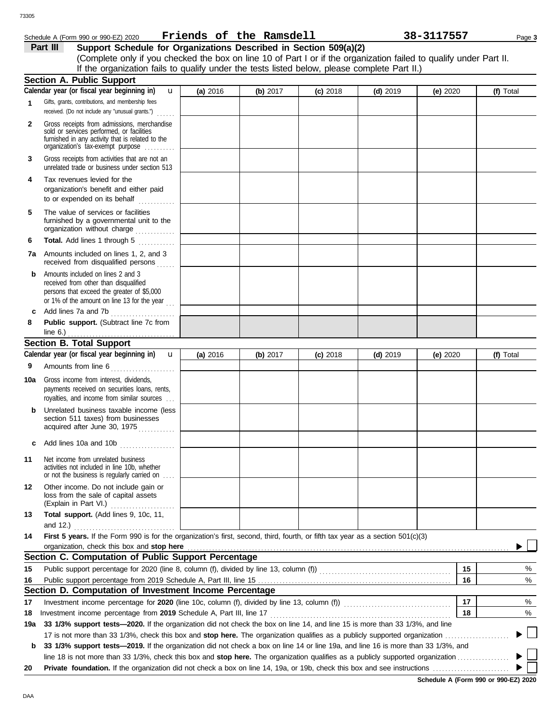## Schedule A (Form 990 or 990-EZ) 2020 Page **3 Friends of the Ramsdell 38-3117557**

**Part III** Support Schedule for Organizations Described in Section 509(a)(2) (Complete only if you checked the box on line 10 of Part I or if the organization failed to qualify under Part II. If the organization fails to qualify under the tests listed below, please complete Part II.)

|     | <b>Section A. Public Support</b>                                                                                                                                                  |          |          |            |            |            |    |                          |
|-----|-----------------------------------------------------------------------------------------------------------------------------------------------------------------------------------|----------|----------|------------|------------|------------|----|--------------------------|
|     | Calendar year (or fiscal year beginning in)<br>$\mathbf{u}$                                                                                                                       | (a) 2016 | (b) 2017 | $(c)$ 2018 | $(d)$ 2019 | (e) 2020   |    | (f) Total                |
| 1   | Gifts, grants, contributions, and membership fees<br>received. (Do not include any "unusual grants.")                                                                             |          |          |            |            |            |    |                          |
| 2   | Gross receipts from admissions, merchandise<br>sold or services performed, or facilities<br>furnished in any activity that is related to the<br>organization's fax-exempt purpose |          |          |            |            |            |    |                          |
| 3   | Gross receipts from activities that are not an<br>unrelated trade or business under section 513                                                                                   |          |          |            |            |            |    |                          |
| 4   | Tax revenues levied for the<br>organization's benefit and either paid<br>to or expended on its behalf<br>.                                                                        |          |          |            |            |            |    |                          |
| 5   | The value of services or facilities<br>furnished by a governmental unit to the<br>organization without charge                                                                     |          |          |            |            |            |    |                          |
| 6   | Total. Add lines 1 through 5<br>.                                                                                                                                                 |          |          |            |            |            |    |                          |
| 7а  | Amounts included on lines 1, 2, and 3<br>received from disqualified persons                                                                                                       |          |          |            |            |            |    |                          |
| b   | Amounts included on lines 2 and 3<br>received from other than disqualified<br>persons that exceed the greater of \$5,000<br>or 1% of the amount on line 13 for the year $\ldots$  |          |          |            |            |            |    |                          |
| c   | Add lines 7a and 7b                                                                                                                                                               |          |          |            |            |            |    |                          |
| 8   | Public support. (Subtract line 7c from<br>line $6.$ )                                                                                                                             |          |          |            |            |            |    |                          |
|     | <b>Section B. Total Support</b>                                                                                                                                                   |          |          |            |            |            |    |                          |
|     | Calendar year (or fiscal year beginning in)<br>$\mathbf{u}$                                                                                                                       | (a) 2016 | (b) 2017 | $(c)$ 2018 | $(d)$ 2019 | (e) $2020$ |    | (f) Total                |
| 9   | Amounts from line 6<br>.                                                                                                                                                          |          |          |            |            |            |    |                          |
| 10a | Gross income from interest, dividends,<br>payments received on securities loans, rents,<br>royalties, and income from similar sources                                             |          |          |            |            |            |    |                          |
| b   | Unrelated business taxable income (less<br>section 511 taxes) from businesses<br>acquired after June 30, 1975                                                                     |          |          |            |            |            |    |                          |
|     | <b>c</b> Add lines 10a and 10b $\ldots$                                                                                                                                           |          |          |            |            |            |    |                          |
| 11  | Net income from unrelated business<br>activities not included in line 10b, whether<br>or not the business is regularly carried on                                                 |          |          |            |            |            |    |                          |
| 12  | Other income. Do not include gain or<br>loss from the sale of capital assets<br>(Explain in Part VI.)<br>.                                                                        |          |          |            |            |            |    |                          |
| 13  | Total support. (Add lines 9, 10c, 11,                                                                                                                                             |          |          |            |            |            |    |                          |
|     | and $12.$ )                                                                                                                                                                       |          |          |            |            |            |    |                          |
| 14  | First 5 years. If the Form 990 is for the organization's first, second, third, fourth, or fifth tax year as a section 501(c)(3)<br>organization, check this box and stop here     |          |          |            |            |            |    |                          |
|     | Section C. Computation of Public Support Percentage                                                                                                                               |          |          |            |            |            |    |                          |
| 15  |                                                                                                                                                                                   |          |          |            |            |            | 15 | %                        |
| 16  |                                                                                                                                                                                   |          |          |            |            |            | 16 | $\%$                     |
|     | Section D. Computation of Investment Income Percentage                                                                                                                            |          |          |            |            |            |    |                          |
| 17  | Investment income percentage for 2020 (line 10c, column (f), divided by line 13, column (f)) [[[[[[[[[[[[[[[[[                                                                    |          |          |            |            |            | 17 | %                        |
| 18  | Investment income percentage from 2019 Schedule A, Part III, line 17                                                                                                              |          |          |            |            |            | 18 | %                        |
| 19a | 33 1/3% support tests-2020. If the organization did not check the box on line 14, and line 15 is more than 33 1/3%, and line                                                      |          |          |            |            |            |    |                          |
|     |                                                                                                                                                                                   |          |          |            |            |            |    | $\overline{\phantom{a}}$ |
| b   | 33 1/3% support tests-2019. If the organization did not check a box on line 14 or line 19a, and line 16 is more than 33 1/3%, and                                                 |          |          |            |            |            |    |                          |
|     |                                                                                                                                                                                   |          |          |            |            |            |    |                          |
| 20  |                                                                                                                                                                                   |          |          |            |            |            |    |                          |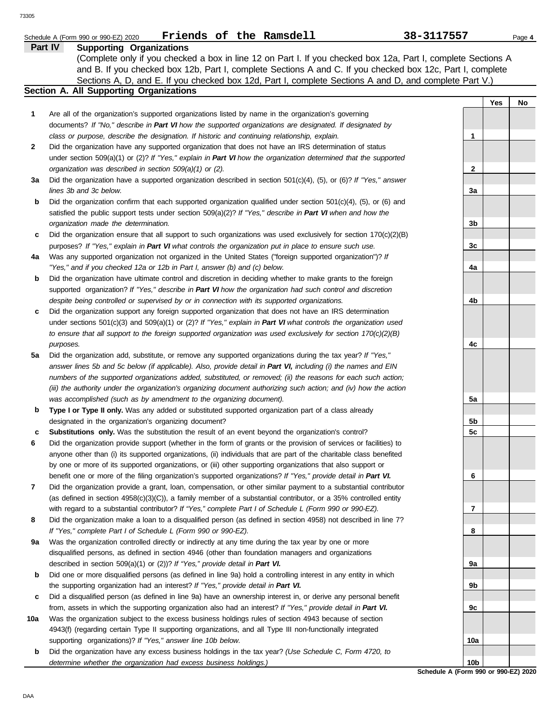|              | Friends of the Ramsdell<br>Schedule A (Form 990 or 990-EZ) 2020                                                                                                                                                                 | 38-3117557   |     | Page 4 |
|--------------|---------------------------------------------------------------------------------------------------------------------------------------------------------------------------------------------------------------------------------|--------------|-----|--------|
|              | Part IV<br><b>Supporting Organizations</b>                                                                                                                                                                                      |              |     |        |
|              | (Complete only if you checked a box in line 12 on Part I. If you checked box 12a, Part I, complete Sections A                                                                                                                   |              |     |        |
|              | and B. If you checked box 12b, Part I, complete Sections A and C. If you checked box 12c, Part I, complete                                                                                                                      |              |     |        |
|              | Sections A, D, and E. If you checked box 12d, Part I, complete Sections A and D, and complete Part V.)                                                                                                                          |              |     |        |
|              | Section A. All Supporting Organizations                                                                                                                                                                                         |              |     |        |
|              |                                                                                                                                                                                                                                 |              | Yes | No     |
| 1            | Are all of the organization's supported organizations listed by name in the organization's governing                                                                                                                            |              |     |        |
|              | documents? If "No," describe in Part VI how the supported organizations are designated. If designated by                                                                                                                        |              |     |        |
|              | class or purpose, describe the designation. If historic and continuing relationship, explain.                                                                                                                                   | 1            |     |        |
| $\mathbf{2}$ | Did the organization have any supported organization that does not have an IRS determination of status                                                                                                                          |              |     |        |
|              | under section 509(a)(1) or (2)? If "Yes," explain in Part VI how the organization determined that the supported                                                                                                                 |              |     |        |
|              | organization was described in section 509(a)(1) or (2).                                                                                                                                                                         | $\mathbf{2}$ |     |        |
| За           | Did the organization have a supported organization described in section $501(c)(4)$ , (5), or (6)? If "Yes," answer                                                                                                             |              |     |        |
|              | lines 3b and 3c below.                                                                                                                                                                                                          | За           |     |        |
| b            | Did the organization confirm that each supported organization qualified under section $501(c)(4)$ , $(5)$ , or $(6)$ and                                                                                                        |              |     |        |
|              | satisfied the public support tests under section 509(a)(2)? If "Yes," describe in Part VI when and how the                                                                                                                      | 3b           |     |        |
| c            | organization made the determination.<br>Did the organization ensure that all support to such organizations was used exclusively for section $170(c)(2)(B)$                                                                      |              |     |        |
|              | purposes? If "Yes," explain in Part VI what controls the organization put in place to ensure such use.                                                                                                                          | 3c           |     |        |
| 4a           | Was any supported organization not organized in the United States ("foreign supported organization")? If                                                                                                                        |              |     |        |
|              | "Yes," and if you checked 12a or 12b in Part I, answer (b) and (c) below.                                                                                                                                                       | 4a           |     |        |
| b            | Did the organization have ultimate control and discretion in deciding whether to make grants to the foreign                                                                                                                     |              |     |        |
|              | supported organization? If "Yes," describe in Part VI how the organization had such control and discretion                                                                                                                      |              |     |        |
|              | despite being controlled or supervised by or in connection with its supported organizations.                                                                                                                                    | 4b           |     |        |
| c            | Did the organization support any foreign supported organization that does not have an IRS determination                                                                                                                         |              |     |        |
|              | under sections $501(c)(3)$ and $509(a)(1)$ or (2)? If "Yes," explain in Part VI what controls the organization used                                                                                                             |              |     |        |
|              | to ensure that all support to the foreign supported organization was used exclusively for section $170(c)(2)(B)$                                                                                                                |              |     |        |
|              | purposes.                                                                                                                                                                                                                       | 4с           |     |        |
| 5a           | Did the organization add, substitute, or remove any supported organizations during the tax year? If "Yes,"                                                                                                                      |              |     |        |
|              | answer lines 5b and 5c below (if applicable). Also, provide detail in Part VI, including (i) the names and EIN                                                                                                                  |              |     |        |
|              | numbers of the supported organizations added, substituted, or removed; (ii) the reasons for each such action;                                                                                                                   |              |     |        |
|              | (iii) the authority under the organization's organizing document authorizing such action; and (iv) how the action                                                                                                               |              |     |        |
|              | was accomplished (such as by amendment to the organizing document).                                                                                                                                                             | 5a           |     |        |
| b            | Type I or Type II only. Was any added or substituted supported organization part of a class already                                                                                                                             |              |     |        |
|              | designated in the organization's organizing document?                                                                                                                                                                           | 5b           |     |        |
| c            | <b>Substitutions only.</b> Was the substitution the result of an event beyond the organization's control?                                                                                                                       | 5c           |     |        |
| 6            | Did the organization provide support (whether in the form of grants or the provision of services or facilities) to                                                                                                              |              |     |        |
|              | anyone other than (i) its supported organizations, (ii) individuals that are part of the charitable class benefited                                                                                                             |              |     |        |
|              | by one or more of its supported organizations, or (iii) other supporting organizations that also support or                                                                                                                     |              |     |        |
|              | benefit one or more of the filing organization's supported organizations? If "Yes," provide detail in Part VI.                                                                                                                  | 6            |     |        |
| 7            | Did the organization provide a grant, loan, compensation, or other similar payment to a substantial contributor                                                                                                                 |              |     |        |
|              | (as defined in section $4958(c)(3)(C)$ ), a family member of a substantial contributor, or a 35% controlled entity                                                                                                              |              |     |        |
|              | with regard to a substantial contributor? If "Yes," complete Part I of Schedule L (Form 990 or 990-EZ).                                                                                                                         | 7            |     |        |
| 8            | Did the organization make a loan to a disqualified person (as defined in section 4958) not described in line 7?                                                                                                                 |              |     |        |
|              | If "Yes," complete Part I of Schedule L (Form 990 or 990-EZ).                                                                                                                                                                   | 8            |     |        |
| 9a           | Was the organization controlled directly or indirectly at any time during the tax year by one or more                                                                                                                           |              |     |        |
|              | disqualified persons, as defined in section 4946 (other than foundation managers and organizations                                                                                                                              |              |     |        |
|              | described in section 509(a)(1) or (2))? If "Yes," provide detail in Part VI.                                                                                                                                                    | 9а           |     |        |
| b            | Did one or more disqualified persons (as defined in line 9a) hold a controlling interest in any entity in which                                                                                                                 |              |     |        |
|              | the supporting organization had an interest? If "Yes," provide detail in Part VI.                                                                                                                                               | 9b           |     |        |
| c            | Did a disqualified person (as defined in line 9a) have an ownership interest in, or derive any personal benefit<br>from, assets in which the supporting organization also had an interest? If "Yes," provide detail in Part VI. | 9с           |     |        |
| 10a          | Was the organization subject to the excess business holdings rules of section 4943 because of section                                                                                                                           |              |     |        |
|              | 4943(f) (regarding certain Type II supporting organizations, and all Type III non-functionally integrated                                                                                                                       |              |     |        |
|              | supporting organizations)? If "Yes," answer line 10b below.                                                                                                                                                                     | 10a          |     |        |
|              |                                                                                                                                                                                                                                 |              |     |        |

**b** Did the organization have any excess business holdings in the tax year? *(Use Schedule C, Form 4720, to determine whether the organization had excess business holdings.)*

**Schedule A (Form 990 or 990-EZ) 2020 10b**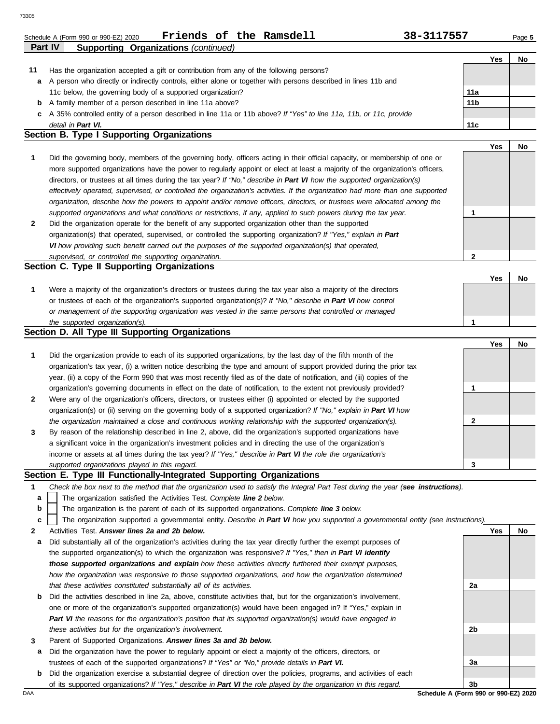| Schedule A (Form 990 or 990-EZ) 2020 |  |  | Friends of the Ramsdell | 38-3117557 | Page 5 |
|--------------------------------------|--|--|-------------------------|------------|--------|
|                                      |  |  |                         |            |        |

**Yes No**

**Yes No**

**Yes No**

**2**

**1**

| .                                          | $\frac{1}{2}$                                                                                                        |                 |     |    |  |  |  |  |
|--------------------------------------------|----------------------------------------------------------------------------------------------------------------------|-----------------|-----|----|--|--|--|--|
|                                            |                                                                                                                      |                 | Yes | No |  |  |  |  |
| 11                                         | Has the organization accepted a gift or contribution from any of the following persons?                              |                 |     |    |  |  |  |  |
| a                                          | A person who directly or indirectly controls, either alone or together with persons described in lines 11b and       |                 |     |    |  |  |  |  |
|                                            | 11c below, the governing body of a supported organization?                                                           | 11a             |     |    |  |  |  |  |
|                                            | <b>b</b> A family member of a person described in line 11a above?                                                    | 11 <sub>b</sub> |     |    |  |  |  |  |
|                                            | c A 35% controlled entity of a person described in line 11a or 11b above? If "Yes" to line 11a, 11b, or 11c, provide |                 |     |    |  |  |  |  |
|                                            | detail in Part VI.                                                                                                   | 11c             |     |    |  |  |  |  |
| Section B. Type I Supporting Organizations |                                                                                                                      |                 |     |    |  |  |  |  |

#### **1** *supported organizations and what conditions or restrictions, if any, applied to such powers during the tax year. organization, describe how the powers to appoint and/or remove officers, directors, or trustees were allocated among the effectively operated, supervised, or controlled the organization's activities. If the organization had more than one supported* directors, or trustees at all times during the tax year? *If "No," describe in Part VI how the supported organization(s)* more supported organizations have the power to regularly appoint or elect at least a majority of the organization's officers, Did the governing body, members of the governing body, officers acting in their official capacity, or membership of one or

| Did the organization operate for the benefit of any supported organization other than the supported             |  |
|-----------------------------------------------------------------------------------------------------------------|--|
| organization(s) that operated, supervised, or controlled the supporting organization? If "Yes," explain in Part |  |
| VI how providing such benefit carried out the purposes of the supported organization(s) that operated,          |  |
| supervised, or controlled the supporting organization.                                                          |  |

## **Section C. Type II Supporting Organizations**

|                                                                                                                  |  | NΟ |
|------------------------------------------------------------------------------------------------------------------|--|----|
| Were a majority of the organization's directors or trustees during the tax year also a majority of the directors |  |    |
| or trustees of each of the organization's supported organization(s)? If "No," describe in Part VI how control    |  |    |
| or management of the supporting organization was vested in the same persons that controlled or managed           |  |    |
| the supported organization(s).                                                                                   |  |    |

#### **Section D. All Type III Supporting Organizations**

**Part IV Supporting Organizations** *(continued)*

|              |                                                                                                                        |   | Yes | No |
|--------------|------------------------------------------------------------------------------------------------------------------------|---|-----|----|
| $\mathbf{1}$ | Did the organization provide to each of its supported organizations, by the last day of the fifth month of the         |   |     |    |
|              | organization's tax year, (i) a written notice describing the type and amount of support provided during the prior tax  |   |     |    |
|              | year, (ii) a copy of the Form 990 that was most recently filed as of the date of notification, and (iii) copies of the |   |     |    |
|              | organization's governing documents in effect on the date of notification, to the extent not previously provided?       |   |     |    |
| $\mathbf{2}$ | Were any of the organization's officers, directors, or trustees either (i) appointed or elected by the supported       |   |     |    |
|              | organization(s) or (ii) serving on the governing body of a supported organization? If "No," explain in Part VI how     |   |     |    |
|              | the organization maintained a close and continuous working relationship with the supported organization(s).            |   |     |    |
| $\mathbf{3}$ | By reason of the relationship described in line 2, above, did the organization's supported organizations have          |   |     |    |
|              | a significant voice in the organization's investment policies and in directing the use of the organization's           |   |     |    |
|              | income or assets at all times during the tax year? If "Yes," describe in Part VI the role the organization's           |   |     |    |
|              | supported organizations played in this regard.                                                                         | 3 |     |    |

#### **Section E. Type III Functionally-Integrated Supporting Organizations**

- **1** *Check the box next to the method that the organization used to satisfy the Integral Part Test during the year (see instructions).*
	- The organization satisfied the Activities Test. *Complete line 2 below.* **a**
	- The organization is the parent of each of its supported organizations. *Complete line 3 below.* **b**
	- The organization supported a governmental entity. *Describe in Part VI how you supported a governmental entity (see instructions).* **c**
- **2** Activities Test. *Answer lines 2a and 2b below.*
- **a** Did substantially all of the organization's activities during the tax year directly further the exempt purposes of the supported organization(s) to which the organization was responsive? *If "Yes," then in Part VI identify those supported organizations and explain how these activities directly furthered their exempt purposes,*  how the organization was responsive to those supported organizations, and how the organization determined *that these activities constituted substantially all of its activities.*
- **b** Did the activities described in line 2a, above, constitute activities that, but for the organization's involvement, one or more of the organization's supported organization(s) would have been engaged in? If "Yes," explain in *Part VI the reasons for the organization's position that its supported organization(s) would have engaged in these activities but for the organization's involvement.*
- **3** Parent of Supported Organizations. *Answer lines 3a and 3b below.*
- **a** Did the organization have the power to regularly appoint or elect a majority of the officers, directors, or trustees of each of the supported organizations? *If "Yes" or "No," provide details in Part VI.*
- **b** Did the organization exercise a substantial degree of direction over the policies, programs, and activities of each of its supported organizations? *If "Yes," describe in Part VI the role played by the organization in this regard.*

DAA **Schedule A (Form 990 or 990-EZ) 2020 3b**

**2a**

**2b**

**3a**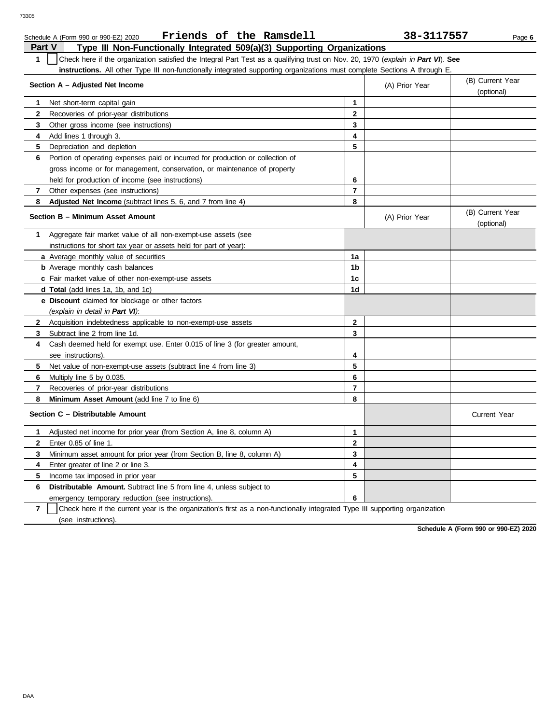|              | Friends of the Ramsdell<br>Schedule A (Form 990 or 990-EZ) 2020                                                                  |                | 38-3117557     | Page 6                         |
|--------------|----------------------------------------------------------------------------------------------------------------------------------|----------------|----------------|--------------------------------|
| Part V       | Type III Non-Functionally Integrated 509(a)(3) Supporting Organizations                                                          |                |                |                                |
| $\mathbf{1}$ | Check here if the organization satisfied the Integral Part Test as a qualifying trust on Nov. 20, 1970 (explain in Part VI). See |                |                |                                |
|              | instructions. All other Type III non-functionally integrated supporting organizations must complete Sections A through E.        |                |                |                                |
|              | Section A - Adjusted Net Income                                                                                                  |                | (A) Prior Year | (B) Current Year               |
|              |                                                                                                                                  |                |                | (optional)                     |
| 1            | Net short-term capital gain                                                                                                      | $\mathbf{1}$   |                |                                |
| $\mathbf{2}$ | Recoveries of prior-year distributions                                                                                           | $\overline{2}$ |                |                                |
| 3            | Other gross income (see instructions)                                                                                            | 3              |                |                                |
| 4            | Add lines 1 through 3.                                                                                                           | 4              |                |                                |
| 5            | Depreciation and depletion                                                                                                       | 5              |                |                                |
| 6            | Portion of operating expenses paid or incurred for production or collection of                                                   |                |                |                                |
|              | gross income or for management, conservation, or maintenance of property                                                         |                |                |                                |
|              | held for production of income (see instructions)                                                                                 | 6              |                |                                |
| 7            | Other expenses (see instructions)                                                                                                | $\overline{7}$ |                |                                |
| 8            | Adjusted Net Income (subtract lines 5, 6, and 7 from line 4)                                                                     | 8              |                |                                |
|              | Section B - Minimum Asset Amount                                                                                                 |                | (A) Prior Year | (B) Current Year<br>(optional) |
| $\mathbf{1}$ | Aggregate fair market value of all non-exempt-use assets (see                                                                    |                |                |                                |
|              | instructions for short tax year or assets held for part of year):                                                                |                |                |                                |
|              | <b>a</b> Average monthly value of securities                                                                                     | 1a             |                |                                |
|              | <b>b</b> Average monthly cash balances                                                                                           | 1 <sub>b</sub> |                |                                |
|              | c Fair market value of other non-exempt-use assets                                                                               | 1c             |                |                                |
|              | d Total (add lines 1a, 1b, and 1c)                                                                                               | 1d             |                |                                |
|              | e Discount claimed for blockage or other factors                                                                                 |                |                |                                |
|              | (explain in detail in Part VI):                                                                                                  |                |                |                                |
| $\mathbf{2}$ | Acquisition indebtedness applicable to non-exempt-use assets                                                                     | $\mathbf{2}$   |                |                                |
| 3            | Subtract line 2 from line 1d.                                                                                                    | 3              |                |                                |
| 4            | Cash deemed held for exempt use. Enter 0.015 of line 3 (for greater amount,                                                      |                |                |                                |
|              | see instructions).                                                                                                               | 4              |                |                                |
| 5            | Net value of non-exempt-use assets (subtract line 4 from line 3)                                                                 | 5              |                |                                |
| 6            | Multiply line 5 by 0.035.                                                                                                        | 6              |                |                                |
| 7            | Recoveries of prior-year distributions                                                                                           | $\overline{7}$ |                |                                |
| 8            | <b>Minimum Asset Amount</b> (add line 7 to line 6)                                                                               | 8              |                |                                |
|              | Section C - Distributable Amount                                                                                                 |                |                | Current Year                   |
| 1            | Adjusted net income for prior year (from Section A, line 8, column A)                                                            | $\mathbf{1}$   |                |                                |
| $\mathbf{2}$ | Enter 0.85 of line 1.                                                                                                            | $\mathbf{2}$   |                |                                |
| 3            | Minimum asset amount for prior year (from Section B, line 8, column A)                                                           | 3              |                |                                |
| 4            | Enter greater of line 2 or line 3.                                                                                               | 4              |                |                                |
| 5            | Income tax imposed in prior year                                                                                                 | 5              |                |                                |
| 6            | <b>Distributable Amount.</b> Subtract line 5 from line 4, unless subject to                                                      |                |                |                                |
|              | emergency temporary reduction (see instructions).                                                                                | 6              |                |                                |

**7** | Check here if the current year is the organization's first as a non-functionally integrated Type III supporting organization (see instructions).

**Schedule A (Form 990 or 990-EZ) 2020**

DAA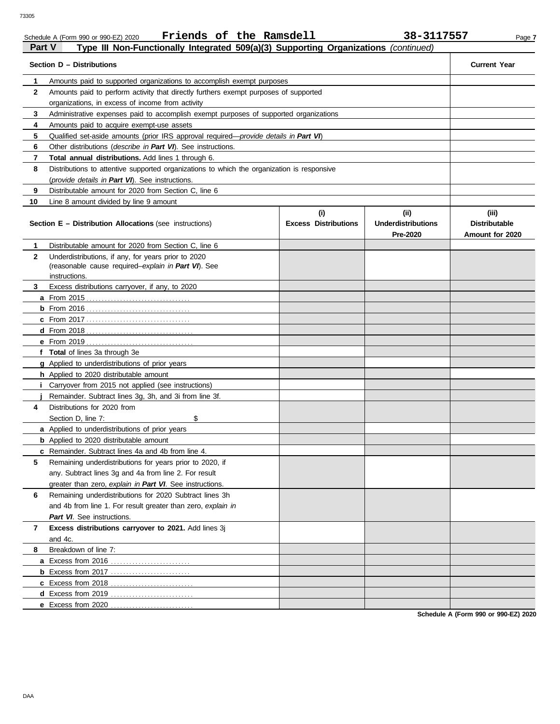| י טוני       | $\mathbf{u}$ in Non-Functionary integrated $\mathbf{v}$ $\mathbf{v}$ $\mathbf{v}$ $\mathbf{v}$ $\mathbf{v}$ $\mathbf{v}$ $\mathbf{v}$ $\mathbf{v}$ $\mathbf{v}$ $\mathbf{v}$ $\mathbf{v}$ $\mathbf{v}$ $\mathbf{v}$ $\mathbf{v}$ $\mathbf{v}$ $\mathbf{v}$ $\mathbf{v}$ $\mathbf{v}$ $\mathbf{v}$ $\mathbf{v}$ $\$<br>Section D - Distributions |                                    |                                               | <b>Current Year</b>                              |  |  |  |
|--------------|-------------------------------------------------------------------------------------------------------------------------------------------------------------------------------------------------------------------------------------------------------------------------------------------------------------------------------------------------|------------------------------------|-----------------------------------------------|--------------------------------------------------|--|--|--|
|              |                                                                                                                                                                                                                                                                                                                                                 |                                    |                                               |                                                  |  |  |  |
| 1            | Amounts paid to supported organizations to accomplish exempt purposes                                                                                                                                                                                                                                                                           |                                    |                                               |                                                  |  |  |  |
| $\mathbf{2}$ | Amounts paid to perform activity that directly furthers exempt purposes of supported                                                                                                                                                                                                                                                            |                                    |                                               |                                                  |  |  |  |
|              | organizations, in excess of income from activity                                                                                                                                                                                                                                                                                                |                                    |                                               |                                                  |  |  |  |
| 3            | Administrative expenses paid to accomplish exempt purposes of supported organizations                                                                                                                                                                                                                                                           |                                    |                                               |                                                  |  |  |  |
| 4            | Amounts paid to acquire exempt-use assets                                                                                                                                                                                                                                                                                                       |                                    |                                               |                                                  |  |  |  |
| 5            | Qualified set-aside amounts (prior IRS approval required-provide details in Part VI)                                                                                                                                                                                                                                                            |                                    |                                               |                                                  |  |  |  |
| 6            | Other distributions (describe in Part VI). See instructions.                                                                                                                                                                                                                                                                                    |                                    |                                               |                                                  |  |  |  |
| 7            | Total annual distributions. Add lines 1 through 6.                                                                                                                                                                                                                                                                                              |                                    |                                               |                                                  |  |  |  |
| 8            | Distributions to attentive supported organizations to which the organization is responsive                                                                                                                                                                                                                                                      |                                    |                                               |                                                  |  |  |  |
|              | (provide details in Part VI). See instructions.                                                                                                                                                                                                                                                                                                 |                                    |                                               |                                                  |  |  |  |
| 9            | Distributable amount for 2020 from Section C, line 6                                                                                                                                                                                                                                                                                            |                                    |                                               |                                                  |  |  |  |
| 10           | Line 8 amount divided by line 9 amount                                                                                                                                                                                                                                                                                                          |                                    |                                               |                                                  |  |  |  |
|              | Section E - Distribution Allocations (see instructions)                                                                                                                                                                                                                                                                                         | (i)<br><b>Excess Distributions</b> | (ii)<br><b>Underdistributions</b><br>Pre-2020 | (iii)<br><b>Distributable</b><br>Amount for 2020 |  |  |  |
| 1            | Distributable amount for 2020 from Section C, line 6                                                                                                                                                                                                                                                                                            |                                    |                                               |                                                  |  |  |  |
| $\mathbf{2}$ | Underdistributions, if any, for years prior to 2020                                                                                                                                                                                                                                                                                             |                                    |                                               |                                                  |  |  |  |
|              | (reasonable cause required-explain in Part VI). See                                                                                                                                                                                                                                                                                             |                                    |                                               |                                                  |  |  |  |
|              | instructions.                                                                                                                                                                                                                                                                                                                                   |                                    |                                               |                                                  |  |  |  |
| 3            | Excess distributions carryover, if any, to 2020                                                                                                                                                                                                                                                                                                 |                                    |                                               |                                                  |  |  |  |
|              |                                                                                                                                                                                                                                                                                                                                                 |                                    |                                               |                                                  |  |  |  |
|              |                                                                                                                                                                                                                                                                                                                                                 |                                    |                                               |                                                  |  |  |  |
|              |                                                                                                                                                                                                                                                                                                                                                 |                                    |                                               |                                                  |  |  |  |
|              |                                                                                                                                                                                                                                                                                                                                                 |                                    |                                               |                                                  |  |  |  |
|              | <b>e</b> From 2019                                                                                                                                                                                                                                                                                                                              |                                    |                                               |                                                  |  |  |  |
|              | f Total of lines 3a through 3e                                                                                                                                                                                                                                                                                                                  |                                    |                                               |                                                  |  |  |  |
|              | <b>g</b> Applied to underdistributions of prior years                                                                                                                                                                                                                                                                                           |                                    |                                               |                                                  |  |  |  |
|              | h Applied to 2020 distributable amount                                                                                                                                                                                                                                                                                                          |                                    |                                               |                                                  |  |  |  |
|              | Carryover from 2015 not applied (see instructions)                                                                                                                                                                                                                                                                                              |                                    |                                               |                                                  |  |  |  |
|              | Remainder. Subtract lines 3g, 3h, and 3i from line 3f.                                                                                                                                                                                                                                                                                          |                                    |                                               |                                                  |  |  |  |
| 4            | Distributions for 2020 from                                                                                                                                                                                                                                                                                                                     |                                    |                                               |                                                  |  |  |  |
|              | \$<br>Section D, line 7:                                                                                                                                                                                                                                                                                                                        |                                    |                                               |                                                  |  |  |  |
|              | a Applied to underdistributions of prior years                                                                                                                                                                                                                                                                                                  |                                    |                                               |                                                  |  |  |  |
|              | <b>b</b> Applied to 2020 distributable amount                                                                                                                                                                                                                                                                                                   |                                    |                                               |                                                  |  |  |  |
|              | c Remainder. Subtract lines 4a and 4b from line 4.                                                                                                                                                                                                                                                                                              |                                    |                                               |                                                  |  |  |  |
| 5            | Remaining underdistributions for years prior to 2020, if                                                                                                                                                                                                                                                                                        |                                    |                                               |                                                  |  |  |  |
|              | any. Subtract lines 3g and 4a from line 2. For result                                                                                                                                                                                                                                                                                           |                                    |                                               |                                                  |  |  |  |
|              | greater than zero, explain in Part VI. See instructions.                                                                                                                                                                                                                                                                                        |                                    |                                               |                                                  |  |  |  |
| 6            | Remaining underdistributions for 2020 Subtract lines 3h                                                                                                                                                                                                                                                                                         |                                    |                                               |                                                  |  |  |  |
|              | and 4b from line 1. For result greater than zero, explain in                                                                                                                                                                                                                                                                                    |                                    |                                               |                                                  |  |  |  |
|              | Part VI. See instructions.                                                                                                                                                                                                                                                                                                                      |                                    |                                               |                                                  |  |  |  |
| 7            | Excess distributions carryover to 2021. Add lines 3j                                                                                                                                                                                                                                                                                            |                                    |                                               |                                                  |  |  |  |
|              | and 4c.                                                                                                                                                                                                                                                                                                                                         |                                    |                                               |                                                  |  |  |  |
| 8            | Breakdown of line 7:                                                                                                                                                                                                                                                                                                                            |                                    |                                               |                                                  |  |  |  |
|              | a Excess from 2016                                                                                                                                                                                                                                                                                                                              |                                    |                                               |                                                  |  |  |  |
|              | <b>b</b> Excess from 2017                                                                                                                                                                                                                                                                                                                       |                                    |                                               |                                                  |  |  |  |
|              | <b>c</b> Excess from 2018                                                                                                                                                                                                                                                                                                                       |                                    |                                               |                                                  |  |  |  |
|              | d Excess from 2019                                                                                                                                                                                                                                                                                                                              |                                    |                                               |                                                  |  |  |  |
|              | e Excess from 2020                                                                                                                                                                                                                                                                                                                              |                                    |                                               |                                                  |  |  |  |
|              |                                                                                                                                                                                                                                                                                                                                                 |                                    |                                               |                                                  |  |  |  |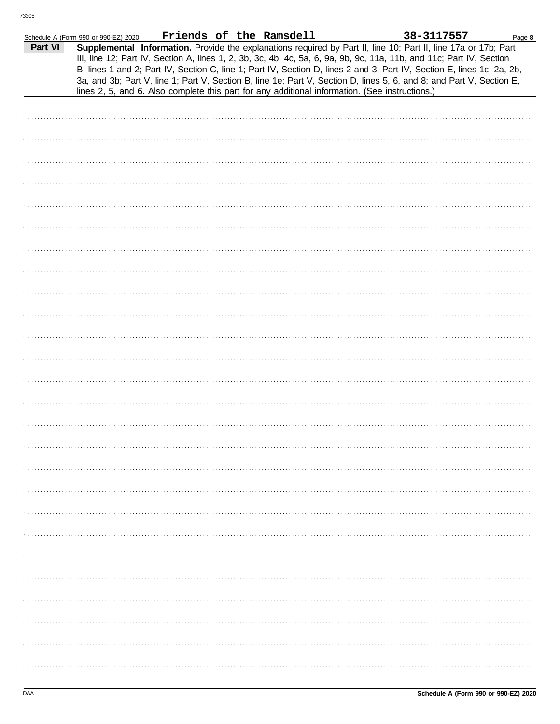|         | Schedule A (Form 990 or 990-EZ) 2020 |  | Friends of the Ramsdell |                                                                                                                                                                                                                                                                                                                                                                                                                                                                                                                                                                                             | 38-3117557 | Page 8 |
|---------|--------------------------------------|--|-------------------------|---------------------------------------------------------------------------------------------------------------------------------------------------------------------------------------------------------------------------------------------------------------------------------------------------------------------------------------------------------------------------------------------------------------------------------------------------------------------------------------------------------------------------------------------------------------------------------------------|------------|--------|
| Part VI |                                      |  |                         | Supplemental Information. Provide the explanations required by Part II, line 10; Part II, line 17a or 17b; Part<br>III, line 12; Part IV, Section A, lines 1, 2, 3b, 3c, 4b, 4c, 5a, 6, 9a, 9b, 9c, 11a, 11b, and 11c; Part IV, Section<br>B, lines 1 and 2; Part IV, Section C, line 1; Part IV, Section D, lines 2 and 3; Part IV, Section E, lines 1c, 2a, 2b,<br>3a, and 3b; Part V, line 1; Part V, Section B, line 1e; Part V, Section D, lines 5, 6, and 8; and Part V, Section E,<br>lines 2, 5, and 6. Also complete this part for any additional information. (See instructions.) |            |        |
|         |                                      |  |                         |                                                                                                                                                                                                                                                                                                                                                                                                                                                                                                                                                                                             |            |        |
|         |                                      |  |                         |                                                                                                                                                                                                                                                                                                                                                                                                                                                                                                                                                                                             |            |        |
|         |                                      |  |                         |                                                                                                                                                                                                                                                                                                                                                                                                                                                                                                                                                                                             |            |        |
|         |                                      |  |                         |                                                                                                                                                                                                                                                                                                                                                                                                                                                                                                                                                                                             |            |        |
|         |                                      |  |                         |                                                                                                                                                                                                                                                                                                                                                                                                                                                                                                                                                                                             |            |        |
|         |                                      |  |                         |                                                                                                                                                                                                                                                                                                                                                                                                                                                                                                                                                                                             |            |        |
|         |                                      |  |                         |                                                                                                                                                                                                                                                                                                                                                                                                                                                                                                                                                                                             |            |        |
|         |                                      |  |                         |                                                                                                                                                                                                                                                                                                                                                                                                                                                                                                                                                                                             |            |        |
|         |                                      |  |                         |                                                                                                                                                                                                                                                                                                                                                                                                                                                                                                                                                                                             |            |        |
|         |                                      |  |                         |                                                                                                                                                                                                                                                                                                                                                                                                                                                                                                                                                                                             |            |        |
|         |                                      |  |                         |                                                                                                                                                                                                                                                                                                                                                                                                                                                                                                                                                                                             |            |        |
|         |                                      |  |                         |                                                                                                                                                                                                                                                                                                                                                                                                                                                                                                                                                                                             |            |        |
|         |                                      |  |                         |                                                                                                                                                                                                                                                                                                                                                                                                                                                                                                                                                                                             |            |        |
|         |                                      |  |                         |                                                                                                                                                                                                                                                                                                                                                                                                                                                                                                                                                                                             |            |        |
|         |                                      |  |                         |                                                                                                                                                                                                                                                                                                                                                                                                                                                                                                                                                                                             |            |        |
|         |                                      |  |                         |                                                                                                                                                                                                                                                                                                                                                                                                                                                                                                                                                                                             |            |        |
|         |                                      |  |                         |                                                                                                                                                                                                                                                                                                                                                                                                                                                                                                                                                                                             |            |        |
|         |                                      |  |                         |                                                                                                                                                                                                                                                                                                                                                                                                                                                                                                                                                                                             |            |        |
|         |                                      |  |                         |                                                                                                                                                                                                                                                                                                                                                                                                                                                                                                                                                                                             |            |        |
|         |                                      |  |                         |                                                                                                                                                                                                                                                                                                                                                                                                                                                                                                                                                                                             |            |        |
|         |                                      |  |                         |                                                                                                                                                                                                                                                                                                                                                                                                                                                                                                                                                                                             |            |        |
|         |                                      |  |                         |                                                                                                                                                                                                                                                                                                                                                                                                                                                                                                                                                                                             |            |        |
|         |                                      |  |                         |                                                                                                                                                                                                                                                                                                                                                                                                                                                                                                                                                                                             |            |        |
|         |                                      |  |                         |                                                                                                                                                                                                                                                                                                                                                                                                                                                                                                                                                                                             |            |        |
|         |                                      |  |                         |                                                                                                                                                                                                                                                                                                                                                                                                                                                                                                                                                                                             |            |        |
|         |                                      |  |                         |                                                                                                                                                                                                                                                                                                                                                                                                                                                                                                                                                                                             |            |        |
|         |                                      |  |                         |                                                                                                                                                                                                                                                                                                                                                                                                                                                                                                                                                                                             |            |        |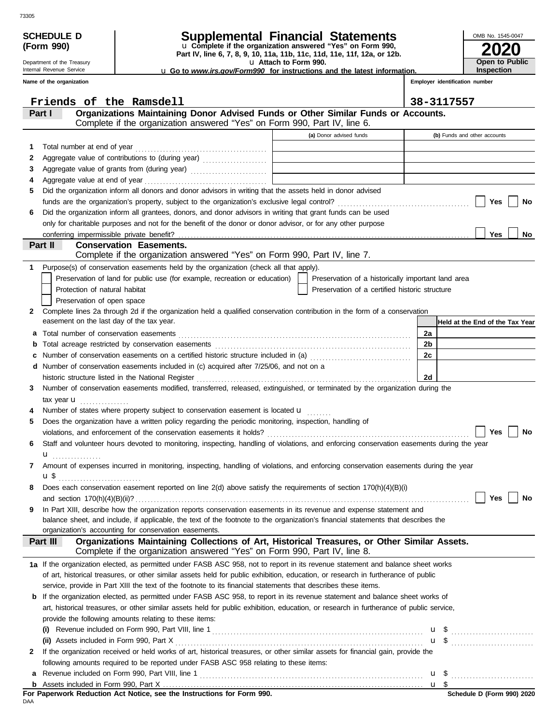| (Form 990)                                                                             |                                                                                                                                         |                                                                                                                                                                                                              |  | u Complete if the organization answered "Yes" on Form 990,<br>Part IV, line 6, 7, 8, 9, 10, 11a, 11b, 11c, 11d, 11e, 11f, 12a, or 12b. |                                                    |  |                                |                                 |    |  |
|----------------------------------------------------------------------------------------|-----------------------------------------------------------------------------------------------------------------------------------------|--------------------------------------------------------------------------------------------------------------------------------------------------------------------------------------------------------------|--|----------------------------------------------------------------------------------------------------------------------------------------|----------------------------------------------------|--|--------------------------------|---------------------------------|----|--|
| Department of the Treasury<br>Internal Revenue Service                                 |                                                                                                                                         |                                                                                                                                                                                                              |  | u Attach to Form 990.                                                                                                                  |                                                    |  |                                | <b>Open to Public</b>           |    |  |
| <b>u</b> Go to <i>www.irs.gov/Form990</i> for instructions and the latest information. |                                                                                                                                         |                                                                                                                                                                                                              |  |                                                                                                                                        |                                                    |  |                                | <b>Inspection</b>               |    |  |
|                                                                                        | Name of the organization                                                                                                                |                                                                                                                                                                                                              |  |                                                                                                                                        |                                                    |  | Employer identification number |                                 |    |  |
|                                                                                        |                                                                                                                                         | Friends of the Ramsdell                                                                                                                                                                                      |  |                                                                                                                                        |                                                    |  | 38-3117557                     |                                 |    |  |
|                                                                                        | Part I                                                                                                                                  | Organizations Maintaining Donor Advised Funds or Other Similar Funds or Accounts.                                                                                                                            |  |                                                                                                                                        |                                                    |  |                                |                                 |    |  |
|                                                                                        |                                                                                                                                         | Complete if the organization answered "Yes" on Form 990, Part IV, line 6.                                                                                                                                    |  |                                                                                                                                        |                                                    |  |                                |                                 |    |  |
|                                                                                        |                                                                                                                                         |                                                                                                                                                                                                              |  |                                                                                                                                        | (a) Donor advised funds                            |  |                                | (b) Funds and other accounts    |    |  |
| 1                                                                                      | Total number at end of year                                                                                                             |                                                                                                                                                                                                              |  |                                                                                                                                        |                                                    |  |                                |                                 |    |  |
| 2                                                                                      |                                                                                                                                         |                                                                                                                                                                                                              |  |                                                                                                                                        |                                                    |  |                                |                                 |    |  |
| 3                                                                                      |                                                                                                                                         |                                                                                                                                                                                                              |  |                                                                                                                                        |                                                    |  |                                |                                 |    |  |
| 4                                                                                      |                                                                                                                                         |                                                                                                                                                                                                              |  |                                                                                                                                        |                                                    |  |                                |                                 |    |  |
| 5                                                                                      |                                                                                                                                         | Did the organization inform all donors and donor advisors in writing that the assets held in donor advised                                                                                                   |  |                                                                                                                                        |                                                    |  |                                |                                 |    |  |
|                                                                                        |                                                                                                                                         |                                                                                                                                                                                                              |  |                                                                                                                                        |                                                    |  |                                | Yes                             | No |  |
| 6                                                                                      |                                                                                                                                         | Did the organization inform all grantees, donors, and donor advisors in writing that grant funds can be used                                                                                                 |  |                                                                                                                                        |                                                    |  |                                |                                 |    |  |
|                                                                                        |                                                                                                                                         | only for charitable purposes and not for the benefit of the donor or donor advisor, or for any other purpose                                                                                                 |  |                                                                                                                                        |                                                    |  |                                |                                 |    |  |
|                                                                                        |                                                                                                                                         |                                                                                                                                                                                                              |  |                                                                                                                                        |                                                    |  |                                | Yes                             | No |  |
|                                                                                        | Part II                                                                                                                                 | <b>Conservation Easements.</b>                                                                                                                                                                               |  |                                                                                                                                        |                                                    |  |                                |                                 |    |  |
|                                                                                        |                                                                                                                                         | Complete if the organization answered "Yes" on Form 990, Part IV, line 7.                                                                                                                                    |  |                                                                                                                                        |                                                    |  |                                |                                 |    |  |
| 1                                                                                      |                                                                                                                                         | Purpose(s) of conservation easements held by the organization (check all that apply).                                                                                                                        |  |                                                                                                                                        |                                                    |  |                                |                                 |    |  |
|                                                                                        |                                                                                                                                         | Preservation of land for public use (for example, recreation or education)                                                                                                                                   |  |                                                                                                                                        | Preservation of a historically important land area |  |                                |                                 |    |  |
|                                                                                        | Protection of natural habitat                                                                                                           |                                                                                                                                                                                                              |  |                                                                                                                                        | Preservation of a certified historic structure     |  |                                |                                 |    |  |
|                                                                                        | Preservation of open space                                                                                                              |                                                                                                                                                                                                              |  |                                                                                                                                        |                                                    |  |                                |                                 |    |  |
| 2.                                                                                     |                                                                                                                                         | Complete lines 2a through 2d if the organization held a qualified conservation contribution in the form of a conservation                                                                                    |  |                                                                                                                                        |                                                    |  |                                |                                 |    |  |
|                                                                                        | easement on the last day of the tax year.                                                                                               |                                                                                                                                                                                                              |  |                                                                                                                                        |                                                    |  |                                | Held at the End of the Tax Year |    |  |
| а                                                                                      | Total number of conservation easements                                                                                                  |                                                                                                                                                                                                              |  |                                                                                                                                        |                                                    |  | 2a                             |                                 |    |  |
| b                                                                                      |                                                                                                                                         |                                                                                                                                                                                                              |  |                                                                                                                                        |                                                    |  | 2b<br>2c                       |                                 |    |  |
| c<br>d                                                                                 |                                                                                                                                         | Number of conservation easements on a certified historic structure included in (a) [[[[[[[[[[[[[[[[[[[[[[[[[]]]]]]]<br>Number of conservation easements included in (c) acquired after 7/25/06, and not on a |  |                                                                                                                                        |                                                    |  |                                |                                 |    |  |
|                                                                                        |                                                                                                                                         | historic structure listed in the National Register                                                                                                                                                           |  |                                                                                                                                        |                                                    |  | 2d                             |                                 |    |  |
| 3                                                                                      |                                                                                                                                         | Number of conservation easements modified, transferred, released, extinguished, or terminated by the organization during the                                                                                 |  |                                                                                                                                        |                                                    |  |                                |                                 |    |  |
|                                                                                        | tax year <b>u</b>                                                                                                                       |                                                                                                                                                                                                              |  |                                                                                                                                        |                                                    |  |                                |                                 |    |  |
|                                                                                        |                                                                                                                                         | Number of states where property subject to conservation easement is located u                                                                                                                                |  |                                                                                                                                        |                                                    |  |                                |                                 |    |  |
| 5                                                                                      |                                                                                                                                         | Does the organization have a written policy regarding the periodic monitoring, inspection, handling of                                                                                                       |  |                                                                                                                                        |                                                    |  |                                |                                 |    |  |
|                                                                                        |                                                                                                                                         |                                                                                                                                                                                                              |  |                                                                                                                                        |                                                    |  |                                | Yes                             | No |  |
| 6                                                                                      |                                                                                                                                         | Staff and volunteer hours devoted to monitoring, inspecting, handling of violations, and enforcing conservation easements during the year                                                                    |  |                                                                                                                                        |                                                    |  |                                |                                 |    |  |
|                                                                                        |                                                                                                                                         |                                                                                                                                                                                                              |  |                                                                                                                                        |                                                    |  |                                |                                 |    |  |
| 7                                                                                      |                                                                                                                                         | Amount of expenses incurred in monitoring, inspecting, handling of violations, and enforcing conservation easements during the year                                                                          |  |                                                                                                                                        |                                                    |  |                                |                                 |    |  |
|                                                                                        | u \$                                                                                                                                    |                                                                                                                                                                                                              |  |                                                                                                                                        |                                                    |  |                                |                                 |    |  |
| 8                                                                                      |                                                                                                                                         | Does each conservation easement reported on line 2(d) above satisfy the requirements of section 170(h)(4)(B)(i)                                                                                              |  |                                                                                                                                        |                                                    |  |                                |                                 |    |  |
|                                                                                        |                                                                                                                                         |                                                                                                                                                                                                              |  |                                                                                                                                        |                                                    |  |                                | Yes                             | No |  |
| 9                                                                                      |                                                                                                                                         | In Part XIII, describe how the organization reports conservation easements in its revenue and expense statement and                                                                                          |  |                                                                                                                                        |                                                    |  |                                |                                 |    |  |
|                                                                                        |                                                                                                                                         | balance sheet, and include, if applicable, the text of the footnote to the organization's financial statements that describes the                                                                            |  |                                                                                                                                        |                                                    |  |                                |                                 |    |  |
|                                                                                        |                                                                                                                                         | organization's accounting for conservation easements.                                                                                                                                                        |  |                                                                                                                                        |                                                    |  |                                |                                 |    |  |
|                                                                                        | Part III                                                                                                                                | Organizations Maintaining Collections of Art, Historical Treasures, or Other Similar Assets.<br>Complete if the organization answered "Yes" on Form 990, Part IV, line 8.                                    |  |                                                                                                                                        |                                                    |  |                                |                                 |    |  |
|                                                                                        |                                                                                                                                         | 1a If the organization elected, as permitted under FASB ASC 958, not to report in its revenue statement and balance sheet works                                                                              |  |                                                                                                                                        |                                                    |  |                                |                                 |    |  |
|                                                                                        |                                                                                                                                         | of art, historical treasures, or other similar assets held for public exhibition, education, or research in furtherance of public                                                                            |  |                                                                                                                                        |                                                    |  |                                |                                 |    |  |
|                                                                                        |                                                                                                                                         | service, provide in Part XIII the text of the footnote to its financial statements that describes these items.                                                                                               |  |                                                                                                                                        |                                                    |  |                                |                                 |    |  |
|                                                                                        |                                                                                                                                         | <b>b</b> If the organization elected, as permitted under FASB ASC 958, to report in its revenue statement and balance sheet works of                                                                         |  |                                                                                                                                        |                                                    |  |                                |                                 |    |  |
|                                                                                        | art, historical treasures, or other similar assets held for public exhibition, education, or research in furtherance of public service, |                                                                                                                                                                                                              |  |                                                                                                                                        |                                                    |  |                                |                                 |    |  |
|                                                                                        |                                                                                                                                         | provide the following amounts relating to these items:                                                                                                                                                       |  |                                                                                                                                        |                                                    |  |                                |                                 |    |  |
|                                                                                        |                                                                                                                                         |                                                                                                                                                                                                              |  |                                                                                                                                        |                                                    |  |                                |                                 |    |  |
|                                                                                        | (ii) Assets included in Form 990, Part X                                                                                                |                                                                                                                                                                                                              |  |                                                                                                                                        |                                                    |  |                                | $\mathbf{u}$ \$                 |    |  |
| $\mathbf{2}$                                                                           |                                                                                                                                         | If the organization received or held works of art, historical treasures, or other similar assets for financial gain, provide the                                                                             |  |                                                                                                                                        |                                                    |  |                                |                                 |    |  |
|                                                                                        |                                                                                                                                         | following amounts required to be reported under FASB ASC 958 relating to these items:                                                                                                                        |  |                                                                                                                                        |                                                    |  |                                |                                 |    |  |
| а                                                                                      |                                                                                                                                         |                                                                                                                                                                                                              |  |                                                                                                                                        |                                                    |  |                                |                                 |    |  |
|                                                                                        |                                                                                                                                         |                                                                                                                                                                                                              |  |                                                                                                                                        |                                                    |  |                                |                                 |    |  |

For Paperwork Reduction Act Notice, see the Instructions for Form 990.<br><sub>DAA</sub>

# **(Form 990)**

| internal Revenue Service |  |
|--------------------------|--|
| $\mathbf{r}$             |  |

| Schedule d                | <b>Supplemental Financial Statements</b>                             |
|---------------------------|----------------------------------------------------------------------|
| $(T - m \cdot \text{OM})$ | $\sim$ Considers if the consideration considered (Weall an Faum 000) |

**2020** OMB No. 1545-0047

| <b>2020</b>                 |
|-----------------------------|
| Open to Publi<br>Inspection |
|                             |

| ANEDULE D<br>orm 990)   |  |
|-------------------------|--|
| artment of the Treasury |  |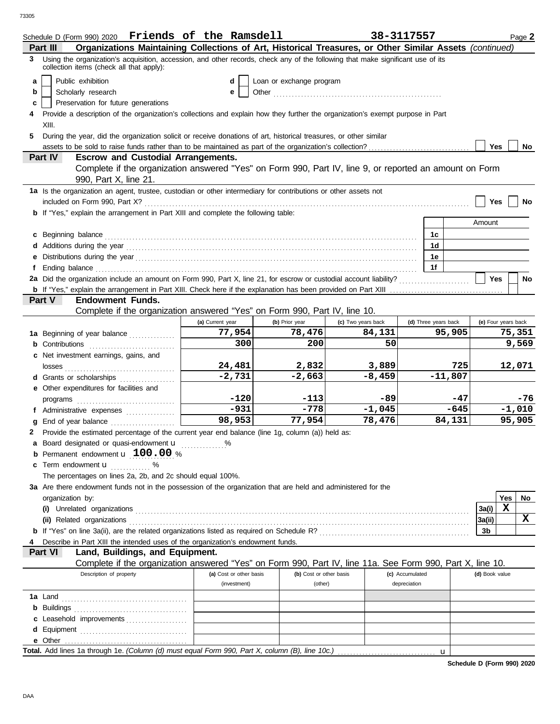73305

|   | Schedule D (Form 990) 2020 Friends of the Ramsdell                                                                                                                          |                         |                          |                    | 38-3117557      |                      |                     |             | Page 2          |
|---|-----------------------------------------------------------------------------------------------------------------------------------------------------------------------------|-------------------------|--------------------------|--------------------|-----------------|----------------------|---------------------|-------------|-----------------|
|   | Organizations Maintaining Collections of Art, Historical Treasures, or Other Similar Assets (continued)<br>Part III                                                         |                         |                          |                    |                 |                      |                     |             |                 |
| 3 | Using the organization's acquisition, accession, and other records, check any of the following that make significant use of its<br>collection items (check all that apply): |                         |                          |                    |                 |                      |                     |             |                 |
| a | Public exhibition                                                                                                                                                           | d                       | Loan or exchange program |                    |                 |                      |                     |             |                 |
| b | Scholarly research                                                                                                                                                          | е                       |                          |                    |                 |                      |                     |             |                 |
| c | Preservation for future generations                                                                                                                                         |                         |                          |                    |                 |                      |                     |             |                 |
| 4 | Provide a description of the organization's collections and explain how they further the organization's exempt purpose in Part                                              |                         |                          |                    |                 |                      |                     |             |                 |
|   | XIII.                                                                                                                                                                       |                         |                          |                    |                 |                      |                     |             |                 |
| 5 | During the year, did the organization solicit or receive donations of art, historical treasures, or other similar                                                           |                         |                          |                    |                 |                      |                     |             |                 |
|   | Part IV<br><b>Escrow and Custodial Arrangements.</b>                                                                                                                        |                         |                          |                    |                 |                      | <b>Yes</b>          |             | No              |
|   | Complete if the organization answered "Yes" on Form 990, Part IV, line 9, or reported an amount on Form                                                                     |                         |                          |                    |                 |                      |                     |             |                 |
|   | 990, Part X, line 21.                                                                                                                                                       |                         |                          |                    |                 |                      |                     |             |                 |
|   | 1a Is the organization an agent, trustee, custodian or other intermediary for contributions or other assets not                                                             |                         |                          |                    |                 |                      |                     |             |                 |
|   | included on Form 990, Part X?                                                                                                                                               |                         |                          |                    |                 |                      | Yes                 |             | No              |
|   | <b>b</b> If "Yes," explain the arrangement in Part XIII and complete the following table:                                                                                   |                         |                          |                    |                 |                      |                     |             |                 |
|   |                                                                                                                                                                             |                         |                          |                    |                 |                      | Amount              |             |                 |
|   | c Beginning balance                                                                                                                                                         |                         |                          |                    |                 | 1c                   |                     |             |                 |
|   |                                                                                                                                                                             |                         |                          |                    |                 | 1d                   |                     |             |                 |
|   |                                                                                                                                                                             |                         |                          |                    |                 | 1e                   |                     |             |                 |
|   |                                                                                                                                                                             |                         |                          |                    |                 | 1f                   |                     |             |                 |
|   | 2a Did the organization include an amount on Form 990, Part X, line 21, for escrow or custodial account liability?                                                          |                         |                          |                    |                 |                      | <b>Yes</b>          |             | No              |
|   | Part V<br><b>Endowment Funds.</b>                                                                                                                                           |                         |                          |                    |                 |                      |                     |             |                 |
|   | Complete if the organization answered "Yes" on Form 990, Part IV, line 10.                                                                                                  |                         |                          |                    |                 |                      |                     |             |                 |
|   |                                                                                                                                                                             | (a) Current year        | (b) Prior year           | (c) Two years back |                 | (d) Three years back | (e) Four years back |             |                 |
|   | 1a Beginning of year balance                                                                                                                                                | 77,954                  | 78,476                   | 84,131             |                 | 95,905               |                     |             | 75,351          |
|   |                                                                                                                                                                             | 300                     | 200                      | 50                 |                 |                      |                     |             | 9,569           |
|   | c Net investment earnings, gains, and                                                                                                                                       |                         |                          |                    |                 |                      |                     |             |                 |
|   | losses                                                                                                                                                                      | 24,481                  | 2,832                    | 3,889              |                 | 725                  |                     |             | 12,071          |
|   | <b>d</b> Grants or scholarships<br>.                                                                                                                                        | $-2,731$                | $-2,663$                 | $-8,459$           |                 | $-11,807$            |                     |             |                 |
|   | e Other expenditures for facilities and                                                                                                                                     |                         |                          |                    |                 |                      |                     |             |                 |
|   |                                                                                                                                                                             | $-120$<br>$-931$        | -113<br>$-778$           | $-89$<br>$-1,045$  |                 | -47<br>$-645$        |                     |             | -76<br>$-1,010$ |
|   | f Administrative expenses                                                                                                                                                   | 98,953                  | 77,954                   | 78,476             |                 | 84,131               |                     |             | 95,905          |
|   | g End of year balance<br>2 Provide the estimated percentage of the current year end balance (line 1g, column (a)) held as:                                                  |                         |                          |                    |                 |                      |                     |             |                 |
|   | a Board designated or quasi-endowment u                                                                                                                                     | %                       |                          |                    |                 |                      |                     |             |                 |
|   | Permanent endowment <b>u</b> 100.00 %                                                                                                                                       |                         |                          |                    |                 |                      |                     |             |                 |
|   | c Term endowment <b>u</b> %                                                                                                                                                 |                         |                          |                    |                 |                      |                     |             |                 |
|   | The percentages on lines 2a, 2b, and 2c should equal 100%.                                                                                                                  |                         |                          |                    |                 |                      |                     |             |                 |
|   | 3a Are there endowment funds not in the possession of the organization that are held and administered for the                                                               |                         |                          |                    |                 |                      |                     |             |                 |
|   | organization by:                                                                                                                                                            |                         |                          |                    |                 |                      |                     | Yes         | No              |
|   |                                                                                                                                                                             |                         |                          |                    |                 |                      | 3a(i)               | $\mathbf x$ |                 |
|   | (ii) Related organizations                                                                                                                                                  |                         |                          |                    |                 |                      | 3a(ii)              |             | X               |
|   |                                                                                                                                                                             |                         |                          |                    |                 |                      | 3b                  |             |                 |
|   | Describe in Part XIII the intended uses of the organization's endowment funds.<br>Part VI<br>Land, Buildings, and Equipment.                                                |                         |                          |                    |                 |                      |                     |             |                 |
|   | Complete if the organization answered "Yes" on Form 990, Part IV, line 11a. See Form 990, Part X, line 10.                                                                  |                         |                          |                    |                 |                      |                     |             |                 |
|   | Description of property                                                                                                                                                     | (a) Cost or other basis | (b) Cost or other basis  |                    | (c) Accumulated |                      | (d) Book value      |             |                 |
|   |                                                                                                                                                                             | (investment)            | (other)                  |                    | depreciation    |                      |                     |             |                 |
|   | <b>1a</b> Land                                                                                                                                                              |                         |                          |                    |                 |                      |                     |             |                 |
|   |                                                                                                                                                                             |                         |                          |                    |                 |                      |                     |             |                 |
|   | c Leasehold improvements                                                                                                                                                    |                         |                          |                    |                 |                      |                     |             |                 |
|   |                                                                                                                                                                             |                         |                          |                    |                 |                      |                     |             |                 |
|   |                                                                                                                                                                             |                         |                          |                    |                 |                      |                     |             |                 |
|   |                                                                                                                                                                             |                         |                          |                    |                 |                      |                     |             |                 |

**Schedule D (Form 990) 2020**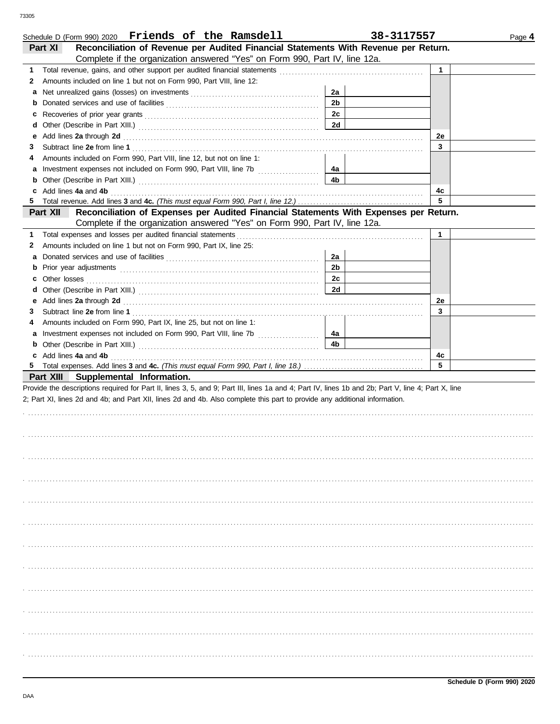| Schedule D (Form 990) 2020 Friends of the Ramsdell                                                                                                                                                              |                | 38-3117557 | Page 4 |
|-----------------------------------------------------------------------------------------------------------------------------------------------------------------------------------------------------------------|----------------|------------|--------|
| Reconciliation of Revenue per Audited Financial Statements With Revenue per Return.<br>Part XI                                                                                                                  |                |            |        |
| Complete if the organization answered "Yes" on Form 990, Part IV, line 12a.                                                                                                                                     |                |            |        |
| 1                                                                                                                                                                                                               |                | 1          |        |
| Amounts included on line 1 but not on Form 990, Part VIII, line 12:<br>2                                                                                                                                        |                |            |        |
| a                                                                                                                                                                                                               | 2a             |            |        |
|                                                                                                                                                                                                                 | 2 <sub>b</sub> |            |        |
| c                                                                                                                                                                                                               | 2c             |            |        |
| d                                                                                                                                                                                                               | 2d             |            |        |
| е                                                                                                                                                                                                               |                | 2e         |        |
| 3                                                                                                                                                                                                               |                | 3          |        |
| Amounts included on Form 990, Part VIII, line 12, but not on line 1:<br>4                                                                                                                                       |                |            |        |
|                                                                                                                                                                                                                 |                |            |        |
| a                                                                                                                                                                                                               | 4a             |            |        |
| <b>b</b> Other (Describe in Part XIII.) <b>CONSIDENT DESCRIPTION DESCRIPTION DESCRIPTION DESCRIPTION DESCRIPTION DESCRIPTION DESCRIPTION DESCRIPTION DESCRIPTION DESCRIPTION DESCRIPTION DESCRIPTION DESCRI</b> | 4b             |            |        |
| c Add lines 4a and 4b                                                                                                                                                                                           |                | 4c         |        |
|                                                                                                                                                                                                                 |                | 5          |        |
| Part XII<br>Reconciliation of Expenses per Audited Financial Statements With Expenses per Return.                                                                                                               |                |            |        |
| Complete if the organization answered "Yes" on Form 990, Part IV, line 12a.                                                                                                                                     |                |            |        |
| Total expenses and losses per audited financial statements<br>1                                                                                                                                                 |                | 1          |        |
| Amounts included on line 1 but not on Form 990, Part IX, line 25:<br>2                                                                                                                                          |                |            |        |
| a                                                                                                                                                                                                               | 2a             |            |        |
|                                                                                                                                                                                                                 | 2 <sub>b</sub> |            |        |
| Other losses <b>contracts Other losses contracts CO</b><br>c                                                                                                                                                    | 2c             |            |        |
| d                                                                                                                                                                                                               | 2d             |            |        |
| е                                                                                                                                                                                                               |                | 2e         |        |
| 3                                                                                                                                                                                                               |                | 3          |        |
| Amounts included on Form 990, Part IX, line 25, but not on line 1:<br>4                                                                                                                                         |                |            |        |
| a Investment expenses not included on Form 990, Part VIII, line 7b                                                                                                                                              | 4a             |            |        |
| <b>b</b> Other (Describe in Part XIII.) <b>CONSIDENT DESCRIPTION DESCRIPTION DESCRIPTION DESCRIPTION DESCRIPTION DESCRIPTION DESCRIPTION DESCRIPTION DESCRIPTION DESCRIPTION DESCRIPTION DESCRIPTION DESCRI</b> | 4b             |            |        |
| c Add lines 4a and 4b                                                                                                                                                                                           |                | 4c         |        |
|                                                                                                                                                                                                                 |                | 5          |        |
| Part XIII Supplemental Information.                                                                                                                                                                             |                |            |        |
| Provide the descriptions required for Part II, lines 3, 5, and 9; Part III, lines 1a and 4; Part IV, lines 1b and 2b; Part V, line 4; Part X, line                                                              |                |            |        |
| 2; Part XI, lines 2d and 4b; and Part XII, lines 2d and 4b. Also complete this part to provide any additional information.                                                                                      |                |            |        |
|                                                                                                                                                                                                                 |                |            |        |
|                                                                                                                                                                                                                 |                |            |        |
|                                                                                                                                                                                                                 |                |            |        |
|                                                                                                                                                                                                                 |                |            |        |
|                                                                                                                                                                                                                 |                |            |        |
|                                                                                                                                                                                                                 |                |            |        |
|                                                                                                                                                                                                                 |                |            |        |
|                                                                                                                                                                                                                 |                |            |        |
|                                                                                                                                                                                                                 |                |            |        |
|                                                                                                                                                                                                                 |                |            |        |
|                                                                                                                                                                                                                 |                |            |        |
|                                                                                                                                                                                                                 |                |            |        |
|                                                                                                                                                                                                                 |                |            |        |
|                                                                                                                                                                                                                 |                |            |        |
|                                                                                                                                                                                                                 |                |            |        |
|                                                                                                                                                                                                                 |                |            |        |
|                                                                                                                                                                                                                 |                |            |        |
|                                                                                                                                                                                                                 |                |            |        |
|                                                                                                                                                                                                                 |                |            |        |
|                                                                                                                                                                                                                 |                |            |        |
|                                                                                                                                                                                                                 |                |            |        |
|                                                                                                                                                                                                                 |                |            |        |
|                                                                                                                                                                                                                 |                |            |        |
|                                                                                                                                                                                                                 |                |            |        |
|                                                                                                                                                                                                                 |                |            |        |
|                                                                                                                                                                                                                 |                |            |        |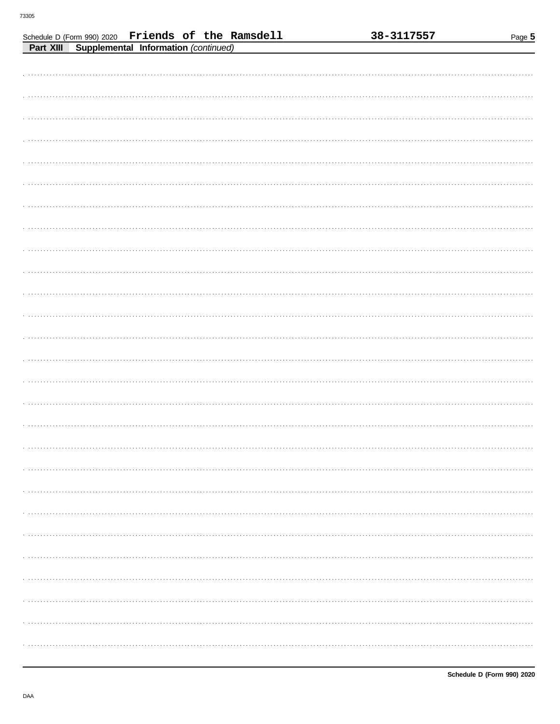|           | Schedule D (Form 990) 2020 Friends of the Ramsdell |                                      |  | 38-3117557 | Page 5 |
|-----------|----------------------------------------------------|--------------------------------------|--|------------|--------|
| Part XIII |                                                    | Supplemental Information (continued) |  |            |        |
|           |                                                    |                                      |  |            |        |
|           |                                                    |                                      |  |            |        |
|           |                                                    |                                      |  |            |        |
|           |                                                    |                                      |  |            |        |
|           |                                                    |                                      |  |            |        |
|           |                                                    |                                      |  |            |        |
|           |                                                    |                                      |  |            |        |
|           |                                                    |                                      |  |            |        |
|           |                                                    |                                      |  |            |        |
|           |                                                    |                                      |  |            |        |
|           |                                                    |                                      |  |            |        |
|           |                                                    |                                      |  |            |        |
|           |                                                    |                                      |  |            |        |
|           |                                                    |                                      |  |            |        |
|           |                                                    |                                      |  |            |        |
|           |                                                    |                                      |  |            |        |
|           |                                                    |                                      |  |            |        |
|           |                                                    |                                      |  |            |        |
|           |                                                    |                                      |  |            |        |
|           |                                                    |                                      |  |            |        |
|           |                                                    |                                      |  |            |        |
|           |                                                    |                                      |  |            |        |
|           |                                                    |                                      |  |            |        |
|           |                                                    |                                      |  |            |        |
|           |                                                    |                                      |  |            |        |
|           |                                                    |                                      |  |            |        |
|           |                                                    |                                      |  |            |        |
|           |                                                    |                                      |  |            |        |
|           |                                                    |                                      |  |            |        |
|           |                                                    |                                      |  |            |        |
|           |                                                    |                                      |  |            |        |
|           |                                                    |                                      |  |            |        |
|           |                                                    |                                      |  |            |        |
|           |                                                    |                                      |  |            |        |
|           |                                                    |                                      |  |            |        |
|           |                                                    |                                      |  |            |        |
|           |                                                    |                                      |  |            |        |
|           |                                                    |                                      |  |            |        |
|           |                                                    |                                      |  |            |        |
|           |                                                    |                                      |  |            |        |
|           |                                                    |                                      |  |            |        |
|           |                                                    |                                      |  |            |        |
|           |                                                    |                                      |  |            |        |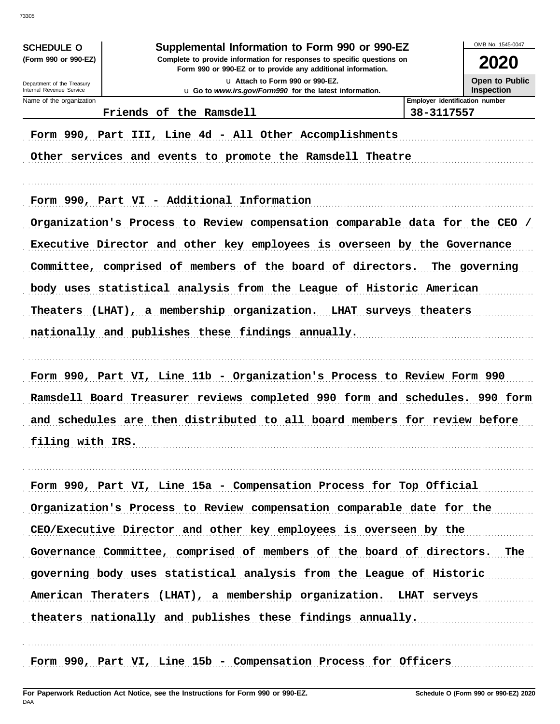| <b>SCHEDULE O</b><br>(Form 990 or 990-EZ)              | Supplemental Information to Form 990 or 990-EZ<br>Complete to provide information for responses to specific questions on |                       | 2020                                       |
|--------------------------------------------------------|--------------------------------------------------------------------------------------------------------------------------|-----------------------|--------------------------------------------|
|                                                        | Form 990 or 990-EZ or to provide any additional information.                                                             |                       |                                            |
| Department of the Treasury<br>Internal Revenue Service | La Attach to Form 990 or 990-EZ.<br>u Go to www.irs.gov/Form990 for the latest information.                              |                       | <b>Open to Public</b><br><b>Inspection</b> |
| Name of the organization                               |                                                                                                                          |                       | Employer identification number             |
|                                                        | Friends of the Ramsdell                                                                                                  | 38-3117557            |                                            |
|                                                        | Form 990, Part III, Line 4d - All Other Accomplishments<br>Other services and events to promote the Ramsdell Theatre     |                       |                                            |
|                                                        | Form 990, Part VI - Additional Information                                                                               |                       |                                            |
|                                                        | Organization's Process to Review compensation comparable data for the CEO /                                              |                       |                                            |
|                                                        | Executive Director and other key employees is overseen by the Governance                                                 |                       |                                            |
|                                                        |                                                                                                                          |                       |                                            |
|                                                        | Committee, comprised of members of the board of directors.                                                               |                       | The governing                              |
|                                                        | body uses statistical analysis from the League of Historic American                                                      |                       |                                            |
| Theaters                                               | (LHAT), a membership organization.                                                                                       | LHAT surveys theaters |                                            |
|                                                        | nationally and publishes these findings annually.                                                                        |                       |                                            |
|                                                        |                                                                                                                          |                       |                                            |
|                                                        |                                                                                                                          |                       |                                            |
|                                                        | Form 990, Part VI, Line 11b - Organization's Process to Review Form 990                                                  |                       |                                            |
|                                                        | Ramsdell Board Treasurer reviews completed 990 form and schedules. 990 form                                              |                       |                                            |
|                                                        |                                                                                                                          |                       |                                            |
|                                                        | and schedules are then distributed to all board members for review before                                                |                       |                                            |
| filing with IRS.                                       |                                                                                                                          |                       |                                            |
|                                                        |                                                                                                                          |                       |                                            |
|                                                        | Form 990, Part VI, Line 15a - Compensation Process for Top Official                                                      |                       |                                            |
|                                                        |                                                                                                                          |                       |                                            |
|                                                        | Organization's Process to Review compensation comparable date for the                                                    |                       |                                            |
|                                                        | CEO/Executive Director and other key employees is overseen by the                                                        |                       |                                            |
|                                                        | Governance Committee, comprised of members of the board of directors. The                                                |                       |                                            |
|                                                        | governing body uses statistical analysis from the League of Historic                                                     |                       |                                            |
|                                                        | American Theraters (LHAT), a membership organization. LHAT serveys                                                       |                       |                                            |
|                                                        | theaters nationally and publishes these findings annually.                                                               |                       |                                            |
|                                                        | Form 990, Part VI, Line 15b - Compensation Process for Officers                                                          |                       |                                            |